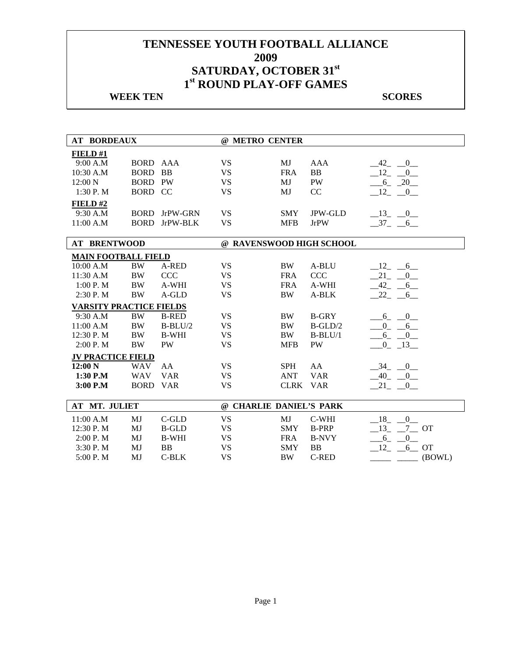## **WEEK TEN** SCORES

| <b>AT BORDEAUX</b>             |                |              | @ METRO CENTER           |            |                |                                   |
|--------------------------------|----------------|--------------|--------------------------|------------|----------------|-----------------------------------|
| FIELD#1                        |                |              |                          |            |                |                                   |
| 9:00 A.M                       | BORD AAA       |              | <b>VS</b>                | MJ         | <b>AAA</b>     | $-42$ $-0$ $-$                    |
| 10:30 A.M                      | <b>BORD</b>    | <b>BB</b>    | <b>VS</b>                | <b>FRA</b> | <b>BB</b>      | $\overline{0}$<br>$-12$           |
| 12:00 N                        | <b>BORD PW</b> |              | <b>VS</b>                | MJ         | <b>PW</b>      | $-6 - 20$                         |
| 1:30 P.M                       | BORD CC        |              | <b>VS</b>                | MJ         | CC             | $-12$ $-0$                        |
| FIELD#2                        |                |              |                          |            |                |                                   |
| 9:30 A.M                       | <b>BORD</b>    | JrPW-GRN     | <b>VS</b>                | <b>SMY</b> | <b>JPW-GLD</b> | $-13$ $-0$                        |
| 11:00 A.M                      | <b>BORD</b>    | JrPW-BLK     | <b>VS</b>                | <b>MFB</b> | <b>JrPW</b>    | $-37 - 6$                         |
|                                |                |              |                          |            |                |                                   |
| <b>AT BRENTWOOD</b>            |                |              | @ RAVENSWOOD HIGH SCHOOL |            |                |                                   |
| <b>MAIN FOOTBALL FIELD</b>     |                |              |                          |            |                |                                   |
| 10:00 A.M                      | <b>BW</b>      | A-RED        | <b>VS</b>                | <b>BW</b>  | A-BLU          | $-12$ , $-6$                      |
| 11:30 A.M                      | <b>BW</b>      | <b>CCC</b>   | <b>VS</b>                | <b>FRA</b> | <b>CCC</b>     | 21<br>0                           |
| 1:00 P.M                       | <b>BW</b>      | A-WHI        | <b>VS</b>                | <b>FRA</b> | A-WHI          | 42<br>$-6$                        |
| 2:30 P.M                       | <b>BW</b>      | A-GLD        | <b>VS</b>                | <b>BW</b>  | A-BLK          | 22<br>6                           |
| <b>VARSITY PRACTICE FIELDS</b> |                |              |                          |            |                |                                   |
| 9:30 A.M                       | $\rm BW$       | <b>B-RED</b> | <b>VS</b>                | <b>BW</b>  | <b>B-GRY</b>   | $6 - 0$                           |
| 11:00 A.M                      | $\rm BW$       | $B-BLU/2$    | <b>VS</b>                | <b>BW</b>  | $B-GLD/2$      | $\overline{\phantom{0}0}$<br>$-6$ |
| 12:30 P.M                      | <b>BW</b>      | <b>B-WHI</b> | <b>VS</b>                | <b>BW</b>  | $B-BLU/1$      | $6 - 0$                           |
| 2:00 P.M                       | <b>BW</b>      | PW           | <b>VS</b>                | <b>MFB</b> | PW             | $-0$ $-13$                        |
| <b>JV PRACTICE FIELD</b>       |                |              |                          |            |                |                                   |
| 12:00 N                        | <b>WAV</b>     | AA           | <b>VS</b>                | <b>SPH</b> | AA             | $\overline{0}$<br>34              |
| 1:30 P.M                       | <b>WAV</b>     | <b>VAR</b>   | <b>VS</b>                | <b>ANT</b> | <b>VAR</b>     | $-40$ $-0$                        |
| 3:00 P.M                       | <b>BORD</b>    | <b>VAR</b>   | <b>VS</b>                | CLRK VAR   |                | $21 - 0$                          |
| AT MT. JULIET                  |                |              | @ CHARLIE DANIEL'S PARK  |            |                |                                   |
|                                |                |              |                          |            |                |                                   |
| 11:00 A.M                      | MJ             | C-GLD        | <b>VS</b>                | MJ         | C-WHI          | 18<br>$\overline{\phantom{0}}^0$  |
| 12:30 P.M                      | MJ             | <b>B-GLD</b> | <b>VS</b>                | <b>SMY</b> | <b>B-PRP</b>   | $-7$ OT<br>$-13$                  |
| 2:00 P. M                      | MJ             | <b>B-WHI</b> | <b>VS</b>                | <b>FRA</b> | <b>B-NVY</b>   | $-6 - 0$                          |
| 3:30 P.M                       | MJ             | <b>BB</b>    | <b>VS</b>                | <b>SMY</b> | <b>BB</b>      | 12<br>$6$ OT                      |
| 5:00 P.M                       | MJ             | C-BLK        | <b>VS</b>                | <b>BW</b>  | <b>C-RED</b>   | (BOWL)                            |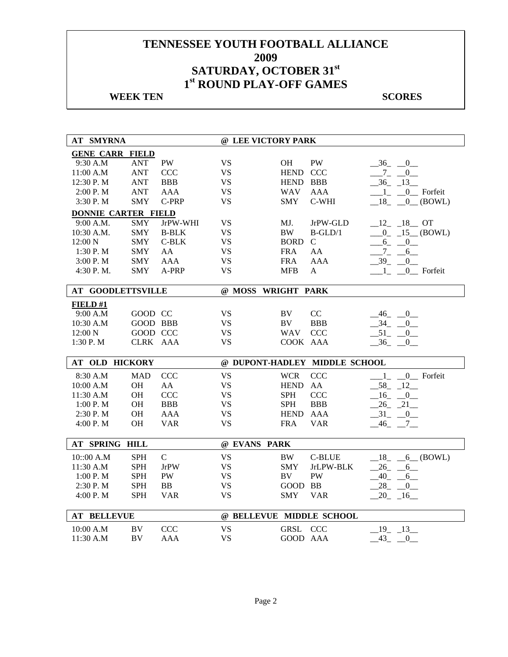## **WEEK TEN** SCORES

| <b>AT SMYRNA</b>           |                 |               | @ LEE VICTORY PARK       |             |                               |                                                      |
|----------------------------|-----------------|---------------|--------------------------|-------------|-------------------------------|------------------------------------------------------|
| <b>GENE CARR FIELD</b>     |                 |               |                          |             |                               |                                                      |
| 9:30 A.M                   | <b>ANT</b>      | <b>PW</b>     | <b>VS</b>                | OН          | <b>PW</b>                     | $-36$ $-0$                                           |
| 11:00 A.M                  | <b>ANT</b>      | <b>CCC</b>    | <b>VS</b>                | HEND CCC    |                               | $-7 - 0$                                             |
| 12:30 P.M                  | <b>ANT</b>      | <b>BBB</b>    | <b>VS</b>                | HEND BBB    |                               | $-36 - 13$                                           |
| 2:00 P.M                   | <b>ANT</b>      | <b>AAA</b>    | <b>VS</b>                | <b>WAV</b>  | <b>AAA</b>                    | 0_ Forfeit<br>$\begin{array}{ccc} & 1 & \end{array}$ |
| 3:30 P.M                   | <b>SMY</b>      | C-PRP         | <b>VS</b>                | <b>SMY</b>  | C-WHI                         | $18 \quad 0 \quad (BOWL)$                            |
| <b>DONNIE CARTER FIELD</b> |                 |               |                          |             |                               |                                                      |
| 9:00 A.M.                  | <b>SMY</b>      | JrPW-WHI      | <b>VS</b>                | MJ.         | JrPW-GLD                      | $12 - 18$ OT                                         |
| 10:30 A.M.                 | <b>SMY</b>      | <b>B-BLK</b>  | <b>VS</b>                | $\rm BW$    | $B-GLD/1$                     | $0 - 15$ (BOWL)                                      |
| 12:00 N                    | <b>SMY</b>      | $C-BLK$       | <b>VS</b>                | <b>BORD</b> | $\mathbf C$                   | $6_{-}$<br>$\overline{0}$                            |
| 1:30P. M                   | <b>SMY</b>      | AA            | <b>VS</b>                | <b>FRA</b>  | AA                            | $Z_{-}$<br>$6$ <sub>—</sub>                          |
| 3:00 P.M                   | <b>SMY</b>      | <b>AAA</b>    | <b>VS</b>                | <b>FRA</b>  | <b>AAA</b>                    | $-39 - 0$                                            |
| 4:30 P.M.                  | <b>SMY</b>      | A-PRP         | <b>VS</b>                | MFB         | A                             | $\overline{1}$<br>0 Forfeit                          |
|                            |                 |               |                          |             |                               |                                                      |
| <b>AT GOODLETTSVILLE</b>   |                 |               | @ MOSS WRIGHT PARK       |             |                               |                                                      |
| FIELD#1                    |                 |               |                          |             |                               |                                                      |
| 9:00 A.M                   | GOOD CC         |               | <b>VS</b>                | <b>BV</b>   | CC                            | 46<br>$\mathbf{0}$                                   |
| 10:30 A.M                  | <b>GOOD BBB</b> |               | <b>VS</b>                | BV          | <b>BBB</b>                    | $34 -$<br>$\overline{0}$                             |
| 12:00 N                    | GOOD CCC        |               | <b>VS</b>                | <b>WAV</b>  | <b>CCC</b>                    | $-51$ $-$<br>0                                       |
| 1:30 P.M                   | CLRK AAA        |               | <b>VS</b>                | COOK AAA    |                               | 36<br>$\Omega$                                       |
|                            |                 |               |                          |             |                               |                                                      |
| AT OLD HICKORY             |                 |               |                          |             | @ DUPONT-HADLEY MIDDLE SCHOOL |                                                      |
| 8:30 A.M                   | <b>MAD</b>      | <b>CCC</b>    | <b>VS</b>                | <b>WCR</b>  | <b>CCC</b>                    | $-1$ <sub>-</sub> $-0$ Forfeit                       |
| 10:00 A.M                  | <b>OH</b>       | AA            | <b>VS</b>                | <b>HEND</b> | AA                            | 58 12                                                |
| 11:30 A.M                  | OH              | <b>CCC</b>    | <b>VS</b>                | <b>SPH</b>  | <b>CCC</b>                    | $16 - 0$                                             |
| 1:00 P.M                   | OH              | <b>BBB</b>    | <b>VS</b>                | <b>SPH</b>  | <b>BBB</b>                    | $26 - 21$                                            |
| 2:30 P.M                   | OH              | <b>AAA</b>    | <b>VS</b>                | <b>HEND</b> | <b>AAA</b>                    | $-31$ $-0$                                           |
| 4:00 P.M                   | <b>OH</b>       | <b>VAR</b>    | <b>VS</b>                | <b>FRA</b>  | <b>VAR</b>                    | $-46$ $-$<br>$\frac{7}{ }$                           |
|                            |                 |               |                          |             |                               |                                                      |
| AT SPRING HILL             |                 |               | @ EVANS PARK             |             |                               |                                                      |
| 10::00 A.M                 | <b>SPH</b>      | $\mathcal{C}$ | <b>VS</b>                | <b>BW</b>   | <b>C-BLUE</b>                 | $18 \quad 6 \quad (BOWL)$                            |
| 11:30 A.M                  | <b>SPH</b>      | <b>JrPW</b>   | <b>VS</b>                | <b>SMY</b>  | JrLPW-BLK                     | $26 -$<br>6                                          |
| 1:00 P.M                   | <b>SPH</b>      | <b>PW</b>     | <b>VS</b>                | BV          | PW                            | $-40$ -<br>$6$ <sub>—</sub>                          |
| 2:30 P.M                   | <b>SPH</b>      | <b>BB</b>     | <b>VS</b>                | GOOD BB     |                               | $28 -$<br>$\mathbf{0}$                               |
| 4:00 P.M                   | <b>SPH</b>      | <b>VAR</b>    | <b>VS</b>                | <b>SMY</b>  | <b>VAR</b>                    | $20 - 16$                                            |
|                            |                 |               |                          |             |                               |                                                      |
| <b>AT BELLEVUE</b>         |                 |               | @ BELLEVUE MIDDLE SCHOOL |             |                               |                                                      |
| 10:00 A.M                  | BV              | <b>CCC</b>    | <b>VS</b>                | GRSL CCC    |                               | 19 13                                                |
| 11:30 A.M                  | <b>BV</b>       | <b>AAA</b>    | <b>VS</b>                | GOOD AAA    |                               | $-43$ $-0$                                           |
|                            |                 |               |                          |             |                               |                                                      |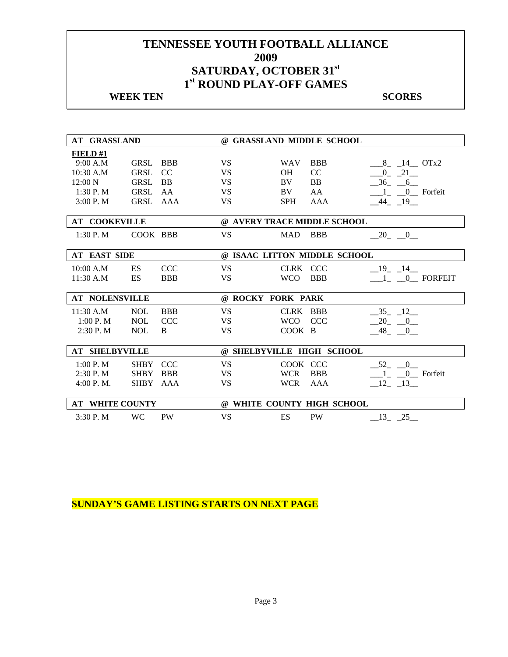## **WEEK TEN** SCORES

| <b>AT GRASSLAND</b>    |             |            | @ GRASSLAND MIDDLE SCHOOL |            |                              |                                          |  |
|------------------------|-------------|------------|---------------------------|------------|------------------------------|------------------------------------------|--|
| FIELD#1                |             |            |                           |            |                              |                                          |  |
| 9:00 A.M               | GRSL        | <b>BBB</b> | <b>VS</b>                 | <b>WAV</b> | <b>BBB</b>                   | 8 14 OTx2                                |  |
| 10:30 A.M              | GRSL        | CC         | <b>VS</b>                 | <b>OH</b>  | CC                           | $-21$<br>$0_{-}$                         |  |
| $12:00\text{ N}$       | <b>GRSL</b> | <b>BB</b>  | <b>VS</b>                 | BV         | <b>BB</b>                    | $-36$ $-6$                               |  |
| 1:30 P.M               | GRSL AA     |            | <b>VS</b>                 | BV         | AA                           | $\overline{1}$<br>0 <sub>_</sub> Forfeit |  |
| 3:00 P. M              | GRSL AAA    |            | <b>VS</b>                 | <b>SPH</b> | AAA                          | 44 19                                    |  |
|                        |             |            |                           |            |                              |                                          |  |
| <b>AT COOKEVILLE</b>   |             |            |                           |            | @ AVERY TRACE MIDDLE SCHOOL  |                                          |  |
| 1:30 P. M              | COOK BBB    |            | <b>VS</b>                 | <b>MAD</b> | <b>BBB</b>                   | $-20$ $-0$ $-$                           |  |
|                        |             |            |                           |            |                              |                                          |  |
| <b>AT EAST SIDE</b>    |             |            |                           |            | @ ISAAC LITTON MIDDLE SCHOOL |                                          |  |
| 10:00 A.M              | ES.         | <b>CCC</b> | <b>VS</b>                 | CLRK CCC   |                              | 19 14                                    |  |
| 11:30 A.M              | <b>ES</b>   | <b>BBB</b> | <b>VS</b>                 | <b>WCO</b> | <b>BBB</b>                   | 1 0 FORFEIT                              |  |
|                        |             |            |                           |            |                              |                                          |  |
| <b>AT NOLENSVILLE</b>  |             |            | @ ROCKY FORK PARK         |            |                              |                                          |  |
| 11:30 A.M              | <b>NOL</b>  | <b>BBB</b> | <b>VS</b>                 | CLRK BBB   |                              | $-35 - 12$                               |  |
| 1:00 P. M              | <b>NOL</b>  | <b>CCC</b> | <b>VS</b>                 | <b>WCO</b> | <b>CCC</b>                   | 20<br>$\begin{array}{c} 0 \end{array}$   |  |
| $2:30$ P. M            | <b>NOL</b>  | B          | <b>VS</b>                 | COOK B     |                              | $-48$ <sub>-</sub> $-0$                  |  |
|                        |             |            |                           |            |                              |                                          |  |
| <b>AT SHELBYVILLE</b>  |             |            |                           |            | @ SHELBYVILLE HIGH SCHOOL    |                                          |  |
| 1:00 P. M              | <b>SHBY</b> | <b>CCC</b> | <b>VS</b>                 | COOK CCC   |                              | 52 0                                     |  |
| $2:30$ P. M            | <b>SHBY</b> | <b>BBB</b> | <b>VS</b>                 | <b>WCR</b> | <b>BBB</b>                   | 1 0 Forfeit                              |  |
| 4:00 P. M.             | <b>SHBY</b> | AAA        | <b>VS</b>                 | <b>WCR</b> | AAA                          | $-12$ $-13$                              |  |
|                        |             |            |                           |            |                              |                                          |  |
| <b>AT WHITE COUNTY</b> |             |            |                           |            | @ WHITE COUNTY HIGH SCHOOL   |                                          |  |
| 3:30P. M               | <b>WC</b>   | <b>PW</b>  | <b>VS</b>                 | ES         | <b>PW</b>                    | $\_13$ <sub>-</sub> $\_25$ <sub>--</sub> |  |

**SUNDAY'S GAME LISTING STARTS ON NEXT PAGE**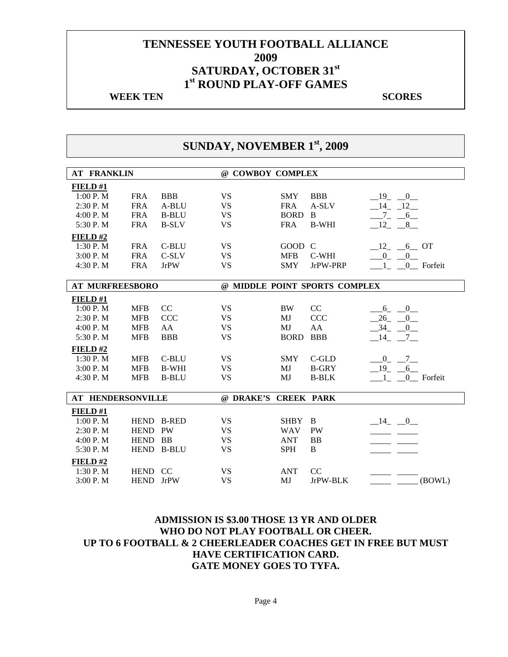#### **WEEK TEN** SCORES

# **SUNDAY, NOVEMBER 1st, 2009**

| <b>AT FRANKLIN</b>       |            |              | @ COWBOY COMPLEX     |             |                               |                 |
|--------------------------|------------|--------------|----------------------|-------------|-------------------------------|-----------------|
| FIELD#1                  |            |              |                      |             |                               |                 |
| 1:00 P.M                 | <b>FRA</b> | <b>BBB</b>   | <b>VS</b>            | <b>SMY</b>  | <b>BBB</b>                    | $-19$ $-0$      |
| 2:30 P.M                 | <b>FRA</b> | A-BLU        | <b>VS</b>            | <b>FRA</b>  | A-SLV                         | $-14$ $-12$     |
| 4:00 P.M                 | <b>FRA</b> | <b>B-BLU</b> | <b>VS</b>            | <b>BORD</b> | B                             | $-7 - -6$       |
| 5:30 P.M                 | <b>FRA</b> | <b>B-SLV</b> | <b>VS</b>            | <b>FRA</b>  | <b>B-WHI</b>                  | $-12 - 8$       |
| FIELD#2                  |            |              |                      |             |                               |                 |
| 1:30P. M                 | <b>FRA</b> | C-BLU        | <b>VS</b>            | GOOD C      |                               | $-12$ , $-6$ OT |
| 3:00 P.M                 | <b>FRA</b> | C-SLV        | <b>VS</b>            | <b>MFB</b>  | C-WHI                         | $-0$ $-0$       |
| 4:30 P. M                | <b>FRA</b> | JrPW         | <b>VS</b>            | <b>SMY</b>  | JrPW-PRP                      | 1 0 Forfeit     |
|                          |            |              |                      |             |                               |                 |
| <b>AT MURFREESBORO</b>   |            |              |                      |             | @ MIDDLE POINT SPORTS COMPLEX |                 |
| FIELD#1                  |            |              |                      |             |                               |                 |
| 1:00 P. M                | <b>MFB</b> | CC           | <b>VS</b>            | <b>BW</b>   | CC                            | $-6 - 0$        |
| 2:30 P.M                 | <b>MFB</b> | <b>CCC</b>   | <b>VS</b>            | MJ          | <b>CCC</b>                    | $-0$<br>$-26$   |
| 4:00 P.M                 | <b>MFB</b> | AA           | <b>VS</b>            | MJ          | AA                            | $-34$ $-0$      |
| 5:30 P.M                 | <b>MFB</b> | <b>BBB</b>   | <b>VS</b>            | <b>BORD</b> | <b>BBB</b>                    | $-14$ $-7$      |
| <b>FIELD#2</b>           |            |              |                      |             |                               |                 |
| 1:30 P.M                 | <b>MFB</b> | C-BLU        | <b>VS</b>            | <b>SMY</b>  | $C$ -GLD                      | $-0$ $-7$       |
| 3:00 P.M                 | <b>MFB</b> | <b>B-WHI</b> | <b>VS</b>            | MJ          | <b>B-GRY</b>                  | $-19$ $-6$      |
| 4:30 P.M                 | <b>MFB</b> | <b>B-BLU</b> | <b>VS</b>            | MJ          | <b>B-BLK</b>                  | 1 0 Forfeit     |
|                          |            |              |                      |             |                               |                 |
| <b>AT HENDERSONVILLE</b> |            |              | @ DRAKE'S CREEK PARK |             |                               |                 |
| <b>FIELD</b> #1          |            |              |                      |             |                               |                 |
| 1:00 P.M                 |            | HEND B-RED   | <b>VS</b>            | <b>SHBY</b> | $\overline{B}$                | $-14$ $-0$      |
| 2:30 P.M                 | HEND PW    |              | <b>VS</b>            | <b>WAV</b>  | PW                            |                 |
| 4:00 P.M                 | HEND BB    |              | <b>VS</b>            | <b>ANT</b>  | BB                            |                 |
| 5:30 P.M                 |            | HEND B-BLU   | <b>VS</b>            | <b>SPH</b>  | B                             |                 |
| FIELD#2                  |            |              |                      |             |                               |                 |
| 1:30 P.M                 | HEND CC    |              | <b>VS</b>            | <b>ANT</b>  | CC                            |                 |
| 3:00 P.M                 | HEND JrPW  |              | <b>VS</b>            | MJ          | JrPW-BLK                      | (BOWL)          |

### **ADMISSION IS \$3.00 THOSE 13 YR AND OLDER WHO DO NOT PLAY FOOTBALL OR CHEER. UP TO 6 FOOTBALL & 2 CHEERLEADER COACHES GET IN FREE BUT MUST HAVE CERTIFICATION CARD. GATE MONEY GOES TO TYFA.**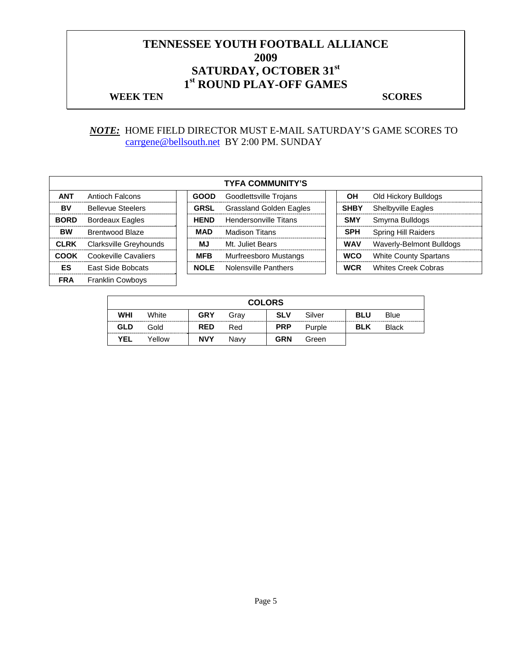#### **WEEK TEN** SCORES

#### *NOTE:* HOME FIELD DIRECTOR MUST E-MAIL SATURDAY'S GAME SCORES TO carrgene@bellsouth.net BY 2:00 PM. SUNDAY

|             | <b>TYFA COMMUNITY'S</b>  |  |             |                                |  |             |                              |  |  |  |
|-------------|--------------------------|--|-------------|--------------------------------|--|-------------|------------------------------|--|--|--|
| <b>ANT</b>  | Antioch Falcons          |  | <b>GOOD</b> | Goodlettsville Trojans         |  | OН          | Old Hickory Bulldogs         |  |  |  |
| BV          | <b>Bellevue Steelers</b> |  | <b>GRSL</b> | <b>Grassland Golden Eagles</b> |  | <b>SHBY</b> | Shelbyville Eagles           |  |  |  |
| <b>BORD</b> | <b>Bordeaux Eagles</b>   |  | <b>HEND</b> | Hendersonville Titans          |  | <b>SMY</b>  | Smyrna Bulldogs              |  |  |  |
| <b>BW</b>   | Brentwood Blaze          |  | <b>MAD</b>  | <b>Madison Titans</b>          |  | <b>SPH</b>  | <b>Spring Hill Raiders</b>   |  |  |  |
| <b>CLRK</b> | Clarksville Greyhounds   |  | МJ          | Mt. Juliet Bears               |  | <b>WAV</b>  | Waverly-Belmont Bulldogs     |  |  |  |
| COOK        | Cookeville Cavaliers     |  | <b>MFB</b>  | Murfreesboro Mustangs          |  | <b>WCO</b>  | <b>White County Spartans</b> |  |  |  |
| ES          | East Side Bobcats        |  | <b>NOLE</b> | Nolensville Panthers           |  | <b>WCR</b>  | <b>Whites Creek Cobras</b>   |  |  |  |
| <b>FRA</b>  | <b>Franklin Cowboys</b>  |  |             |                                |  |             |                              |  |  |  |

|            | <b>COLORS</b> |            |      |            |        |            |              |  |  |  |
|------------|---------------|------------|------|------------|--------|------------|--------------|--|--|--|
| <b>WHI</b> | White         | <b>GRY</b> | Grav | <b>SLV</b> | Silver | <b>BLU</b> | Blue         |  |  |  |
| GLD        | Gold          | <b>RED</b> | Red  | <b>PRP</b> | Purple | <b>BLK</b> | <b>Black</b> |  |  |  |
| <b>YEL</b> | Yellow        | <b>NVY</b> | Navv | <b>GRN</b> | Green  |            |              |  |  |  |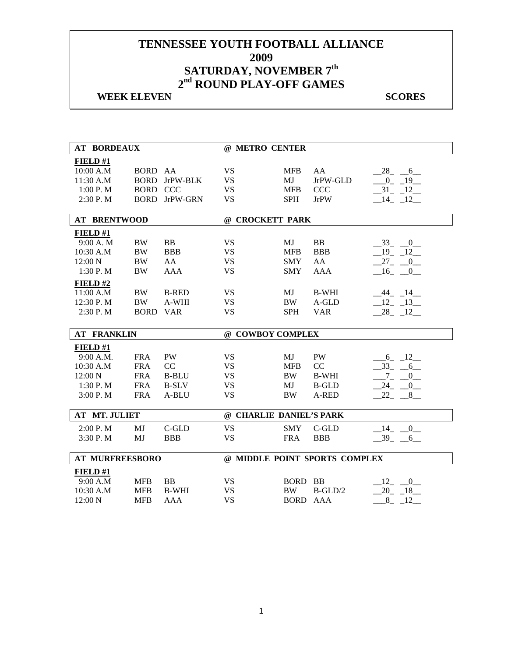## **WEEK ELEVEN** SCORES

| <b>AT BORDEAUX</b>     |                    |                      | @ METRO CENTER                |             |              |                           |  |
|------------------------|--------------------|----------------------|-------------------------------|-------------|--------------|---------------------------|--|
| FIELD#1                |                    |                      |                               |             |              |                           |  |
| 10:00 A.M              | BORD AA            |                      | <b>VS</b>                     | <b>MFB</b>  | AA           | $28 - 6$                  |  |
| 11:30 A.M              |                    | <b>BORD</b> JrPW-BLK | <b>VS</b>                     | MJ          | JrPW-GLD     | $-0$ $-19$ $-$            |  |
| 1:00 P. M              | <b>BORD CCC</b>    |                      | <b>VS</b>                     | <b>MFB</b>  | <b>CCC</b>   | $-31 - 12$                |  |
| 2:30P. M               |                    | BORD JrPW-GRN        | <b>VS</b>                     | <b>SPH</b>  | <b>JrPW</b>  | $-14$ $-12$               |  |
|                        |                    |                      |                               |             |              |                           |  |
| <b>AT BRENTWOOD</b>    |                    |                      | @ CROCKETT PARK               |             |              |                           |  |
| FIELD#1                |                    |                      |                               |             |              |                           |  |
| 9:00 A.M               | <b>BW</b>          | <b>BB</b>            | <b>VS</b>                     | MJ          | <b>BB</b>    | $-33$ $-0$                |  |
| 10:30 A.M              | <b>BW</b>          | <b>BBB</b>           | <b>VS</b>                     | <b>MFB</b>  | <b>BBB</b>   | $-19 - 12$                |  |
| 12:00 N                | <b>BW</b>          | AA                   | <b>VS</b>                     | <b>SMY</b>  | AA           | $-27$ $-0$                |  |
| 1:30 P.M               | <b>BW</b>          | <b>AAA</b>           | <b>VS</b>                     | <b>SMY</b>  | <b>AAA</b>   | $-16$ $-0$                |  |
| FIELD#2                |                    |                      |                               |             |              |                           |  |
| 11:00 A.M              | <b>BW</b>          | <b>B-RED</b>         | <b>VS</b>                     | MJ          | <b>B-WHI</b> | $-44$ $-14$               |  |
| 12:30 P.M              | <b>BW</b>          | A-WHI                | <b>VS</b>                     | <b>BW</b>   | A-GLD        | 12 13                     |  |
| 2:30 P.M               | <b>BORD</b>        | <b>VAR</b>           | <b>VS</b>                     | <b>SPH</b>  | <b>VAR</b>   | $28 - 12$                 |  |
|                        |                    |                      |                               |             |              |                           |  |
|                        | <b>AT FRANKLIN</b> |                      |                               |             |              |                           |  |
|                        |                    |                      | @ COWBOY COMPLEX              |             |              |                           |  |
|                        |                    |                      |                               |             |              |                           |  |
| FIELD#1<br>9:00 A.M.   | <b>FRA</b>         | PW                   | <b>VS</b>                     | MJ          | PW           |                           |  |
| 10:30 A.M              | <b>FRA</b>         | CC                   | <b>VS</b>                     | <b>MFB</b>  | CC           | $-6 - 12$<br>$-33 - 6$    |  |
| 12:00 N                | <b>FRA</b>         | <b>B-BLU</b>         | <b>VS</b>                     | <b>BW</b>   | <b>B-WHI</b> | $7_{-}$<br>$\overline{0}$ |  |
| 1:30P. M               | <b>FRA</b>         | <b>B-SLV</b>         | <b>VS</b>                     | МJ          | <b>B-GLD</b> | 24<br>$\mathbf{0}$        |  |
| 3:00 P.M               | <b>FRA</b>         | A-BLU                | <b>VS</b>                     | <b>BW</b>   | A-RED        | 22<br>8 <sup>8</sup>      |  |
|                        |                    |                      |                               |             |              |                           |  |
| <b>AT MT. JULIET</b>   |                    |                      | @ CHARLIE DANIEL'S PARK       |             |              |                           |  |
| 2:00 P.M               | MJ                 | C-GLD                | <b>VS</b>                     | <b>SMY</b>  | C-GLD        | 14 0                      |  |
| 3:30 P.M               | MJ                 | <b>BBB</b>           | <b>VS</b>                     | <b>FRA</b>  | <b>BBB</b>   | $-39 - 6$                 |  |
|                        |                    |                      |                               |             |              |                           |  |
| <b>AT MURFREESBORO</b> |                    |                      | @ MIDDLE POINT SPORTS COMPLEX |             |              |                           |  |
| FIELD#1                |                    |                      |                               |             |              |                           |  |
| 9:00 A.M               | <b>MFB</b>         | <b>BB</b>            | <b>VS</b>                     | <b>BORD</b> | <b>BB</b>    | $-12$ $-0$                |  |
| 10:30 A.M              | <b>MFB</b>         | <b>B-WHI</b>         | <b>VS</b>                     | BW          | $B-GLD/2$    | $-20$ $-18$               |  |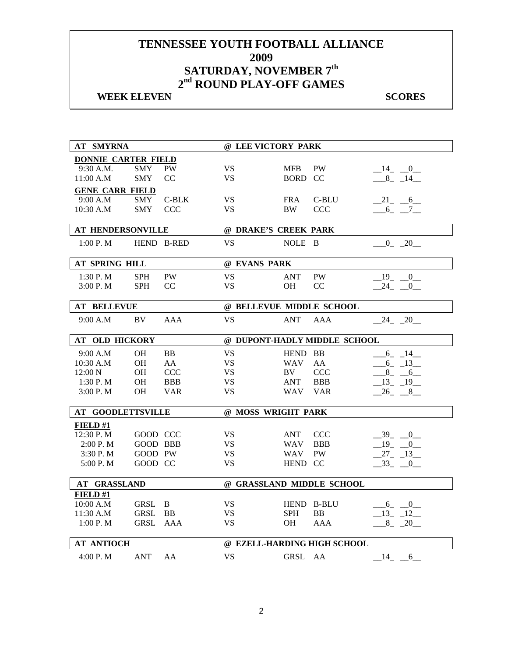## **WEEK ELEVEN** SCORES

| <b>AT SMYRNA</b>           |                 |                | @ LEE VICTORY PARK       |            |                              |            |
|----------------------------|-----------------|----------------|--------------------------|------------|------------------------------|------------|
| <b>DONNIE CARTER FIELD</b> |                 |                |                          |            |                              |            |
| 9:30 A.M.                  | <b>SMY</b>      | <b>PW</b>      | <b>VS</b>                | <b>MFB</b> | PW                           | $-14$ $-0$ |
| 11:00 A.M                  | <b>SMY</b>      | CC             | <b>VS</b>                | BORD CC    |                              | $-8$ $-14$ |
| <b>GENE CARR FIELD</b>     |                 |                |                          |            |                              |            |
| 9:00 A.M                   | <b>SMY</b>      | $C-BLK$        | <b>VS</b>                | <b>FRA</b> | C-BLU                        | $-21$ $-6$ |
| 10:30 A.M                  | <b>SMY</b>      | <b>CCC</b>     | <b>VS</b>                | <b>BW</b>  | <b>CCC</b>                   | $-6 - -7$  |
|                            |                 |                |                          |            |                              |            |
| <b>AT HENDERSONVILLE</b>   |                 |                | @ DRAKE'S CREEK PARK     |            |                              |            |
| 1:00 P. M                  |                 | HEND B-RED     | <b>VS</b>                | NOLE B     |                              | $0 - 20$   |
| AT SPRING HILL             |                 |                | @ EVANS PARK             |            |                              |            |
| $1:30$ P. M                | <b>SPH</b>      | <b>PW</b>      | <b>VS</b>                | ANT        | <b>PW</b>                    | $-19$ $-0$ |
| 3:00 P.M                   | <b>SPH</b>      | CC             | <b>VS</b>                | <b>OH</b>  | CC                           | $-24$ $-0$ |
|                            |                 |                |                          |            |                              |            |
| <b>AT BELLEVUE</b>         |                 |                | @ BELLEVUE MIDDLE SCHOOL |            |                              |            |
| 9:00 A.M                   | BV.             | <b>AAA</b>     | <b>VS</b>                | <b>ANT</b> | <b>AAA</b>                   | $-24 - 20$ |
| <b>AT OLD HICKORY</b>      |                 |                |                          |            | @ DUPONT-HADLY MIDDLE SCHOOL |            |
| 9:00 A.M                   | <b>OH</b>       | B <sub>B</sub> | <b>VS</b>                | HEND BB    |                              | $-6 - 14$  |
| 10:30 A.M                  | <b>OH</b>       | AA             | <b>VS</b>                | <b>WAV</b> | AA                           | $-6 - 13$  |
| $12:00\text{ N}$           | <b>OH</b>       | <b>CCC</b>     | <b>VS</b>                | BV.        | <b>CCC</b>                   | $8 - 6$    |
| $1:30$ P. M                | <b>OH</b>       | <b>BBB</b>     | <b>VS</b>                | <b>ANT</b> | <b>BBB</b>                   | $-13 - 19$ |
| 3:00 P. M                  | <b>OH</b>       | <b>VAR</b>     | <b>VS</b>                | <b>WAV</b> | <b>VAR</b>                   | $-26$ $-8$ |
| <b>AT GOODLETTSVILLE</b>   |                 |                | @ MOSS WRIGHT PARK       |            |                              |            |
| <b>FIELD</b> #1            |                 |                |                          |            |                              |            |
| 12:30 P.M                  | GOOD CCC        |                | VS                       | ANT        | <b>CCC</b>                   | 39 0       |
| 2:00 P. M                  | <b>GOOD BBB</b> |                | <b>VS</b>                | <b>WAV</b> | <b>BBB</b>                   | $19 - 0$   |
| 3:30 P.M                   | GOOD PW         |                | <b>VS</b>                | <b>WAV</b> | <b>PW</b>                    | $-27 - 13$ |
| 5:00 P.M                   | GOOD CC         |                | <b>VS</b>                | HEND CC    |                              | $-33 - 0$  |
| AT GRASSLAND               |                 |                |                          |            | @ GRASSLAND MIDDLE SCHOOL    |            |
| FIELD #1                   |                 |                |                          |            |                              |            |
| 10:00 A.M                  | <b>GRSL</b>     | B              | <b>VS</b>                |            | HEND B-BLU                   | $-6 - -0$  |
| 11:30 A.M                  | GRSL            | <b>BB</b>      | <b>VS</b>                | <b>SPH</b> | <b>BB</b>                    | 13 12      |
| 1:00 P. M                  | GRSL            | AAA            | <b>VS</b>                | <b>OH</b>  | <b>AAA</b>                   | $-8$ $-20$ |
| <b>AT ANTIOCH</b>          |                 |                |                          |            | @ EZELL-HARDING HIGH SCHOOL  |            |
| 4:00 P.M                   | <b>ANT</b>      | AA             | <b>VS</b>                | GRSL AA    |                              | $-14$ $-6$ |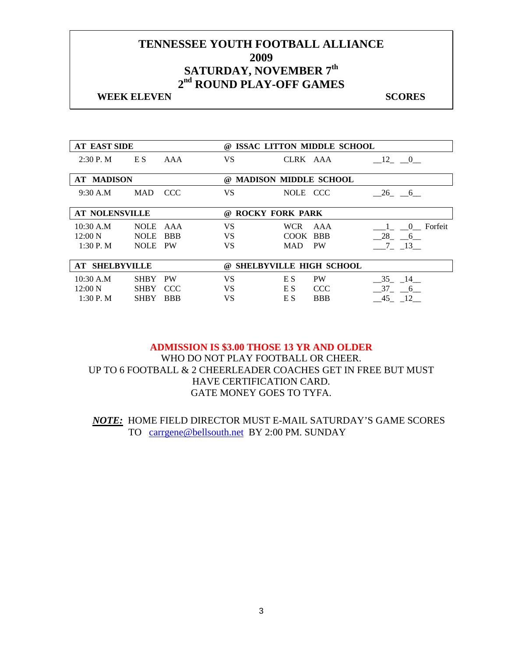#### **WEEK ELEVEN** SCORES

| <b>AT EAST SIDE</b>   |             |            | (a)                           |            | ISSAC LITTON MIDDLE SCHOOL     |                       |
|-----------------------|-------------|------------|-------------------------------|------------|--------------------------------|-----------------------|
| $2:30$ P. M           | E S         | AAA        | <b>VS</b>                     |            | CLRK AAA                       | 12<br>$\mathbf{0}$    |
| <b>AT MADISON</b>     |             |            | $\omega$                      |            | <b>MADISON MIDDLE SCHOOL</b>   |                       |
|                       |             |            |                               |            |                                |                       |
| 9:30 A.M              | <b>MAD</b>  | CCC.       | VS.                           | NOLE CCC   |                                | 26 6                  |
| <b>AT NOLENSVILLE</b> |             |            | <b>ROCKY FORK PARK</b><br>(a) |            |                                |                       |
|                       |             |            |                               |            |                                |                       |
| $10:30$ A.M           | <b>NOLE</b> | AAA        | VS.                           | <b>WCR</b> | AAA                            | 0 Forfeit             |
| 12:00 N               | <b>NOLE</b> | <b>BBB</b> | VS.                           | COOK BBB   |                                | 28<br>$6\overline{6}$ |
| 1:30P. M              | <b>NOLE</b> | <b>PW</b>  | VS                            | MAD.       | <b>PW</b>                      | $7^{\circ}$<br>13     |
|                       |             |            |                               |            |                                |                       |
| <b>AT SHELBYVILLE</b> |             |            | (a)                           |            | <b>SHELBYVILLE HIGH SCHOOL</b> |                       |
| 10:30 A.M             | <b>SHBY</b> | <b>PW</b>  | VS.                           | E S        | <b>PW</b>                      | 35 14                 |
| $12:00\ N$            | <b>SHBY</b> | <b>CCC</b> | VS.                           | E S        | <b>CCC</b>                     | 37 6                  |
| 1:30P. M              | <b>SHBY</b> | <b>BBB</b> | VS                            | E S        | <b>BBB</b>                     | 45 12                 |

**ADMISSION IS \$3.00 THOSE 13 YR AND OLDER**  WHO DO NOT PLAY FOOTBALL OR CHEER. UP TO 6 FOOTBALL & 2 CHEERLEADER COACHES GET IN FREE BUT MUST HAVE CERTIFICATION CARD. GATE MONEY GOES TO TYFA.

*NOTE:* HOME FIELD DIRECTOR MUST E-MAIL SATURDAY'S GAME SCORES TO carrgene@bellsouth.net BY 2:00 PM. SUNDAY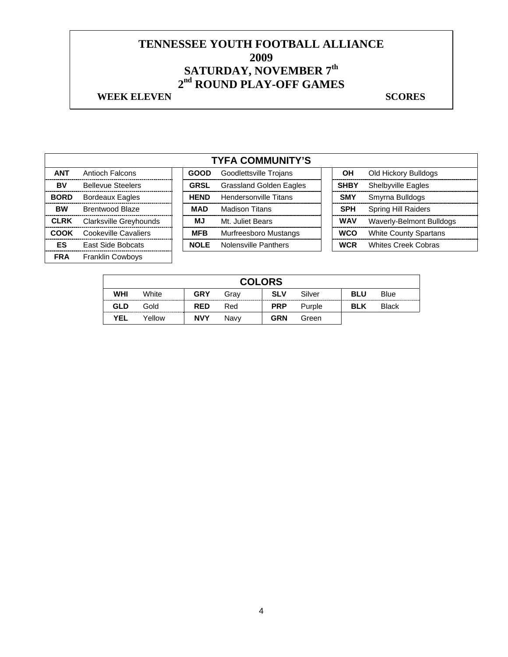## **WEEK ELEVEN** SCORES

|             | <b>TYFA COMMUNITY'S</b>  |  |             |                                |  |             |                              |  |  |
|-------------|--------------------------|--|-------------|--------------------------------|--|-------------|------------------------------|--|--|
| <b>ANT</b>  | Antioch Falcons          |  | <b>GOOD</b> | Goodlettsville Trojans         |  | OН          | Old Hickory Bulldogs         |  |  |
| BV          | <b>Bellevue Steelers</b> |  | <b>GRSL</b> | <b>Grassland Golden Eagles</b> |  | <b>SHBY</b> | Shelbyville Eagles           |  |  |
| <b>BORD</b> | <b>Bordeaux Eagles</b>   |  | <b>HEND</b> | <b>Hendersonville Titans</b>   |  | <b>SMY</b>  | Smyrna Bulldogs              |  |  |
| <b>BW</b>   | <b>Brentwood Blaze</b>   |  | <b>MAD</b>  | <b>Madison Titans</b>          |  | <b>SPH</b>  | <b>Spring Hill Raiders</b>   |  |  |
| <b>CLRK</b> | Clarksville Greyhounds   |  | MJ          | Mt. Juliet Bears               |  | <b>WAV</b>  | Waverly-Belmont Bulldogs     |  |  |
| <b>COOK</b> | Cookeville Cavaliers     |  | <b>MFB</b>  | Murfreesboro Mustangs          |  | <b>WCO</b>  | <b>White County Spartans</b> |  |  |
| ES          | East Side Bobcats        |  | <b>NOLE</b> | Nolensville Panthers           |  | <b>WCR</b>  | <b>Whites Creek Cobras</b>   |  |  |
| <b>FRA</b>  | <b>Franklin Cowboys</b>  |  |             |                                |  |             |                              |  |  |

| <b>COLORS</b> |        |            |      |            |        |            |              |  |  |
|---------------|--------|------------|------|------------|--------|------------|--------------|--|--|
| WHI           | White  | <b>GRY</b> | Grav | <b>SLV</b> | Silver | <b>BLU</b> | <b>Blue</b>  |  |  |
| <b>GLD</b>    | Gold   | <b>RED</b> | Red  | <b>PRP</b> | Purple | <b>BLK</b> | <b>Black</b> |  |  |
| <b>YEL</b>    | Yellow | <b>NVY</b> | Navv | <b>GRN</b> | Green  |            |              |  |  |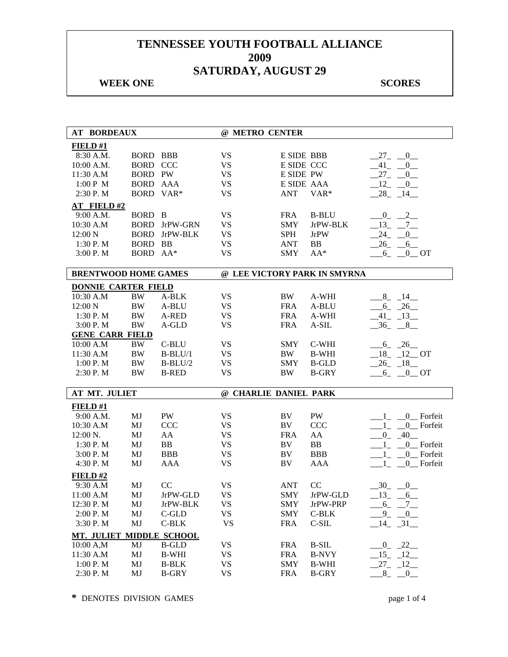## **WEEK ONE** SCORES

| <b>AT BORDEAUX</b>          |                 |                      | @ METRO CENTER        |                   |                              |                                       |
|-----------------------------|-----------------|----------------------|-----------------------|-------------------|------------------------------|---------------------------------------|
| FIELD#1                     |                 |                      |                       |                   |                              |                                       |
| 8:30 A.M.                   | <b>BORD BBB</b> |                      | <b>VS</b>             | <b>E SIDE BBB</b> |                              | $-27$ $-0$                            |
| 10:00 A.M.                  | <b>BORD CCC</b> |                      | <b>VS</b>             | E SIDE CCC        |                              | 41<br>$\overline{0}$<br>$\sim$        |
| 11:30 A.M                   | <b>BORD PW</b>  |                      | <b>VS</b>             | E SIDE PW         |                              | $-27$<br>$\overline{0}$               |
| 1:00 P M                    | <b>BORD AAA</b> |                      | <b>VS</b>             | E SIDE AAA        |                              | 12<br>$\overline{0}$                  |
| 2:30 P.M                    | BORD VAR*       |                      | <b>VS</b>             | <b>ANT</b>        | VAR*                         | $28 - 14$                             |
| <b>AT FIELD#2</b>           |                 |                      |                       |                   |                              |                                       |
| 9:00 A.M.                   | BORD B          |                      | <b>VS</b>             | <b>FRA</b>        | <b>B-BLU</b>                 | $\overline{\phantom{0}}^2$<br>$0_{-}$ |
| 10:30 A.M                   |                 | <b>BORD</b> JrPW-GRN | <b>VS</b>             | <b>SMY</b>        | JrPW-BLK                     | $-13$<br>$7_{-}$                      |
| 12:00 N                     | <b>BORD</b>     | JrPW-BLK             | <b>VS</b>             | <b>SPH</b>        | <b>JrPW</b>                  | 24<br>0                               |
| 1:30 P.M                    | BORD BB         |                      | <b>VS</b>             | <b>ANT</b>        | <b>BB</b>                    | 26<br>$6$ <sub>—</sub>                |
| 3:00 P.M                    | BORD AA*        |                      | <b>VS</b>             | <b>SMY</b>        | $AA^*$                       | 6<br>$0$ <sub>O</sub> OT              |
| <b>BRENTWOOD HOME GAMES</b> |                 |                      |                       |                   | @ LEE VICTORY PARK IN SMYRNA |                                       |
| <b>DONNIE CARTER FIELD</b>  |                 |                      |                       |                   |                              |                                       |
| 10:30 A.M                   | <b>BW</b>       | A-BLK                | <b>VS</b>             | <b>BW</b>         | A-WHI                        | $-8$ $-14$                            |
| 12:00 N                     | <b>BW</b>       | A-BLU                | <b>VS</b>             | <b>FRA</b>        | A-BLU                        | $6 - 26$                              |
| 1:30 P.M                    | <b>BW</b>       | A-RED                | <b>VS</b>             | <b>FRA</b>        | A-WHI                        | $-41$ $-13$                           |
| 3:00 P.M                    | BW              | A-GLD                | <b>VS</b>             | <b>FRA</b>        | A-SIL                        | $-36$ $-8$ $-$                        |
| <b>GENE CARR FIELD</b>      |                 |                      |                       |                   |                              |                                       |
| 10:00 A.M                   | $\rm BW$        | C-BLU                | <b>VS</b>             | <b>SMY</b>        | C-WHI                        | $-6 - 26$                             |
| 11:30 A.M                   | <b>BW</b>       | $B-BLU/1$            | <b>VS</b>             | BW                | <b>B-WHI</b>                 | $18$ $12$ OT                          |
| 1:00 P.M                    | <b>BW</b>       | $B-BLU/2$            | <b>VS</b>             | <b>SMY</b>        | <b>B-GLD</b>                 | $-26$ $-18$ $-$                       |
| 2:30 P.M                    | <b>BW</b>       | <b>B-RED</b>         | <b>VS</b>             | <b>BW</b>         | <b>B-GRY</b>                 | $6 \t -0 \t 0T$                       |
|                             |                 |                      |                       |                   |                              |                                       |
| AT MT. JULIET               |                 |                      | @ CHARLIE DANIEL PARK |                   |                              |                                       |
| FIELD#1                     |                 |                      |                       |                   |                              |                                       |
| 9:00 A.M.                   | MJ              | <b>PW</b>            | <b>VS</b>             | BV                | PW                           | 0 Forfeit<br>$1_{-}$                  |
| 10:30 A.M                   | MJ              | <b>CCC</b>           | <b>VS</b>             | BV                | <b>CCC</b>                   | $-1$ $-$<br>0 Forfeit                 |
| 12:00 N.                    | MJ              | AA                   | <b>VS</b>             | <b>FRA</b>        | AA                           | $0 - 40$                              |
| 1:30 P.M                    | MJ              | BB                   | <b>VS</b>             | BV                | BB                           | 0_Forfeit<br>$1_{-}$                  |
| 3:00 P. M                   | MJ              | <b>BBB</b>           | <b>VS</b>             | BV                | <b>BBB</b>                   | 0 Forfeit<br>$1_{-}$                  |
| 4:30 P.M                    | MJ              | <b>AAA</b>           | <b>VS</b>             | BV                | <b>AAA</b>                   | 0 Forfeit<br>$\mathbf{1}$             |
| FIELD #2                    |                 |                      |                       |                   |                              |                                       |
| 9:30 A.M                    | MJ              | CC                   | <b>VS</b>             | <b>ANT</b>        | CC                           | 30<br>0                               |
| 11:00 A.M                   | MJ              | JrPW-GLD             | <b>VS</b>             | SMY               | JrPW-GLD                     | $-13$ $-6$                            |
| 12:30 P.M                   | MJ              | JrPW-BLK             | VS                    | SMY               | JrPW-PRP                     | $-6 - 7$                              |
| 2:00 P.M                    | MJ              | C-GLD                | <b>VS</b>             | <b>SMY</b>        | $C-BLK$                      | $-9$ $-0$                             |
| 3:30 P.M                    | MJ              | $C-BLK$              | <b>VS</b>             | <b>FRA</b>        | C-SIL                        | $-14$ $-31$                           |
| MT. JULIET                  |                 | <b>MIDDLE SCHOOL</b> |                       |                   |                              |                                       |
| 10:00 A,M                   | MJ              | <b>B-GLD</b>         | <b>VS</b>             | <b>FRA</b>        | <b>B-SIL</b>                 | $-0$ $-22$                            |
| 11:30 A.M                   | MJ              | <b>B-WHI</b>         | <b>VS</b>             | <b>FRA</b>        | <b>B-NVY</b>                 | $-15 - 12$                            |
| 1:00 P.M                    | MJ              | <b>B-BLK</b>         | VS                    | <b>SMY</b>        | <b>B-WHI</b>                 | $-27$ $-12$ $-$                       |
| 2:30 P.M                    | MJ              | <b>B-GRY</b>         | <b>VS</b>             | <b>FRA</b>        | <b>B-GRY</b>                 | $8 - 0$                               |

**\*** DENOTES DIVISION GAMES page 1 of 4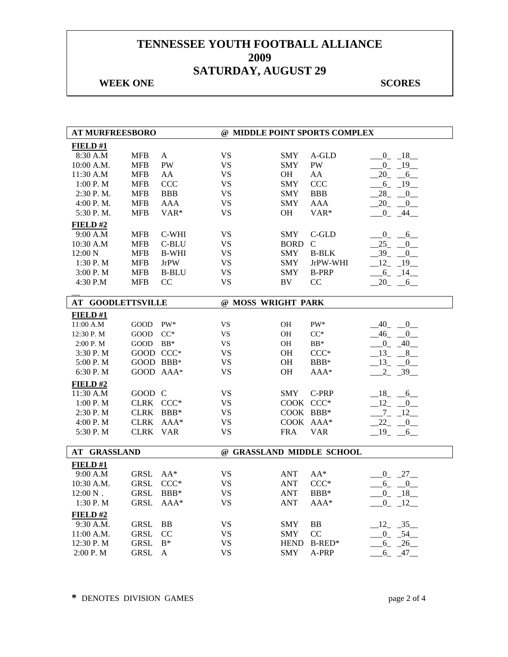## **WEEK ONE** SCORES

| <b>AT MURFREESBORO</b>   |              |                  |                           |             | @ MIDDLE POINT SPORTS COMPLEX |                           |
|--------------------------|--------------|------------------|---------------------------|-------------|-------------------------------|---------------------------|
| FIELD#1                  |              |                  |                           |             |                               |                           |
| 8:30 A.M                 | <b>MFB</b>   | $\mathbf{A}$     | <b>VS</b>                 | SMY         | A-GLD                         | $0 - 18$                  |
| 10:00 A.M.               | <b>MFB</b>   | PW               | <b>VS</b>                 | SMY         | PW                            | $-0$ $-19$                |
| 11:30 A.M                | <b>MFB</b>   | AA               | VS                        | OН          | AA                            | $-20 - 6$                 |
| 1:00 P.M                 | <b>MFB</b>   | <b>CCC</b>       | <b>VS</b>                 | <b>SMY</b>  | CCC                           | $6 - 19$                  |
| $2:30$ P.M.              | <b>MFB</b>   | <b>BBB</b>       | VS                        | <b>SMY</b>  | <b>BBB</b>                    | $28 - 0$                  |
| 4:00 P. M.               | <b>MFB</b>   | <b>AAA</b>       | <b>VS</b>                 | SMY         | <b>AAA</b>                    | $-20 - 0$                 |
| 5:30 P.M.                | <b>MFB</b>   | VAR <sup>*</sup> | <b>VS</b>                 | <b>OH</b>   | $VAR*$                        | $\mathbf{0}$<br>44        |
| FIELD#2                  |              |                  |                           |             |                               |                           |
| 9:00 A.M                 | <b>MFB</b>   | C-WHI            | <b>VS</b>                 | <b>SMY</b>  | $C$ -GLD                      | $0_{-}$<br>6              |
| 10:30 A.M                | <b>MFB</b>   | C-BLU            | VS                        | <b>BORD</b> | $\mathcal{C}$                 | 25<br>$\mathbf{0}$        |
| 12:00 N                  | <b>MFB</b>   | <b>B-WHI</b>     | <b>VS</b>                 | <b>SMY</b>  | <b>B-BLK</b>                  | 39<br>$\overline{0}$      |
| 1:30 P.M                 | <b>MFB</b>   | <b>JrPW</b>      | <b>VS</b>                 | SMY         | JrPW-WHI                      | $12 - 19$                 |
| 3:00 P.M                 | <b>MFB</b>   | <b>B-BLU</b>     | VS                        | SMY         | <b>B-PRP</b>                  | $-6 - 14$                 |
| 4:30 P.M                 | <b>MFB</b>   | CC               | <b>VS</b>                 | <b>BV</b>   | CC                            | $-20 - 6$                 |
|                          |              |                  |                           |             |                               |                           |
| <b>AT GOODLETTSVILLE</b> |              |                  | @ MOSS WRIGHT PARK        |             |                               |                           |
| FIELD#1                  |              |                  |                           |             |                               |                           |
| 11:00 A.M                | GOOD         | PW*              | VS                        | OH          | PW*                           | 40<br>0                   |
| 12:30 P.M                | $\rm{GOOD}$  | $CC^*$           | VS                        | OH          | $CC^*$                        | $-46$<br>$\mathbf{0}$     |
| 2:00 P. M                | GOOD         | $BB*$            | <b>VS</b>                 | OH          | $BB*$                         | $0 - 40$                  |
| 3:30P. M                 | GOOD CCC*    |                  | VS                        | OH          | $CCC*$                        | $-13 - 8$                 |
| 5:00 P.M                 | GOOD BBB*    |                  | <b>VS</b>                 | OH          | BBB*                          | $-13$ $-$<br>$\mathbf{0}$ |
| 6:30 P.M                 | GOOD AAA*    |                  | <b>VS</b>                 | OH          | AAA*                          | $2 - 39$                  |
| FIELD#2                  |              |                  |                           |             |                               |                           |
| 11:30 A.M                | GOOD C       |                  | <b>VS</b>                 | <b>SMY</b>  | C-PRP                         | $-18$<br>6                |
| 1:00 P.M                 | CLRK CCC*    |                  | VS                        | COOK CCC*   |                               | 12<br>$\mathbf{0}$        |
| 2:30 P.M                 | <b>CLRK</b>  | $BBB*$           | <b>VS</b>                 | COOK BBB*   |                               | $7_{-}$<br>$-12$          |
| 4:00 P.M                 | <b>CLRK</b>  | $AAA*$           | <b>VS</b>                 | COOK AAA*   |                               | 22<br>0                   |
| 5:30 P.M                 | <b>CLRK</b>  | <b>VAR</b>       | <b>VS</b>                 | <b>FRA</b>  | <b>VAR</b>                    | $19_{-}$<br>6             |
| <b>AT GRASSLAND</b>      |              |                  | @ GRASSLAND MIDDLE SCHOOL |             |                               |                           |
|                          |              |                  |                           |             |                               |                           |
| FIED#1<br>9:00 A.M       | <b>GRSL</b>  | $AA^*$           | <b>VS</b>                 | <b>ANT</b>  | $AA^*$                        |                           |
| 10:30 A.M.               | <b>GRSL</b>  | $CCC*$           | <b>VS</b>                 | <b>ANT</b>  | $CCC*$                        | $0 - 27$                  |
| $12:00 N$ .              | <b>GRSL</b>  | BBB*             | VS                        | <b>ANT</b>  |                               | $-6 - 0$<br>$0 - 18$      |
| 1:30 P.M                 | <b>GRSL</b>  | $AAA*$           | <b>VS</b>                 | <b>ANT</b>  | BBB*<br>AAA*                  | $-0$ $-12$                |
|                          |              |                  |                           |             |                               |                           |
| FIELD#2                  |              |                  |                           |             |                               |                           |
| 9:30 A.M.                | <b>GRSL</b>  | BB               | <b>VS</b>                 | <b>SMY</b>  | BB                            | $-12$ $-35$               |
| 11:00 A.M.               | <b>GRSL</b>  | CC               | VS                        | SMY         | CC                            | $0 - 54$                  |
| 12:30 P.M                | <b>GRSL</b>  | $B^*$            | <b>VS</b><br><b>VS</b>    | <b>HEND</b> | $B$ -RED*                     | $-6 - 26$                 |
| 2:00 P.M                 | ${\tt GRSL}$ | A                |                           | <b>SMY</b>  | A-PRP                         | 47<br>6                   |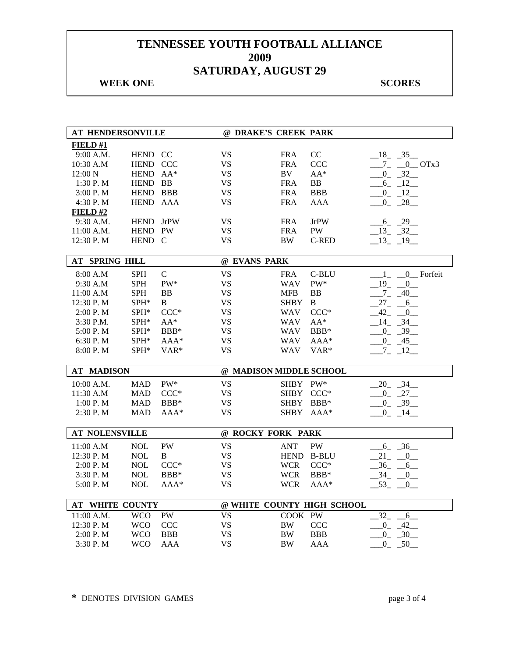## **WEEK ONE** SCORES

| AT HENDERSONVILLE                    |            |              | @ DRAKE'S CREEK PARK    |             |                            |                              |
|--------------------------------------|------------|--------------|-------------------------|-------------|----------------------------|------------------------------|
| FIELD#1                              |            |              |                         |             |                            |                              |
| 9:00 A.M.                            | HEND CC    |              | VS                      | <b>FRA</b>  | CC                         | $-18$ $-35$                  |
| 10:30 A.M                            | HEND CCC   |              | <b>VS</b>               | <b>FRA</b>  | <b>CCC</b>                 | $7 - 0$ OTx3                 |
| 12:00 N                              | HEND AA*   |              | <b>VS</b>               | BV          | $AA^*$                     | $0 - 32$                     |
| 1:30 P.M                             | HEND BB    |              | <b>VS</b>               | <b>FRA</b>  | ${\bf BB}$                 | $-6$ $-12$                   |
| 3:00 P.M                             | HEND BBB   |              | VS                      | <b>FRA</b>  | <b>BBB</b>                 | $-12$<br>$\overline{0}$      |
| 4:30 P.M                             | HEND AAA   |              | <b>VS</b>               | <b>FRA</b>  | AAA                        | $0 - 28$                     |
| FIELD#2                              |            |              |                         |             |                            |                              |
| 9:30 A.M.                            | HEND JrPW  |              | <b>VS</b>               | <b>FRA</b>  | <b>JrPW</b>                | 6 29                         |
| 11:00 A.M.                           | HEND PW    |              | <b>VS</b>               | <b>FRA</b>  | <b>PW</b>                  | $-13 - 32$                   |
| 12:30 P.M                            | HEND C     |              | VS                      | BW          | <b>C-RED</b>               | $-13$ $-19$                  |
|                                      |            |              |                         |             |                            |                              |
| <b>AT SPRING HILL</b>                |            |              | @ EVANS PARK            |             |                            |                              |
| 8:00 A.M                             | <b>SPH</b> | $\mathsf{C}$ | <b>VS</b>               | <b>FRA</b>  | C-BLU                      | 0_Forfeit<br>$\mathbf{1}$    |
| 9:30 A.M                             | <b>SPH</b> | PW*          | <b>VS</b>               | <b>WAV</b>  | PW*                        | 19<br>$\overline{0}$         |
| 11:00 A.M                            | <b>SPH</b> | BB           | <b>VS</b>               | <b>MFB</b>  | BB                         | $-7 - 40$                    |
| 12:30 P.M                            | SPH*       | B            | <b>VS</b>               | <b>SHBY</b> | B                          | $27_{-}$<br>$-6$             |
| 2:00 P.M                             | SPH*       | $CCC*$       | <b>VS</b>               | <b>WAV</b>  | $CCC*$                     | 42<br>$\mathbf{0}$           |
| 3:30 P.M.                            | SPH*       | $AA^*$       | <b>VS</b>               | <b>WAV</b>  | $AA^*$                     | 14<br>$-34$                  |
| 5:00 P.M                             | SPH*       | BBB*         | <b>VS</b>               | <b>WAV</b>  | BBB*                       | $-0$ $-39$                   |
| 6:30 P.M                             | SPH*       | AAA*         | <b>VS</b>               | WAV         | $AAA*$                     | $-0$ $-45$ $-$               |
| 8:00 P.M                             | SPH*       | VAR*         | <b>VS</b>               | WAV         | VAR*                       | $-7 - 12$                    |
|                                      |            |              |                         |             |                            |                              |
| <b>AT MADISON</b>                    |            |              | @ MADISON MIDDLE SCHOOL |             |                            |                              |
| 10:00 A.M.                           | <b>MAD</b> | PW*          | <b>VS</b>               | <b>SHBY</b> | PW*                        | $-20 - 34$                   |
| 11:30 A.M                            | <b>MAD</b> | $CCC*$       | <b>VS</b>               | <b>SHBY</b> | $CCC*$                     | $-0$ $-27$ $-$               |
| 1:00 P. M                            | <b>MAD</b> | $BBB*$       | <b>VS</b>               | <b>SHBY</b> | $BBB*$                     | $-0$ $-39$                   |
| 2:30 P.M                             | <b>MAD</b> | AAA*         | <b>VS</b>               | <b>SHBY</b> | $AAA*$                     | $-0$ $-14$                   |
|                                      |            |              |                         |             |                            |                              |
| <b>AT NOLENSVILLE</b>                |            |              | @ ROCKY FORK PARK       |             |                            |                              |
| 11:00 A.M                            | <b>NOL</b> | <b>PW</b>    | <b>VS</b>               | <b>ANT</b>  | <b>PW</b>                  | $6 - 36$                     |
| 12:30 P.M                            | <b>NOL</b> | B            | <b>VS</b>               | <b>HEND</b> | <b>B-BLU</b>               | 21<br>$\overline{0}$         |
| 2:00 P.M                             | <b>NOL</b> | $CCC*$       | <b>VS</b>               | <b>WCR</b>  | $CCC*$                     | 36<br>6                      |
| 3:30 P.M                             | <b>NOL</b> | $BBB*$       | <b>VS</b>               | <b>WCR</b>  | BBB*                       | 34<br>$\mathbf{0}$           |
| 5:00 P.M                             | $\rm NOL$  | $AAA*$       | <b>VS</b>               | <b>WCR</b>  | AAA*                       | $-53$ <sub>-</sub><br>$^{0}$ |
|                                      |            |              |                         |             |                            |                              |
| <b>AT WHITE COUNTY</b><br>11:00 A.M. | <b>WCO</b> | PW           | <b>VS</b>               | COOK PW     | @ WHITE COUNTY HIGH SCHOOL | $32_{-}$<br>6                |
| 12:30 P.M                            | <b>WCO</b> | <b>CCC</b>   | <b>VS</b>               | <b>BW</b>   | CCC                        | $0_{-}$<br>42                |
| 2:00 P.M                             | <b>WCO</b> | <b>BBB</b>   | <b>VS</b>               | <b>BW</b>   | <b>BBB</b>                 |                              |
|                                      | <b>WCO</b> |              | <b>VS</b>               |             |                            | $0_{-}$<br>$-30$             |
| 3:30 P.M                             |            | AAA          |                         | BW          | AAA                        | $\overline{0}$<br>50         |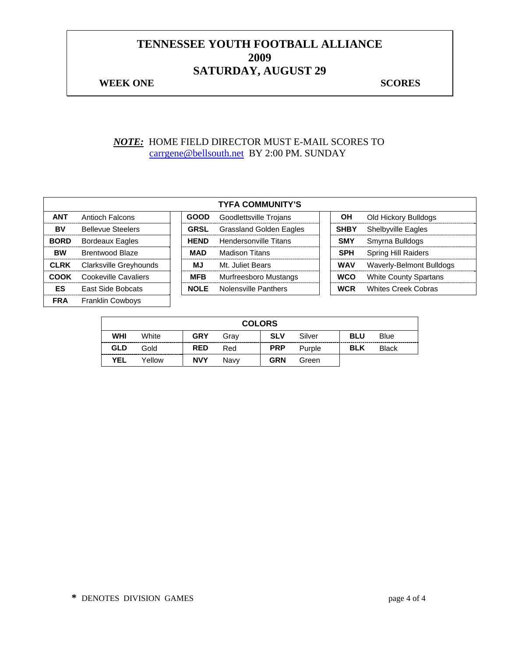#### **WEEK ONE** SCORES

*NOTE:* HOME FIELD DIRECTOR MUST E-MAIL SCORES TO carrgene@bellsouth.net BY 2:00 PM. SUNDAY

|             |                          |             | <b>TYFA COMMUNITY'S</b>        |             |                              |
|-------------|--------------------------|-------------|--------------------------------|-------------|------------------------------|
| <b>ANT</b>  | Antioch Falcons          | <b>GOOD</b> | Goodlettsville Trojans         | <b>OH</b>   | Old Hickory Bulldogs         |
| BV          | <b>Bellevue Steelers</b> | <b>GRSL</b> | <b>Grassland Golden Eagles</b> | <b>SHBY</b> | <b>Shelbyville Eagles</b>    |
| <b>BORD</b> | <b>Bordeaux Eagles</b>   | <b>HEND</b> | Hendersonville Titans          | <b>SMY</b>  | Smyrna Bulldogs              |
| <b>BW</b>   | <b>Brentwood Blaze</b>   | <b>MAD</b>  | <b>Madison Titans</b>          | <b>SPH</b>  | <b>Spring Hill Raiders</b>   |
| <b>CLRK</b> | Clarksville Greyhounds   | MJ          | Mt. Juliet Bears               | <b>WAV</b>  | Waverly-Belmont Bulldogs     |
| COOK        | Cookeville Cavaliers     | <b>MFB</b>  | Murfreesboro Mustangs          | <b>WCO</b>  | <b>White County Spartans</b> |
| ES          | East Side Bobcats        | <b>NOLE</b> | Nolensville Panthers           | <b>WCR</b>  | <b>Whites Creek Cobras</b>   |
| <b>FRA</b>  | <b>Franklin Cowboys</b>  |             |                                |             |                              |

|            |        |            | <b>COLORS</b> |            |        |            |              |
|------------|--------|------------|---------------|------------|--------|------------|--------------|
| <b>WHI</b> | White  | <b>GRY</b> | Grav          | <b>SLV</b> | Silver | <b>BLU</b> | <b>Blue</b>  |
| <b>GLD</b> | Gold   | <b>RED</b> | Red           | <b>PRP</b> | Purple | <b>BLK</b> | <b>Black</b> |
| <b>YEL</b> | Yellow | <b>NVY</b> | Navv          | GRN        | Green  |            |              |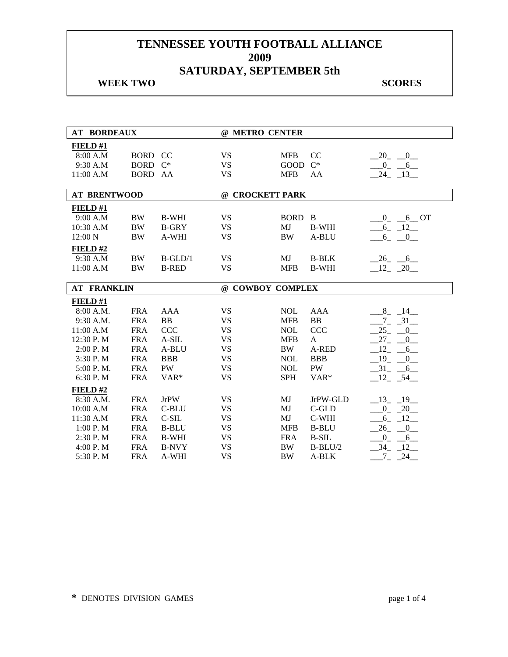## **WEEK TWO SCORES**

| <b>AT BORDEAUX</b>  |             |                  | @ METRO CENTER   |             |              |                                     |
|---------------------|-------------|------------------|------------------|-------------|--------------|-------------------------------------|
| FIELD#1             |             |                  |                  |             |              |                                     |
| 8:00 A.M            | <b>BORD</b> | CC               | <b>VS</b>        | <b>MFB</b>  | CC           | 20<br>$\overline{0}$                |
| 9:30 A.M            | <b>BORD</b> | $C^*$            | <b>VS</b>        | <b>GOOD</b> | $C^*$        | $_{0}$<br>$-6$                      |
| 11:00 A.M           | BORD AA     |                  | <b>VS</b>        | <b>MFB</b>  | AA           | 24<br>$-13$                         |
|                     |             |                  |                  |             |              |                                     |
| <b>AT BRENTWOOD</b> |             |                  | @ CROCKETT PARK  |             |              |                                     |
| FIELD #1            |             |                  |                  |             |              |                                     |
| 9:00 A.M            | <b>BW</b>   | <b>B-WHI</b>     | <b>VS</b>        | <b>BORD</b> | $\mathbf{B}$ | 6 OT<br>$\overline{0}$              |
| 10:30 A.M           | <b>BW</b>   | <b>B-GRY</b>     | <b>VS</b>        | MJ          | <b>B-WHI</b> | $6_{-}$<br>$-12$                    |
| 12:00 N             | <b>BW</b>   | A-WHI            | <b>VS</b>        | <b>BW</b>   | A-BLU        | $6_{-}$<br>$_{-0}$                  |
| FIELD#2             |             |                  |                  |             |              |                                     |
| 9:30 A.M            | <b>BW</b>   | $B-GLD/1$        | <b>VS</b>        | MJ          | <b>B-BLK</b> | $26 - 6$                            |
| 11:00 A.M           | <b>BW</b>   | <b>B-RED</b>     | <b>VS</b>        | <b>MFB</b>  | <b>B-WHI</b> | $12 - 20$                           |
|                     |             |                  |                  |             |              |                                     |
| <b>AT FRANKLIN</b>  |             |                  | @ COWBOY COMPLEX |             |              |                                     |
| FIELD #1            |             |                  |                  |             |              |                                     |
| 8:00 A.M.           | <b>FRA</b>  | AAA              | <b>VS</b>        | <b>NOL</b>  | <b>AAA</b>   | $8 - 14$                            |
| 9:30 A.M.           | <b>FRA</b>  | BB               | <b>VS</b>        | <b>MFB</b>  | <b>BB</b>    | $7 - 31$                            |
| 11:00 A.M           | <b>FRA</b>  | CCC              | <b>VS</b>        | <b>NOL</b>  | <b>CCC</b>   | $25 -$<br>$\overline{\phantom{0}0}$ |
| 12:30 P.M           | <b>FRA</b>  | $A-SIL$          | <b>VS</b>        | <b>MFB</b>  | $\mathbf{A}$ | $27_{-}$<br>$\overline{0}$          |
| 2:00 P.M            | <b>FRA</b>  | A-BLU            | <b>VS</b>        | <b>BW</b>   | A-RED        | 12<br>6                             |
| 3:30 P.M            | <b>FRA</b>  | <b>BBB</b>       | <b>VS</b>        | <b>NOL</b>  | <b>BBB</b>   | $-19$<br>$\overline{0}$             |
| 5:00 P.M.           | <b>FRA</b>  | <b>PW</b>        | <b>VS</b>        | <b>NOL</b>  | PW           | $-31$<br>$-6$                       |
| 6:30 P.M            | <b>FRA</b>  | VAR <sup>*</sup> | <b>VS</b>        | <b>SPH</b>  | VAR*         | $-12 - 54$                          |
| FIELD#2             |             |                  |                  |             |              |                                     |
| 8:30 A.M.           | <b>FRA</b>  | <b>JrPW</b>      | <b>VS</b>        | MJ          | JrPW-GLD     | $-13 - 19$                          |
| 10:00 A.M           | <b>FRA</b>  | C-BLU            | <b>VS</b>        | MJ          | C-GLD        | $-20$<br>$0_{-}$                    |
| 11:30 A.M           | <b>FRA</b>  | $C-SIL$          | <b>VS</b>        | MJ          | C-WHI        | $-12$<br>$-6$                       |
| 1:00 P.M            | <b>FRA</b>  | <b>B-BLU</b>     | <b>VS</b>        | <b>MFB</b>  | <b>B-BLU</b> | $\overline{\phantom{0}}^0$<br>26    |
| 2:30 P.M            | <b>FRA</b>  | <b>B-WHI</b>     | <b>VS</b>        | <b>FRA</b>  | <b>B-SIL</b> | 0<br>6                              |
| 4:00 P. M           | <b>FRA</b>  | <b>B-NVY</b>     | <b>VS</b>        | <b>BW</b>   | $B-BLU/2$    | 34<br>12                            |
| 5:30 P.M            | <b>FRA</b>  | A-WHI            | <b>VS</b>        | <b>BW</b>   | A-BLK        | 24<br>7                             |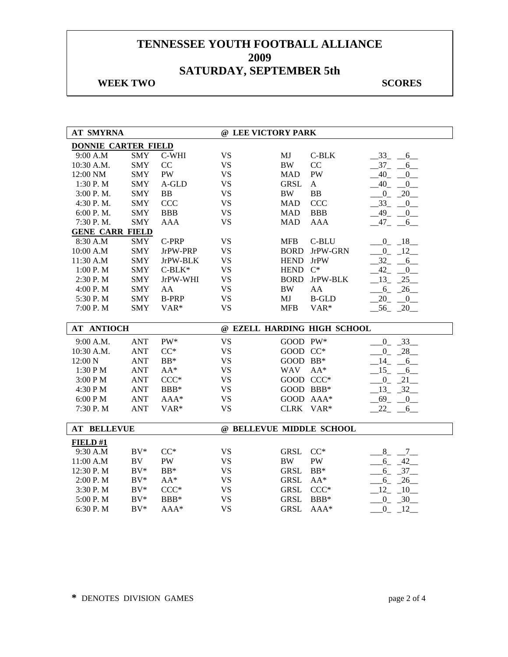## **WEEK TWO SCORES**

| <b>AT SMYRNA</b>           |            |              |           | @ LEE VICTORY PARK       |                             |                               |
|----------------------------|------------|--------------|-----------|--------------------------|-----------------------------|-------------------------------|
| <b>DONNIE CARTER FIELD</b> |            |              |           |                          |                             |                               |
| 9:00 A.M                   | <b>SMY</b> | C-WHI        | <b>VS</b> | MJ                       | $C-BLK$                     | $-33$ -<br>$-6$               |
| 10:30 A.M.                 | <b>SMY</b> | CC           | <b>VS</b> | <b>BW</b>                | CC                          | $-37$<br>6                    |
| 12:00 NM                   | <b>SMY</b> | <b>PW</b>    | <b>VS</b> | <b>MAD</b>               | PW                          | 40<br>0                       |
| 1:30 P.M                   | <b>SMY</b> | A-GLD        | <b>VS</b> | <b>GRSL</b>              | $\mathbf A$                 | 40<br>$_{0}$                  |
| 3:00 P.M.                  | <b>SMY</b> | <b>BB</b>    | <b>VS</b> | <b>BW</b>                | BB                          | $\overline{0}$<br>$-20$       |
| 4:30 P.M.                  | <b>SMY</b> | <b>CCC</b>   | <b>VS</b> | <b>MAD</b>               | CCC                         | $-33$<br>$-0$                 |
| 6:00 P.M.                  | <b>SMY</b> | <b>BBB</b>   | <b>VS</b> | <b>MAD</b>               | <b>BBB</b>                  | $-49$ $-$<br>$\overline{0}$   |
| 7:30 P.M.                  | <b>SMY</b> | <b>AAA</b>   | <b>VS</b> | <b>MAD</b>               | <b>AAA</b>                  | $-47$ $-$<br>$6$ <sub>—</sub> |
| <b>GENE CARR FIELD</b>     |            |              |           |                          |                             |                               |
| 8:30 A.M                   | <b>SMY</b> | C-PRP        | <b>VS</b> | <b>MFB</b>               | C-BLU                       | $0 - 18$                      |
| 10:00 A.M                  | <b>SMY</b> | JrPW-PRP     | <b>VS</b> | <b>BORD</b>              | JrPW-GRN                    | $0 - 12$                      |
| 11:30 A.M                  | <b>SMY</b> | JrPW-BLK     | <b>VS</b> | <b>HEND</b>              | <b>JrPW</b>                 | $-32 - 6$                     |
| 1:00 P.M                   | <b>SMY</b> | $C-BLK*$     | <b>VS</b> | <b>HEND</b>              | $C^*$                       | 42 0                          |
| 2:30 P.M                   | <b>SMY</b> | JrPW-WHI     | <b>VS</b> | <b>BORD</b>              | JrPW-BLK                    | $-13 - 25$                    |
| 4:00 P. M                  | <b>SMY</b> | AA           | <b>VS</b> | $\rm BW$                 | AA                          | $-26$<br>$6_{-}$              |
| 5:30 P.M                   | <b>SMY</b> | <b>B-PRP</b> | <b>VS</b> | MJ                       | <b>B-GLD</b>                | 20<br>$\overline{0}$          |
| 7:00 P.M                   | <b>SMY</b> | VAR*         | <b>VS</b> | <b>MFB</b>               | VAR*                        | $-56$ $-20$                   |
|                            |            |              |           |                          |                             |                               |
|                            |            |              |           |                          |                             |                               |
| <b>AT ANTIOCH</b>          |            |              |           |                          | @ EZELL HARDING HIGH SCHOOL |                               |
| 9:00 A.M.                  | <b>ANT</b> | PW*          | <b>VS</b> | GOOD PW*                 |                             | $0 \quad 33$                  |
| 10:30 A.M.                 | <b>ANT</b> | $CC^*$       | VS        | GOOD CC*                 |                             | $0_{-}$<br>$-28$              |
| 12:00 N                    | <b>ANT</b> | $BB*$        | <b>VS</b> | GOOD BB*                 |                             | 14<br>6                       |
| 1:30 PM                    | <b>ANT</b> | $AA^*$       | <b>VS</b> | <b>WAV</b>               | $AA^*$                      | $15 -$<br>6                   |
| 3:00 PM                    | <b>ANT</b> | $CCC*$       | <b>VS</b> | GOOD CCC*                |                             | $-0$ $-21$ $-$                |
| 4:30 PM                    | <b>ANT</b> | $\rm{BBB}^*$ | <b>VS</b> | GOOD BBB*                |                             | $-13 - 32$                    |
| 6:00 P M                   | <b>ANT</b> | $AAA*$       | <b>VS</b> | GOOD AAA*                |                             | 69<br>$\overline{0}$          |
| 7:30 P.M                   | <b>ANT</b> | VAR*         | <b>VS</b> | CLRK VAR*                |                             | 22<br>6                       |
|                            |            |              |           |                          |                             |                               |
| <b>AT BELLEVUE</b>         |            |              |           | @ BELLEVUE MIDDLE SCHOOL |                             |                               |
| FIED#1                     |            |              |           |                          |                             |                               |
| 9:30 A.M                   | $BV^*$     | $CC^*$       | <b>VS</b> | <b>GRSL</b>              | $CC^*$                      | $8 - 7$                       |
| 11:00 A.M                  | BV         | PW           | <b>VS</b> | <b>BW</b>                | PW                          | 6<br>42                       |
| 12:30 P.M                  | $BV^*$     | $BB*$        | <b>VS</b> | <b>GRSL</b>              | $\rm BB^*$                  | $6 - 37$                      |
| 2:00 P. M                  | $BV^*$     | $AA^*$       | <b>VS</b> | <b>GRSL</b>              | $AA^*$                      | $-6 - 26$                     |
| 3:30 P.M                   | $BV^*$     | $CCC*$       | <b>VS</b> | <b>GRSL</b>              | $CCC*$                      | $12 - 10$                     |
| 5:00 P.M                   | $BV^*$     | BBB*         | <b>VS</b> | <b>GRSL</b>              | BBB*                        |                               |
| 6:30 P.M                   | $BV^*$     | $AAA*$       | <b>VS</b> | <b>GRSL</b>              | $AAA*$                      | $0 - 30$<br>$-0$ $-12$        |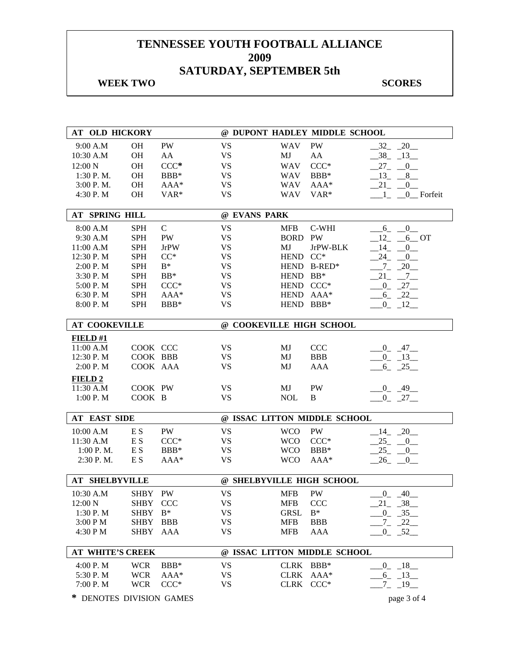## **WEEK TWO SCORES**

| <b>AT OLD HICKORY</b>    |             |                |                           |             | @ DUPONT HADLEY MIDDLE SCHOOL |                                       |
|--------------------------|-------------|----------------|---------------------------|-------------|-------------------------------|---------------------------------------|
| 9:00 A.M                 | OH          | PW             | <b>VS</b>                 | <b>WAV</b>  | <b>PW</b>                     | $-32 - 20$                            |
| 10:30 A.M                | <b>OH</b>   | AA             | <b>VS</b>                 | MJ          | AA                            | $38_{-}$<br>$-13$                     |
| 12:00 N                  | OH          | $CCC*$         | <b>VS</b>                 | <b>WAV</b>  | $CCC*$                        | $27_{-}$<br>$\mathbf{0}$              |
| 1:30 P.M.                | <b>OH</b>   | BBB*           | <b>VS</b>                 | <b>WAV</b>  | BBB*                          | 13<br>8                               |
| 3:00 P.M.                | <b>OH</b>   | $AAA*$         | <b>VS</b>                 | <b>WAV</b>  | AAA*                          | 21<br>$\boldsymbol{0}$                |
| 4:30 P.M                 | <b>OH</b>   | VAR*           | <b>VS</b>                 | <b>WAV</b>  | $VAR*$                        | 0 Forfeit<br>1                        |
| AT SPRING HILL           |             |                | @ EVANS PARK              |             |                               |                                       |
| 8:00 A.M                 | <b>SPH</b>  | $\mathsf{C}$   | <b>VS</b>                 | <b>MFB</b>  | C-WHI                         | $_{0}$                                |
| 9:30 A.M                 | <b>SPH</b>  | PW             | <b>VS</b>                 | <b>BORD</b> | PW                            | $6_{-}$<br>$_{12}$<br>$6$ OT          |
| 11:00 A.M                | <b>SPH</b>  | <b>JrPW</b>    | <b>VS</b>                 | MJ          | JrPW-BLK                      | 14<br>$\overline{0}$                  |
| 12:30 P.M                | <b>SPH</b>  | $CC*$          | <b>VS</b>                 | <b>HEND</b> | $CC^*$                        | 24<br>$\overline{0}$                  |
| 2:00 P.M                 | <b>SPH</b>  | $\mathrm{B}^*$ | <b>VS</b>                 |             | HEND B-RED*                   | $\overline{\phantom{0}}20$<br>$7_{-}$ |
| 3:30 P.M                 | <b>SPH</b>  | $BB*$          | <b>VS</b>                 | HEND BB*    |                               | 21<br>$7\degree$                      |
| 5:00 P.M                 | <b>SPH</b>  | $CCC*$         | <b>VS</b>                 | HEND CCC*   |                               | $0 - 27$                              |
| 6:30 P.M                 | <b>SPH</b>  | $AAA*$         | <b>VS</b>                 | HEND AAA*   |                               | $-22$                                 |
|                          | <b>SPH</b>  | $BBB*$         | <b>VS</b>                 | HEND BBB*   |                               | $6_{-}$                               |
| 8:00 P.M                 |             |                |                           |             |                               | $0 - 12$                              |
| <b>AT COOKEVILLE</b>     |             |                | @ COOKEVILLE HIGH SCHOOL  |             |                               |                                       |
| FIELD#1                  |             |                |                           |             |                               |                                       |
| 11:00 A.M                | COOK CCC    |                | <b>VS</b>                 | MJ          | <b>CCC</b>                    | $-0$ $-47$ $-$                        |
| 12:30 P.M                | COOK BBB    |                | VS                        | MJ          | <b>BBB</b>                    | $-0$ $-13$                            |
| 2:00 P.M                 | COOK AAA    |                | <b>VS</b>                 | MJ          | AAA                           | $-6 - 25$                             |
| <b>FIELD 2</b>           |             |                |                           |             |                               |                                       |
| 11:30 A.M                | COOK PW     |                | <b>VS</b>                 | MJ          | PW                            | $-0$ $-49$ $-$                        |
| 1:00 P. M                | COOK B      |                | <b>VS</b>                 | <b>NOL</b>  | B                             | $0 - 27$                              |
|                          |             |                |                           |             |                               |                                       |
| <b>AT EAST SIDE</b>      |             |                |                           |             | @ ISSAC LITTON MIDDLE SCHOOL  |                                       |
| 10:00 A.M                | E S         | PW             | <b>VS</b>                 | <b>WCO</b>  | PW                            | $-14$ $-20$                           |
| 11:30 A.M                | E S         | $CCC*$         | <b>VS</b>                 | <b>WCO</b>  | $CCC*$                        | 25<br>$-0$                            |
| 1:00 P.M.                | E S         | BBB*           | <b>VS</b>                 | <b>WCO</b>  | BBB*                          | 25<br>$_{0-}$                         |
| 2:30 P.M.                | E S         | $AAA*$         | <b>VS</b>                 | <b>WCO</b>  | AAA*                          | 26<br>0                               |
|                          |             |                |                           |             |                               |                                       |
| <b>AT SHELBYVILLE</b>    |             |                | @ SHELBYVILLE HIGH SCHOOL |             |                               |                                       |
| 10:30 A.M                | SHBY PW     |                | <b>VS</b>                 | <b>MFB</b>  | <b>PW</b>                     | $0 - 40$                              |
| 12:00 N                  | SHBY        | <b>CCC</b>     | <b>VS</b>                 | <b>MFB</b>  | <b>CCC</b>                    | 21 38                                 |
| 1:30 P.M                 | <b>SHBY</b> | $B^*$          | <b>VS</b>                 | <b>GRSL</b> | $B^*$                         | $0 - 35$                              |
| 3:00 PM                  | <b>SHBY</b> | <b>BBB</b>     | <b>VS</b>                 | <b>MFB</b>  | <b>BBB</b>                    | $-7 - 22$                             |
| 4:30 P M                 | <b>SHBY</b> | AAA            | <b>VS</b>                 | <b>MFB</b>  | AAA                           | $-0$ $-52$ $-$                        |
|                          |             |                |                           |             |                               |                                       |
| <b>AT WHITE'S CREEK</b>  |             |                |                           |             | @ ISSAC LITTON MIDDLE SCHOOL  |                                       |
| 4:00 P.M                 | <b>WCR</b>  | BBB*           | VS                        | CLRK BBB*   |                               | $-0$ $-18$                            |
| 5:30 P.M                 | <b>WCR</b>  | $AAA*$         | <b>VS</b>                 | CLRK AAA*   |                               | $6 - 13$                              |
| 7:00 P.M                 | <b>WCR</b>  | $CCC*$         | <b>VS</b>                 | CLRK CCC*   |                               | $-19$<br>$7_{-}$                      |
| * DENOTES DIVISION GAMES |             |                |                           |             |                               | page 3 of 4                           |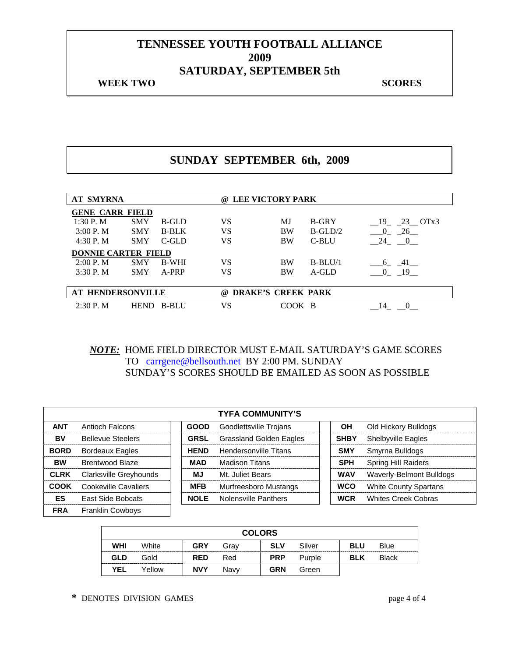#### **WEEK TWO SCORES**

## **SUNDAY SEPTEMBER 6th, 2009**

| <b>AT SMYRNA</b>           |             |              | @   | <b>LEE VICTORY PARK</b>   |              |                      |
|----------------------------|-------------|--------------|-----|---------------------------|--------------|----------------------|
| <b>GENE CARR FIELD</b>     |             |              |     |                           |              |                      |
| 1:30P. M                   | <b>SMY</b>  | B-GLD        | VS  | MJ                        | <b>B-GRY</b> | 19 23 OTx3           |
| 3:00 P. M                  | <b>SMY</b>  | <b>B-BLK</b> | VS  | <b>BW</b>                 | $B-GLD/2$    | $\overline{0}$<br>26 |
| 4:30P. M                   | <b>SMY</b>  | $C$ -GLD     | VS  | <b>BW</b>                 | C-BLU        | 24<br>$\overline{0}$ |
| <b>DONNIE CARTER FIELD</b> |             |              |     |                           |              |                      |
| 2:00 P. M                  | <b>SMY</b>  | <b>B-WHI</b> | VS  | <b>BW</b>                 | $B-BLU/1$    | - 41<br>6            |
| 3:30P. M                   | <b>SMY</b>  | A-PRP        | VS  | <b>BW</b>                 | A-GLD        | $\Omega$<br>- 19     |
|                            |             |              |     |                           |              |                      |
| <b>AT HENDERSONVILLE</b>   |             |              | (a) | <b>DRAKE'S CREEK PARK</b> |              |                      |
| $2:30P$ . M                | <b>HEND</b> | B-BLU        | VS  | COOK                      | - B          |                      |

*NOTE:* HOME FIELD DIRECTOR MUST E-MAIL SATURDAY'S GAME SCORES TO carrgene@bellsouth.net BY 2:00 PM. SUNDAY SUNDAY'S SCORES SHOULD BE EMAILED AS SOON AS POSSIBLE

|             |                          |             | <b>TYFA COMMUNITY'S</b>        |             |                              |
|-------------|--------------------------|-------------|--------------------------------|-------------|------------------------------|
| <b>ANT</b>  | Antioch Falcons          | <b>GOOD</b> | Goodlettsville Trojans         | ΟH          | Old Hickory Bulldogs         |
| BV          | <b>Bellevue Steelers</b> | <b>GRSL</b> | <b>Grassland Golden Eagles</b> | <b>SHBY</b> | <b>Shelbyville Eagles</b>    |
| <b>BORD</b> | <b>Bordeaux Eagles</b>   | <b>HEND</b> | <b>Hendersonville Titans</b>   | <b>SMY</b>  | Smyrna Bulldogs              |
| <b>BW</b>   | <b>Brentwood Blaze</b>   | <b>MAD</b>  | <b>Madison Titans</b>          | <b>SPH</b>  | <b>Spring Hill Raiders</b>   |
| <b>CLRK</b> | Clarksville Greyhounds   | МJ          | Mt. Juliet Bears               | <b>WAV</b>  | Waverly-Belmont Bulldogs     |
| COOK        | Cookeville Cavaliers     | <b>MFB</b>  | Murfreesboro Mustangs          | <b>WCO</b>  | <b>White County Spartans</b> |
| ES          | East Side Bobcats        | <b>NOLE</b> | Nolensville Panthers           | <b>WCR</b>  | <b>Whites Creek Cobras</b>   |
| <b>FRA</b>  | <b>Franklin Cowboys</b>  |             |                                |             |                              |

|            |        |            |      | <b>COLORS</b> |        |            |              |
|------------|--------|------------|------|---------------|--------|------------|--------------|
| <b>WHI</b> | White  | <b>GRY</b> | Grav | <b>SLV</b>    | Silver | <b>BLU</b> | Blue         |
| <b>GLD</b> | Gold   | <b>RED</b> | Red  | <b>PRP</b>    | Purple | <b>BLK</b> | <b>Black</b> |
| <b>YEL</b> | Yellow | <b>NVY</b> | Navv | <b>GRN</b>    | Green  |            |              |

**\*** DENOTES DIVISION GAMES page 4 of 4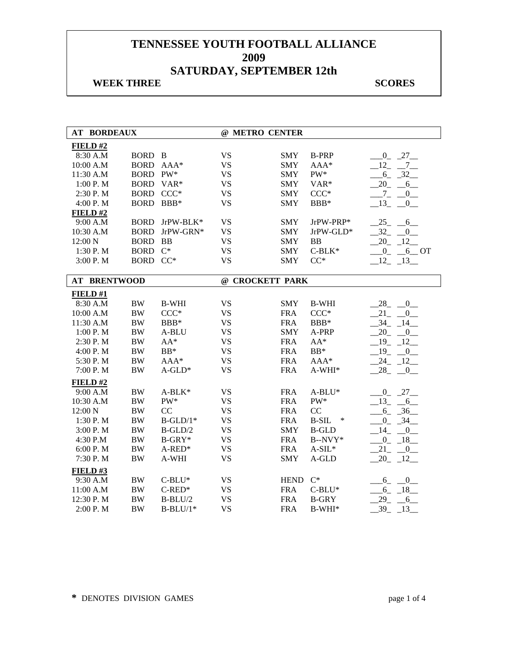## **WEEK THREE** SCORES

| <b>AT BORDEAUX</b>  |             |              | @ METRO CENTER  |             |                   |                                     |
|---------------------|-------------|--------------|-----------------|-------------|-------------------|-------------------------------------|
| FIELD#2             |             |              |                 |             |                   |                                     |
| 8:30 A.M            | BORD B      |              | <b>VS</b>       | <b>SMY</b>  | <b>B-PRP</b>      | $-0$ $-27$ $-$                      |
| 10:00 A.M           | <b>BORD</b> | $AAA*$       | <b>VS</b>       | <b>SMY</b>  | AAA*              | $12 - 7$                            |
| 11:30 A.M           | BORD PW*    |              | <b>VS</b>       | <b>SMY</b>  | PW*               | $-6 - 32$                           |
| 1:00 P.M            | BORD VAR*   |              | <b>VS</b>       | <b>SMY</b>  | VAR*              | $-20 - 6$                           |
| 2:30 P.M            | BORD CCC*   |              | <b>VS</b>       | <b>SMY</b>  | $CCC*$            | $-7 - 0$                            |
| 4:00 P.M            | <b>BORD</b> | $BBB*$       | <b>VS</b>       | <b>SMY</b>  | BBB*              | 13<br>$\mathbf{0}$                  |
| FIELD#2             |             |              |                 |             |                   |                                     |
| 9:00 A.M            | <b>BORD</b> | JrPW-BLK*    | <b>VS</b>       | <b>SMY</b>  | JrPW-PRP*         | 25<br>$-6$                          |
| 10:30 A.M           | <b>BORD</b> | JrPW-GRN*    | <b>VS</b>       | <b>SMY</b>  | JrPW-GLD*         | $-32$<br>$\mathbf{0}$               |
| 12:00 N             | <b>BORD</b> | <b>BB</b>    | <b>VS</b>       | <b>SMY</b>  | <b>BB</b>         | $20 - 12$                           |
| 1:30 P.M            | <b>BORD</b> | $C^*$        | <b>VS</b>       | <b>SMY</b>  | $C-BLK*$          | $0 - 6$ OT                          |
| 3:00 P.M            | BORD CC*    |              | <b>VS</b>       | <b>SMY</b>  | $CC^*$            | $-12$ $-13$                         |
|                     |             |              |                 |             |                   |                                     |
| <b>AT BRENTWOOD</b> |             |              | @ CROCKETT PARK |             |                   |                                     |
| FIELD#1             |             |              |                 |             |                   |                                     |
| 8:30 A.M            | $\rm BW$    | <b>B-WHI</b> | <b>VS</b>       | <b>SMY</b>  | <b>B-WHI</b>      | 28<br>0                             |
| 10:00 A.M           | $\rm BW$    | $CCC*$       | <b>VS</b>       | <b>FRA</b>  | $CCC*$            | 21<br>$\mathbf{0}$                  |
| 11:30 A.M           | $\rm BW$    | BBB*         | <b>VS</b>       | <b>FRA</b>  | BBB*              | 34<br>14                            |
| 1:00 P.M            | $\rm BW$    | A-BLU        | <b>VS</b>       | <b>SMY</b>  | A-PRP             | 20<br>$\overline{0}$                |
| 2:30 P.M            | <b>BW</b>   | $AA^*$       | <b>VS</b>       | <b>FRA</b>  | $AA^*$            | 19<br>12                            |
| 4:00 P.M            | $\rm BW$    | $BB*$        | <b>VS</b>       | <b>FRA</b>  | $BB*$             | $19_{-}$<br>$\overline{\mathbf{0}}$ |
| 5:30 P.M            | <b>BW</b>   | $AAA*$       | <b>VS</b>       | <b>FRA</b>  | $AAA*$            | 24 12                               |
| 7:00 P.M            | <b>BW</b>   | $A$ -GLD*    | <b>VS</b>       | <b>FRA</b>  | A-WHI*            | 28<br>$\overline{\phantom{0}}$      |
| FIELD#2             |             |              |                 |             |                   |                                     |
| 9:00 A.M            | $\rm BW$    | $A-BLK*$     | <b>VS</b>       | <b>FRA</b>  | $A-BLU^*$         | $0 - 27$                            |
| 10:30 A.M           | <b>BW</b>   | PW*          | <b>VS</b>       | <b>FRA</b>  | PW*               | $-13$<br>$-6$                       |
| 12:00 N             | $\rm BW$    | CC           | <b>VS</b>       | <b>FRA</b>  | CC                | $-36$<br>$6_{-}$                    |
| 1:30 P.M            | $\rm BW$    | $B-GLD/1*$   | <b>VS</b>       | <b>FRA</b>  | <b>B-SIL</b><br>∗ | $-34$<br>$0_{-}$                    |
| 3:00 P.M            | $\rm BW$    | $B-GLD/2$    | <b>VS</b>       | <b>SMY</b>  | <b>B-GLD</b>      | 14<br>$\overline{0}$                |
| 4:30 P.M            | $\rm BW$    | $B-GRY*$     | <b>VS</b>       | <b>FRA</b>  | $B-NVY*$          | $0_{-}$<br>$-18$                    |
| 6:00 P.M            | $\rm BW$    | $A$ -RED*    | <b>VS</b>       | <b>FRA</b>  | $A-SIL*$          | 21<br>$\overline{\phantom{0}}^0$    |
| 7:30 P.M            | <b>BW</b>   | A-WHI        | <b>VS</b>       | <b>SMY</b>  | A-GLD             | $20 - 12$                           |
| <b>FIELD #3</b>     |             |              |                 |             |                   |                                     |
| 9:30 A.M            | $\rm BW$    | $C-BLU^*$    | <b>VS</b>       | <b>HEND</b> | $C^*$             | $6 - 0$                             |
| 11:00 A.M           | $\rm BW$    | $C$ -RED*    | <b>VS</b>       | <b>FRA</b>  | $C-BLU^*$         | $-6 - 18$                           |
| 12:30 P.M           | $\rm BW$    | $B-BLU/2$    | <b>VS</b>       | <b>FRA</b>  | <b>B-GRY</b>      | 29<br>$-6$                          |
| 2:00 P. M           | <b>BW</b>   | $B-BLU/1*$   | <b>VS</b>       | <b>FRA</b>  | B-WHI*            | 39<br>13                            |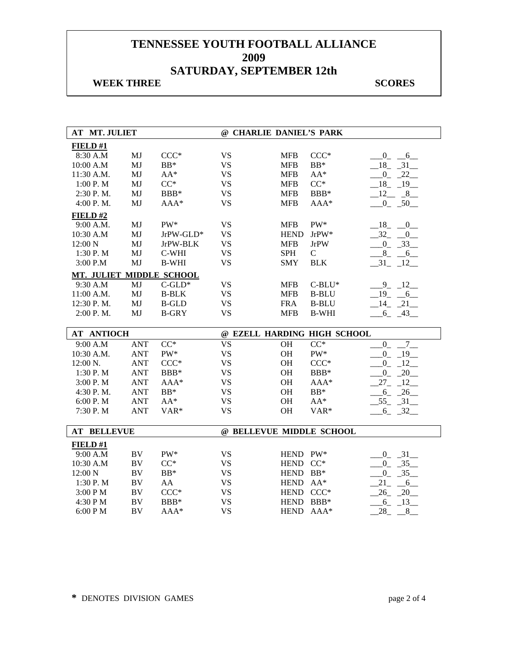## **WEEK THREE** SCORES

| <b>AT MT. JULIET</b>     |                        |              |                        | @ CHARLIE DANIEL'S PARK |                             |                            |
|--------------------------|------------------------|--------------|------------------------|-------------------------|-----------------------------|----------------------------|
| FIELD#1                  |                        |              |                        |                         |                             |                            |
| 8:30 A.M                 | MJ                     | $CCC*$       | <b>VS</b>              | <b>MFB</b>              | $CCC*$                      | $-0 - 6$                   |
| 10:00 A.M                | MJ                     | $BB*$        | <b>VS</b>              | <b>MFB</b>              | $BB*$                       | $-18$ $-31$                |
| 11:30 A.M.               | MJ                     | $AA^*$       | <b>VS</b>              | <b>MFB</b>              | $AA^*$                      | $0 - 22$                   |
| 1:00 P. M                | MJ                     | $CC^*$       | <b>VS</b>              | <b>MFB</b>              | $CC^*$                      | $18 - 19$                  |
| 2:30 P.M.                | MJ                     | BBB*         | <b>VS</b>              | <b>MFB</b>              | BBB*                        | $12 - 8$                   |
| 4:00 P.M.                | MJ                     | $AAA*$       | <b>VS</b>              | <b>MFB</b>              | AAA*                        | $0 - 50$                   |
| FIELD#2                  |                        |              |                        |                         |                             |                            |
| 9:00 A.M.                | MJ                     | $PW^*$       | <b>VS</b>              | <b>MFB</b>              | PW*                         | $18 - 0$                   |
| 10:30 A.M                | MJ                     | $JrPW-GLD*$  | <b>VS</b>              | <b>HEND</b>             | $JrPW*$                     | $-32 - 0$                  |
| 12:00 N                  | MJ                     | JrPW-BLK     | <b>VS</b>              | <b>MFB</b>              | <b>JrPW</b>                 | $-0$ $-33$                 |
| 1:30 P.M                 | MJ                     | C-WHI        | <b>VS</b>              | <b>SPH</b>              | $\mathbf C$                 | $8 - 6$                    |
| 3:00 P.M                 | MJ                     | <b>B-WHI</b> | <b>VS</b>              | <b>SMY</b>              | <b>BLK</b>                  | $-31 - 12$                 |
| MT. JULIET MIDDLE SCHOOL |                        |              |                        |                         |                             |                            |
| 9:30 A.M                 | MJ                     | $C$ -GLD*    | <b>VS</b>              | <b>MFB</b>              | $C-BLU^*$                   | $9 - 12$                   |
| 11:00 A.M.               | MJ                     | <b>B-BLK</b> | <b>VS</b>              | <b>MFB</b>              | <b>B-BLU</b>                | 19<br>$6\overline{6}$      |
| 12:30 P.M.               | MJ                     | <b>B-GLD</b> | <b>VS</b>              | <b>FRA</b>              | <b>B-BLU</b>                | $-14$ $-21$                |
| 2:00 P.M.                | MJ                     | <b>B-GRY</b> | <b>VS</b>              | <b>MFB</b>              | <b>B-WHI</b>                | $-6 - 43$                  |
|                          |                        |              |                        |                         |                             |                            |
|                          |                        |              |                        |                         |                             |                            |
| <b>AT ANTIOCH</b>        |                        |              |                        |                         | @ EZELL HARDING HIGH SCHOOL |                            |
| 9:00 A.M                 | <b>ANT</b>             | $CC^*$       | <b>VS</b>              | <b>OH</b>               | $CC^*$                      | $\overline{7}$<br>$0_{-}$  |
| 10:30 A.M.               | <b>ANT</b>             | PW*          | <b>VS</b>              | <b>OH</b>               | PW*                         | $-0$ $-19$                 |
| 12:00 N.                 | <b>ANT</b>             | $CCC*$       | <b>VS</b>              | OH                      | $CCC*$                      | $0 - 12$                   |
| 1:30 P.M                 | <b>ANT</b>             | BBB*         | <b>VS</b>              | <b>OH</b>               | BBB*                        | $0_{-}$<br>$\overline{20}$ |
| 3:00 P.M                 | <b>ANT</b>             | AAA*         | <b>VS</b>              | OH                      | AAA*                        | $-12$<br>$27_{-}$          |
| 4:30 P.M.                | <b>ANT</b>             | $BB*$        | <b>VS</b>              | <b>OH</b>               | $BB*$                       | $-6 - 26$                  |
| 6:00 P.M                 | <b>ANT</b>             | $AA^*$       | <b>VS</b>              | OH                      | $AA^*$                      | $-55 - 31$                 |
| 7:30 P.M                 | <b>ANT</b>             | VAR*         | <b>VS</b>              | <b>OH</b>               | VAR*                        | $-6 - 32$                  |
|                          |                        |              |                        |                         |                             |                            |
| <b>AT BELLEVUE</b>       |                        |              |                        |                         | @ BELLEVUE MIDDLE SCHOOL    |                            |
| FIELD#1                  |                        |              |                        |                         |                             |                            |
| 9:00 A.M                 | <b>BV</b>              | PW*          | <b>VS</b>              | HEND PW*                |                             | $0 - 31$                   |
| 10:30 A.M                | <b>BV</b>              | $CC^*$       | <b>VS</b>              | HEND CC*                |                             | $0 - 35$                   |
| 12:00 N                  | $\rm BV$               | $\rm BB^*$   | <b>VS</b>              | <b>HEND</b>             | $BB*$                       | $0 - 35$                   |
| 1:30 P.M                 | <b>BV</b>              | AA           | <b>VS</b>              | HEND AA*                |                             | 21<br>6                    |
| 3:00 PM                  | BV                     | $CCC*$       | <b>VS</b>              | HEND CCC*               |                             | 26<br>20                   |
| 4:30 PM<br>6:00 PM       | <b>BV</b><br><b>BV</b> | BBB*<br>AAA* | <b>VS</b><br><b>VS</b> | HEND BBB*<br>HEND AAA*  |                             | $6 - 13$<br>28<br>$-$ 8    |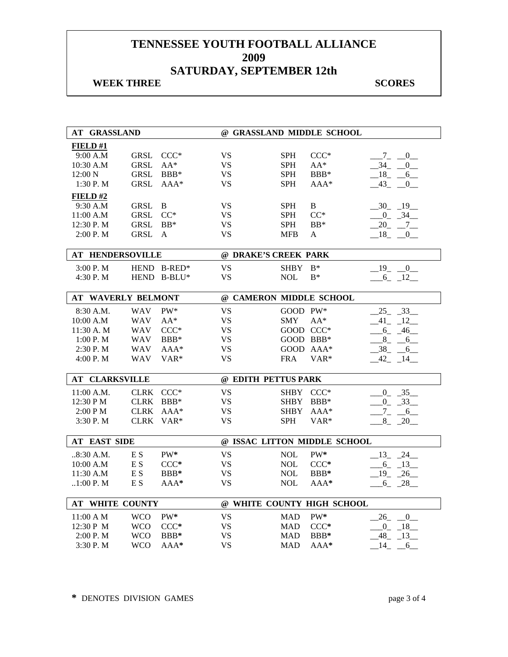## **WEEK THREE** SCORES

| AT GRASSLAND                 |             |                  |                         |             | @ GRASSLAND MIDDLE SCHOOL    |                                            |
|------------------------------|-------------|------------------|-------------------------|-------------|------------------------------|--------------------------------------------|
| FIELD#1                      |             |                  |                         |             |                              |                                            |
| 9:00 A.M                     | <b>GRSL</b> | $CCC*$           | <b>VS</b>               | <b>SPH</b>  | $CCC*$                       | $Z_{-}$<br>$\overline{0}$                  |
| 10:30 A.M                    | <b>GRSL</b> | $AA^*$           | <b>VS</b>               | <b>SPH</b>  | $AA^*$                       | $34 -$<br>$\mathbf{0}$                     |
| $12:00\ N$                   | <b>GRSL</b> | $BBB*$           | VS                      | <b>SPH</b>  | BBB*                         | $-18$ -<br>6                               |
| 1:30 P.M                     | <b>GRSL</b> | $AAA*$           | <b>VS</b>               | <b>SPH</b>  | AAA*                         | 43<br>$\mathbf{0}$                         |
| <b>FIELD#2</b>               |             |                  |                         |             |                              |                                            |
| 9:30 A.M                     | <b>GRSL</b> | B                | <b>VS</b>               | <b>SPH</b>  | $\, {\bf B}$                 | $-30$ $-19$                                |
| 11:00 A.M                    | <b>GRSL</b> | $CC^*$           | VS                      | <b>SPH</b>  | $CC^*$                       | $-0$ $-34$                                 |
| 12:30 P.M                    | <b>GRSL</b> | $BB*$            | VS                      | <b>SPH</b>  | $BB*$                        | $-20$ $-7$ $-$                             |
| 2:00 P.M                     | <b>GRSL</b> | A                | <b>VS</b>               | MFB         | A                            | $18 - 0$                                   |
|                              |             |                  |                         |             |                              |                                            |
| <b>HENDERSOVILLE</b><br>AТ   |             |                  | @ DRAKE'S CREEK PARK    |             |                              |                                            |
| 3:00 P. M                    |             | HEND B-RED*      | <b>VS</b>               | <b>SHBY</b> | $\mathbf{B}^*$               | $-19$<br>$\begin{array}{cc} 0 \end{array}$ |
| 4:30 P.M                     |             | HEND B-BLU*      | <b>VS</b>               | <b>NOL</b>  | $B^*$                        | $-6$ $-12$                                 |
|                              |             |                  |                         |             |                              |                                            |
| <b>WAVERLY BELMONT</b><br>AТ |             |                  | @ CAMERON MIDDLE SCHOOL |             |                              |                                            |
| 8:30 A.M.                    | <b>WAV</b>  | PW*              | VS                      | GOOD PW*    |                              | $25 - 33$                                  |
| 10:00 A.M                    | <b>WAV</b>  | $AA^*$           | <b>VS</b>               | <b>SMY</b>  | $AA^*$                       | $-41$ $-12$                                |
| 11:30 A.M                    | WAV         | $CCC*$           | <b>VS</b>               |             | GOOD CCC*                    | $-6 - 46$                                  |
| 1:00 P. M                    | <b>WAV</b>  | $BBB*$           | <b>VS</b>               |             | GOOD BBB*                    | $-8$ $-6$ $-$                              |
| $2:30$ P. M                  | <b>WAV</b>  | $AAA*$           | <b>VS</b>               |             | GOOD AAA*                    | $-38 - 6$                                  |
| 4:00 P. M                    | WAV         | VAR <sup>*</sup> | VS                      | <b>FRA</b>  | VAR*                         | $-42$ $-14$ $-$                            |
|                              |             |                  |                         |             |                              |                                            |
| <b>AT CLARKSVILLE</b>        |             |                  | @ EDITH PETTUS PARK     |             |                              |                                            |
| 11:00 A.M.                   |             | CLRK CCC*        | <b>VS</b>               |             | SHBY CCC*                    | $0 - 35$                                   |
| 12:30 PM                     | <b>CLRK</b> | $BBB*$           | <b>VS</b>               | SHBY        | $BBB*$                       | $0 \quad 33$                               |
| 2:00 P M                     |             | CLRK AAA*        | VS                      | <b>SHBY</b> | $AAA*$                       | $-7 - -6$                                  |
| 3:30 P.M                     | <b>CLRK</b> | $VAR*$           | <b>VS</b>               | <b>SPH</b>  | VAR*                         | $8 - 20$                                   |
|                              |             |                  |                         |             |                              |                                            |
| <b>AT EAST SIDE</b>          |             |                  |                         |             | @ ISSAC LITTON MIDDLE SCHOOL |                                            |
| .8:30 A.M.                   | E S         | PW*              | <b>VS</b>               | <b>NOL</b>  | PW*                          | $-13$ $-24$                                |
| 10:00 A.M                    | E S         | $CCC*$           | <b>VS</b>               | <b>NOL</b>  | $CCC*$                       | $6 - 13$                                   |
| 11:30 A.M                    | E S         | BBB*             | <b>VS</b>               | $\rm NOL$   | BBB*                         | $-19$ $-26$                                |
| $.1:00$ P. M                 | E S         | AAA*             | <b>VS</b>               | <b>NOL</b>  | $AAA*$                       | $-6 - 28$                                  |
|                              |             |                  |                         |             |                              |                                            |
| <b>AT WHITE COUNTY</b>       |             |                  |                         |             | @ WHITE COUNTY HIGH SCHOOL   |                                            |
| $11:00 \text{ A } M$         | <b>WCO</b>  | $PW^*$           | <b>VS</b>               | <b>MAD</b>  | PW*                          | $26 - 0$                                   |
| 12:30 P M                    | <b>WCO</b>  | $CCC*$           | <b>VS</b>               | <b>MAD</b>  | $CCC*$                       | $-0$ $-18$                                 |
| 2:00 P.M                     | <b>WCO</b>  | BBB*             | <b>VS</b>               | <b>MAD</b>  | BBB*                         | $-48$ $-13$                                |
| 3:30 P.M                     | <b>WCO</b>  | $AAA*$           | VS                      | <b>MAD</b>  | AAA*                         | $-14$ $-6$                                 |
|                              |             |                  |                         |             |                              |                                            |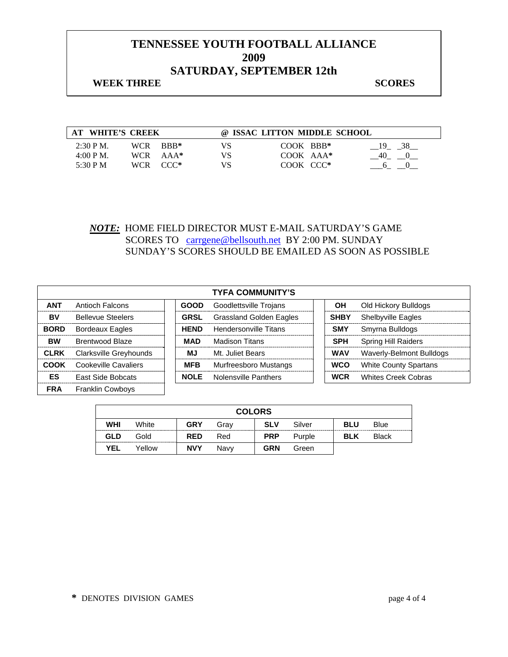## **WEEK THREE** SCORES

| AT WHITE'S CREEK                                                                                                | @ ISSAC LITTON MIDDLE SCHOOL                       |
|-----------------------------------------------------------------------------------------------------------------|----------------------------------------------------|
| $2:30 \text{ P M}$ .<br>WCR BBB*<br>VS.<br>$4:00 \text{ P M}$ .<br>WCR AAA*<br>VS<br>5:30 P M<br>WCR CCC*<br>VS | COOK BBB*<br>19 38<br>COOK AAA*<br>40<br>COOK CCC* |

## *NOTE:* HOME FIELD DIRECTOR MUST E-MAIL SATURDAY'S GAME SCORES TO carrgene@bellsouth.net BY 2:00 PM. SUNDAY SUNDAY'S SCORES SHOULD BE EMAILED AS SOON AS POSSIBLE

| <b>TYFA COMMUNITY'S</b> |                          |  |             |                                |             |                              |  |  |
|-------------------------|--------------------------|--|-------------|--------------------------------|-------------|------------------------------|--|--|
| <b>ANT</b>              | Antioch Falcons          |  | <b>GOOD</b> | Goodlettsville Trojans         | OН          | Old Hickory Bulldogs         |  |  |
| BV                      | <b>Bellevue Steelers</b> |  | <b>GRSL</b> | <b>Grassland Golden Eagles</b> | <b>SHBY</b> | <b>Shelbyville Eagles</b>    |  |  |
| <b>BORD</b>             | <b>Bordeaux Eagles</b>   |  | <b>HEND</b> | Hendersonville Titans          | <b>SMY</b>  | Smyrna Bulldogs              |  |  |
| <b>BW</b>               | Brentwood Blaze          |  | MAD         | Madison Titans                 | <b>SPH</b>  | <b>Spring Hill Raiders</b>   |  |  |
| <b>CLRK</b>             | Clarksville Greyhounds   |  | МJ          | Mt. Juliet Bears               | <b>WAV</b>  | Waverly-Belmont Bulldogs     |  |  |
| <b>COOK</b>             | Cookeville Cavaliers     |  | <b>MFB</b>  | Murfreesboro Mustangs          | <b>WCO</b>  | <b>White County Spartans</b> |  |  |
| ES                      | East Side Bobcats        |  | <b>NOLE</b> | <b>Nolensville Panthers</b>    | <b>WCR</b>  | <b>Whites Creek Cobras</b>   |  |  |
| <b>FRA</b>              | <b>Franklin Cowbovs</b>  |  |             |                                |             |                              |  |  |

|            | <b>COLORS</b> |            |      |            |        |            |              |  |
|------------|---------------|------------|------|------------|--------|------------|--------------|--|
| WHI        | White         | <b>GRY</b> | Grav | <b>SLV</b> | Silver | <b>BLU</b> | Blue         |  |
| <b>GLD</b> | Gold          | <b>RED</b> | Red  | <b>PRP</b> | Purple | <b>BLK</b> | <b>Black</b> |  |
| <b>YEL</b> | Yellow        | <b>NVY</b> | Navv | <b>GRN</b> | Green  |            |              |  |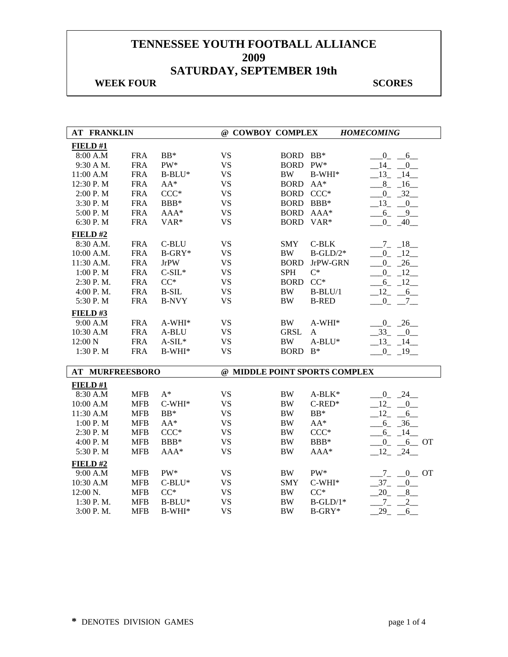## **WEEK FOUR SCORES**

| FIELD#1<br>$BB*$<br><b>VS</b><br><b>FRA</b><br><b>BORD</b><br>$BB*$<br>8:00 A.M  | <b>HOMECOMING</b>                   |
|----------------------------------------------------------------------------------|-------------------------------------|
|                                                                                  |                                     |
|                                                                                  | $0-1$<br>6                          |
| <b>VS</b><br><b>FRA</b><br>PW*<br><b>BORD</b><br>$PW^*$<br>9:30 A M.             | 14<br>$\overline{0}$                |
| <b>VS</b><br>11:00 A.M<br><b>FRA</b><br>$B-BLU^*$<br><b>BW</b><br>B-WHI*         | 13<br>14                            |
| <b>VS</b><br>12:30 P.M<br><b>FRA</b><br>$AA^*$<br><b>BORD</b><br>$AA^*$          | $8 - 16$                            |
| $CCC*$<br><b>VS</b><br><b>FRA</b><br><b>BORD</b><br>$CCC*$<br>2:00 P.M           | $0 - 32$                            |
| 3:30 P.M<br><b>FRA</b><br>BBB*<br><b>VS</b><br>BORD BBB*                         | $-13$<br>$\overline{\phantom{0}}^0$ |
| <b>FRA</b><br><b>VS</b><br>5:00 P.M<br>AAA*<br><b>BORD</b><br>AAA*               | $6 - 9$                             |
| <b>VS</b><br>6:30 P.M<br><b>FRA</b><br>VAR*<br><b>BORD</b><br>VAR*               | $-40$<br>$\mathbf{0}$               |
| FIELD#2                                                                          |                                     |
| <b>FRA</b><br>C-BLU<br><b>VS</b><br>$C-BLK$<br>8:30 A.M.<br><b>SMY</b>           | $-7 - 18$                           |
| <b>FRA</b><br><b>VS</b><br>10:00 A.M.<br>$B-GRY*$<br><b>BW</b><br>$B-GLD/2*$     | 12<br>$0_{-}$                       |
| <b>VS</b><br>11:30 A.M.<br><b>FRA</b><br><b>JrPW</b><br><b>BORD</b><br>JrPW-GRN  | 26<br>$\overline{0}$                |
| <b>VS</b><br>$C^*$<br><b>FRA</b><br>$C-SIL*$<br><b>SPH</b><br>1:00 P.M           | $0 \t 12$                           |
| <b>FRA</b><br>$CC^*$<br><b>VS</b><br>$CC^*$<br>2:30 P.M.<br><b>BORD</b>          | $-6 - 12$                           |
| <b>VS</b><br>4:00 P.M.<br><b>FRA</b><br><b>B-SIL</b><br><b>BW</b><br>$B-BLU/1$   | $12 - 6$                            |
| 5:30 P.M<br><b>FRA</b><br><b>B-NVY</b><br><b>VS</b><br><b>BW</b><br><b>B-RED</b> | $-0 - 7 -$                          |
| FIELD#3                                                                          |                                     |
| <b>VS</b><br>9:00 A.M<br><b>FRA</b><br>$A-WHI*$<br>BW<br>A-WHI*                  | $-0$ $-26$                          |
| <b>FRA</b><br><b>VS</b><br><b>GRSL</b><br>10:30 A.M<br>A-BLU<br>A                | $-33$<br>$\overline{0}$             |
| <b>VS</b><br>12:00 N<br><b>FRA</b><br>$A-SIL*$<br>$\rm BW$<br>$A-BLU^*$          | 13<br>14                            |
| 1:30 P.M<br><b>FRA</b><br><b>VS</b><br><b>BORD</b><br>$B^*$<br>$B-WHI*$          | $0 - 19$                            |
|                                                                                  |                                     |
| @ MIDDLE POINT SPORTS COMPLEX<br><b>AT MURFREESBORO</b>                          |                                     |
|                                                                                  |                                     |
| FIELD #1                                                                         | $-24$<br>$0_{-}$                    |
| $A^*$<br><b>VS</b><br>8:30 A.M<br><b>MFB</b><br><b>BW</b><br>$A-BLK*$            |                                     |
| <b>MFB</b><br>$C-WHI*$<br><b>VS</b><br><b>BW</b><br>$C$ -RED*<br>10:00 A.M       | 12<br>$\overline{0}$                |
| <b>VS</b><br>11:30 A.M<br>$BB*$<br><b>BW</b><br>$BB*$<br><b>MFB</b>              | 12<br>6                             |
| $AA^*$<br><b>VS</b><br>1:00 P.M<br><b>MFB</b><br><b>BW</b><br>$AA^*$             |                                     |
| <b>MFB</b><br>$CCC*$<br><b>VS</b><br><b>BW</b><br>$CCC*$<br>2:30 P.M             | $6 - 36$                            |
| <b>VS</b><br><b>BW</b><br>4:00 P.M<br><b>MFB</b><br>BBB*<br>BBB*                 | $-6 - 14$<br>$0_{-}$                |
| <b>VS</b><br>5:30 P.M<br><b>MFB</b><br>AAA*<br><b>BW</b><br>AAA*                 | $-6$ OT<br>$-24$<br>$-12$           |
| FIELD#2                                                                          |                                     |
| PW*<br>PW*<br><b>MFB</b><br><b>VS</b><br><b>BW</b><br>9:00 A.M                   | $0$ OT                              |
| <b>VS</b><br>10:30 A.M<br><b>MFB</b><br>$C-BLU^*$<br>$C-WHI*$<br><b>SMY</b>      | $Z_{-}$<br>$37_{-}$<br>$\mathbf{0}$ |
| $CC^*$<br>12:00 N.<br><b>MFB</b><br>$CC^*$<br><b>VS</b><br><b>BW</b>             | 20<br>8                             |
| <b>VS</b><br>1:30 P.M.<br><b>MFB</b><br><b>BW</b><br>B-BLU*<br>$B-GLD/1*$        | $-7$<br>2                           |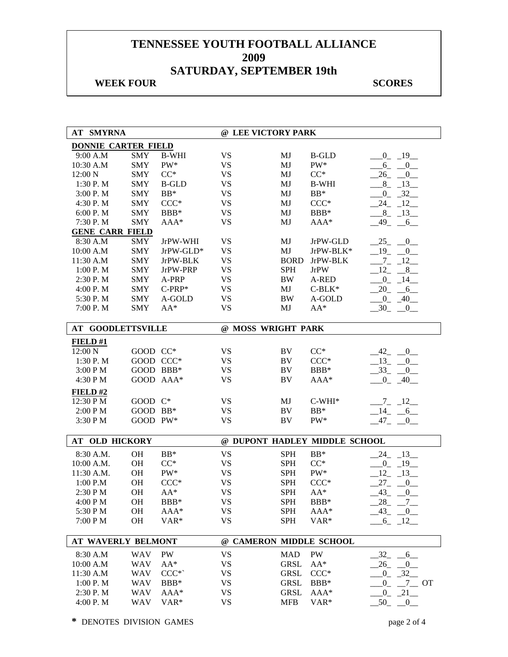## **WEEK FOUR SCORES**

| <b>AT SMYRNA</b>           |            |                  | @ LEE VICTORY PARK |             |                               |                                         |
|----------------------------|------------|------------------|--------------------|-------------|-------------------------------|-----------------------------------------|
| <b>DONNIE CARTER FIELD</b> |            |                  |                    |             |                               |                                         |
| 9:00 A.M                   | <b>SMY</b> | <b>B-WHI</b>     | <b>VS</b>          | MJ          | <b>B-GLD</b>                  | $-0$ $-19$ $-$                          |
| 10:30 A.M                  | <b>SMY</b> | PW*              | <b>VS</b>          | MJ          | PW*                           | $6 - 0$                                 |
| 12:00 N                    | <b>SMY</b> | $CC^*$           | <b>VS</b>          | MJ          | $CC^*$                        | $26 - 0$                                |
| 1:30 P.M                   | <b>SMY</b> | <b>B-GLD</b>     | <b>VS</b>          | MJ          | <b>B-WHI</b>                  | $8 - 13$                                |
| 3:00 P.M                   | <b>SMY</b> | $BB*$            | <b>VS</b>          | MJ          | $BB*$                         | $-0$ $-32$                              |
| 4:30 P.M                   | <b>SMY</b> | $CCC*$           | <b>VS</b>          | MJ          | $CCC*$                        | $-24$ $-12$ $-$                         |
| 6:00 P.M                   | <b>SMY</b> | BBB*             | <b>VS</b>          | MJ          | BBB*                          | $-8$ $-13$                              |
| 7:30 P.M                   | <b>SMY</b> | AAA*             | <b>VS</b>          | MJ          | AAA*                          | $-49$<br>$-6$                           |
| <b>GENE CARR FIELD</b>     |            |                  |                    |             |                               |                                         |
| 8:30 A.M                   | <b>SMY</b> | JrPW-WHI         | <b>VS</b>          | MJ          | JrPW-GLD                      | 25<br>$\overline{0}$                    |
| 10:00 A.M                  | <b>SMY</b> | JrPW-GLD*        | <b>VS</b>          | MJ          | JrPW-BLK*                     | 19<br>0                                 |
| 11:30 A.M                  | <b>SMY</b> | JrPW-BLK         | <b>VS</b>          | <b>BORD</b> | JrPW-BLK                      | $7_{-}$<br>$-12$                        |
| 1:00 P.M                   | <b>SMY</b> | JrPW-PRP         | <b>VS</b>          | <b>SPH</b>  | <b>JrPW</b>                   | 12<br>8                                 |
| 2:30 P.M                   | <b>SMY</b> | A-PRP            | <b>VS</b>          | <b>BW</b>   | A-RED                         | $0_{-}$<br>$-14$                        |
| 4:00 P.M                   | <b>SMY</b> | $C-PRP*$         | <b>VS</b>          | MJ          | $C-BLK*$                      | $20 - 6$                                |
| 5:30 P.M                   | <b>SMY</b> | A-GOLD           | <b>VS</b>          | <b>BW</b>   | A-GOLD                        | $-0 - 40$                               |
| 7:00 P.M                   | <b>SMY</b> | $AA^*$           | <b>VS</b>          | MJ          | $AA^*$                        | $-30$ $-0$ $-$                          |
|                            |            |                  |                    |             |                               |                                         |
| <b>AT GOODLETTSVILLE</b>   |            |                  | @ MOSS WRIGHT PARK |             |                               |                                         |
| <b>FIELD#1</b>             |            |                  |                    |             |                               |                                         |
| 12:00 N                    | GOOD CC*   |                  | <b>VS</b>          | BV          | $CC^*$                        | 42<br>0                                 |
| 1:30 P.M                   | GOOD CCC*  |                  | <b>VS</b>          | BV          | $CCC*$                        | $13_{-}$<br>0                           |
| 3:00 PM                    | GOOD BBB*  |                  | <b>VS</b>          | BV          | BBB*                          | $-33$<br>$0$ <sub>—</sub>               |
| 4:30 PM                    | GOOD AAA*  |                  | <b>VS</b>          | BV          | AAA*                          | $-40$<br>$0_{-}$                        |
| FIELD#2                    |            |                  |                    |             |                               |                                         |
| 12:30 PM                   | GOOD C*    |                  | <b>VS</b>          | MJ          | $C-WHI*$                      | $-7 - 12$                               |
| 2:00 PM                    | GOOD BB*   |                  | <b>VS</b>          | BV          | $BB*$                         | $-14$ -<br>$-6$                         |
| 3:30 PM                    | GOOD PW*   |                  | <b>VS</b>          | BV          | PW*                           | $-47-$<br>0                             |
|                            |            |                  |                    |             |                               |                                         |
| AT OLD HICKORY             |            |                  |                    |             | @ DUPONT HADLEY MIDDLE SCHOOL |                                         |
| 8:30 A.M.                  | OH         | $BB*$            | <b>VS</b>          | <b>SPH</b>  | $BB*$                         | $24 - 13$                               |
| 10:00 A.M.                 | <b>OH</b>  | $CC^*$           | <b>VS</b>          | <b>SPH</b>  | $CC^*$                        | $0 - 19$                                |
| 11:30 A.M.                 | OH         | PW*              | <b>VS</b>          | <b>SPH</b>  | $\mathrm{PW}^*$               | 12<br>$-13$                             |
| 1:00 P.M                   | <b>OH</b>  | $CCC*$           | <b>VS</b>          | <b>SPH</b>  | $CCC*$                        | $27_{-}$<br>$\overline{\phantom{0}}^0$  |
| 2:30 PM                    | OH         | $AA^*$           | <b>VS</b>          | <b>SPH</b>  | $AA^*$                        | 43<br>0                                 |
| 4:00 P M                   | <b>OH</b>  | BBB*             | VS                 | SPH         | BBB*                          | 28                                      |
| 5:30 PM                    | OH         | $AAA*$           | <b>VS</b>          | <b>SPH</b>  | AAA*                          | $43 - 0$                                |
| 7:00 PM                    | OH         | VAR*             | <b>VS</b>          | <b>SPH</b>  | VAR*                          | 6 12                                    |
|                            |            |                  |                    |             |                               |                                         |
| <b>AT WAVERLY BELMONT</b>  |            |                  | $^{\omega}{}$      |             | <b>CAMERON MIDDLE SCHOOL</b>  |                                         |
| 8:30 A.M                   | <b>WAV</b> | PW               | <b>VS</b>          | <b>MAD</b>  | PW                            | $6$ <sub>—</sub><br>$-32$               |
| 10:00 A.M                  | <b>WAV</b> | $AA^*$           | <b>VS</b>          | <b>GRSL</b> | $AA^*$                        | 26<br>$\overline{0}$                    |
| 11:30 A.M                  | <b>WAV</b> | $CCC*$           | <b>VS</b>          | <b>GRSL</b> | $CCC*$                        | $-32$<br>$0_{-}$                        |
| 1:00 P.M                   | <b>WAV</b> | BBB*             | <b>VS</b>          | <b>GRSL</b> | BBB*                          | $7\overline{ }$<br>$0_{-}$<br><b>OT</b> |
| 2:30 P.M                   | <b>WAV</b> | AAA*             | <b>VS</b>          | <b>GRSL</b> | AAA*                          | $-21$<br>$0_{-}$                        |
| 4:00 P.M                   | <b>WAV</b> | VAR <sup>*</sup> | <b>VS</b>          | <b>MFB</b>  | VAR*                          | $-50$<br>$-0$                           |
|                            |            |                  |                    |             |                               |                                         |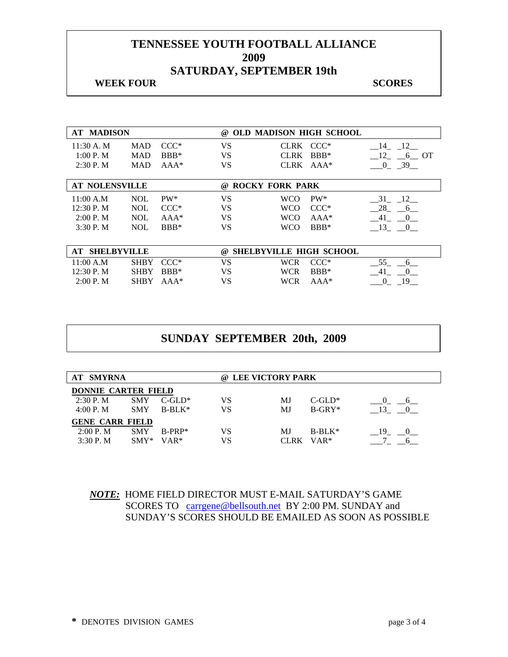## **WEEK FOUR SCORES**

| <b>AT MADISON</b>        |             |        | $\omega$ | <b>OLD MADISON HIGH SCHOOL</b> |           |                      |
|--------------------------|-------------|--------|----------|--------------------------------|-----------|----------------------|
| 11:30 A.M                | <b>MAD</b>  | $CCC*$ | VS       | CLRK CCC*                      |           | 12<br>14             |
| 1:00 P. M                | <b>MAD</b>  | $BBB*$ | VS       | <b>CLRK</b>                    | $BBB*$    | 12<br>6 OT           |
| 2:30P. M                 | <b>MAD</b>  | $AAA*$ | VS       |                                | CLRK AAA* | 39<br>$\Omega$       |
|                          |             |        |          |                                |           |                      |
| <b>AT NOLENSVILLE</b>    |             |        | @)       | <b>ROCKY FORK PARK</b>         |           |                      |
| 11:00 A.M                | <b>NOL</b>  | $PW^*$ | VS       | <b>WCO</b>                     | $PW^*$    | 31<br>12             |
| 12:30 P. M               | <b>NOL</b>  | $CCC*$ | VS       | <b>WCO</b>                     | $CCC*$    | 28<br>6              |
| 2:00 P. M                | <b>NOL</b>  | $AAA*$ | VS       | <b>WCO</b>                     | $AAA*$    | 41<br>$\overline{0}$ |
| 3:30P. M                 | <b>NOL</b>  | $BBB*$ | VS       | <b>WCO</b>                     | $BBB*$    | 13<br>$\overline{0}$ |
|                          |             |        |          |                                |           |                      |
| <b>SHELBYVILLE</b><br>AT |             |        | @        | <b>SHELBYVILLE HIGH SCHOOL</b> |           |                      |
| 11:00 A.M                | <b>SHBY</b> | $CCC*$ | VS       | <b>WCR</b>                     | $CCC*$    | 55<br>6              |
| 12:30 P. M               | <b>SHBY</b> | $BBB*$ | VS       | <b>WCR</b>                     | $BBB*$    | 41<br>$\Omega$       |
| 2:00 P. M                | <b>SHBY</b> | $AAA*$ | VS       | <b>WCR</b>                     | $AAA*$    | 19<br>0              |

## **SUNDAY SEPTEMBER 20th, 2009**

| <b>AT SMYRNA</b>           |            |           |    | @ LEE VICTORY PARK |           |    |
|----------------------------|------------|-----------|----|--------------------|-----------|----|
| <b>DONNIE CARTER FIELD</b> |            |           |    |                    |           |    |
| 2:30P. M                   | <b>SMY</b> | $C$ -GLD* | VS | МJ                 | $C$ -GLD* |    |
| 4:00 P. M                  | <b>SMY</b> | $B-BLK^*$ | VS | МJ                 | $B-GRY*$  |    |
| <b>GENE CARR FIELD</b>     |            |           |    |                    |           |    |
| 2:00 P. M                  | <b>SMY</b> | $B-PRP*$  | VS | МJ                 | $B-BLK^*$ | 19 |
| $3:30$ P. M                | $SMY*$     | $VAR*$    | VS | CLRK               | $VAR*$    |    |

*NOTE:* HOME FIELD DIRECTOR MUST E-MAIL SATURDAY'S GAME SCORES TO carrgene@bellsouth.net BY 2:00 PM. SUNDAY and SUNDAY'S SCORES SHOULD BE EMAILED AS SOON AS POSSIBLE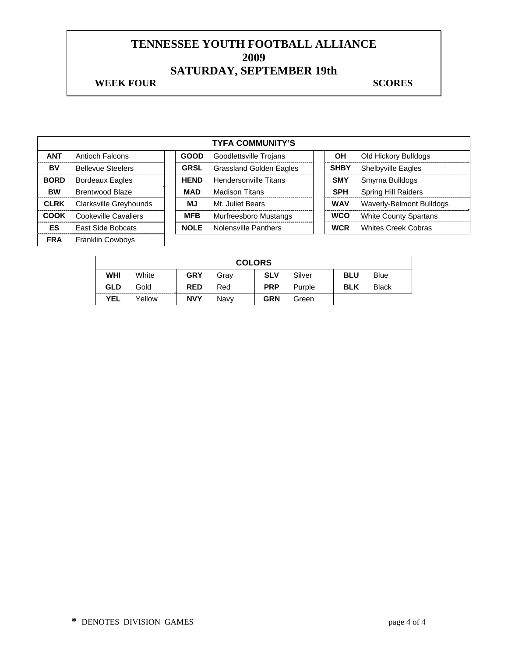## **WEEK FOUR SCORES**

|             |                          |             | <b>TYFA COMMUNITY'S</b>        |             |                              |
|-------------|--------------------------|-------------|--------------------------------|-------------|------------------------------|
| <b>ANT</b>  | Antioch Falcons          | <b>GOOD</b> | Goodlettsville Trojans         | OН          | Old Hickory Bulldogs         |
| BV          | <b>Bellevue Steelers</b> | <b>GRSL</b> | <b>Grassland Golden Eagles</b> | <b>SHBY</b> | Shelbyville Eagles           |
| <b>BORD</b> | <b>Bordeaux Eagles</b>   | <b>HEND</b> | Hendersonville Titans          | <b>SMY</b>  | Smyrna Bulldogs              |
| <b>BW</b>   | <b>Brentwood Blaze</b>   | <b>MAD</b>  | <b>Madison Titans</b>          | <b>SPH</b>  | <b>Spring Hill Raiders</b>   |
| <b>CLRK</b> | Clarksville Greyhounds   | ΜJ          | Mt. Juliet Bears               | <b>WAV</b>  | Waverly-Belmont Bulldogs     |
| <b>COOK</b> | Cookeville Cavaliers     | <b>MFB</b>  | Murfreesboro Mustangs          | <b>WCO</b>  | <b>White County Spartans</b> |
| ES          | East Side Bobcats        | <b>NOLE</b> | Nolensville Panthers           | <b>WCR</b>  | <b>Whites Creek Cobras</b>   |
| <b>FRA</b>  | <b>Franklin Cowboys</b>  |             |                                |             |                              |

|            | <b>COLORS</b> |            |      |            |        |            |              |  |
|------------|---------------|------------|------|------------|--------|------------|--------------|--|
| <b>WHI</b> | White         | <b>GRY</b> | Grav | <b>SLV</b> | Silver | <b>BLU</b> | Blue         |  |
| <b>GLD</b> | Gold          | <b>RED</b> | Red  | <b>PRP</b> | Purple | <b>BLK</b> | <b>Black</b> |  |
| <b>YEL</b> | Yellow        | <b>NVY</b> | Navv | <b>GRN</b> | Green  |            |              |  |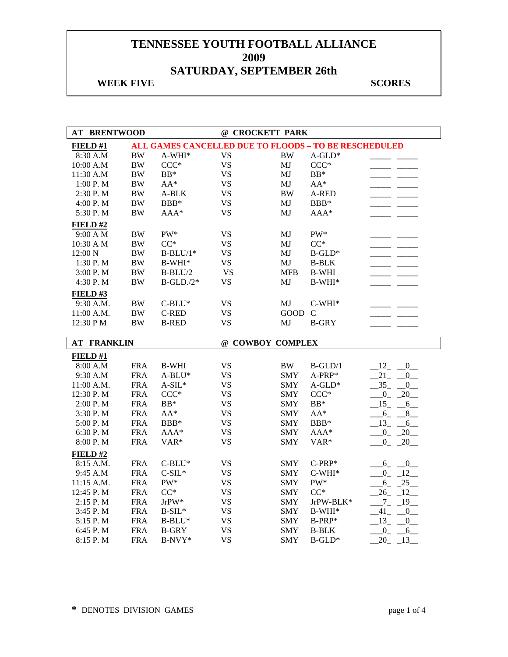## **WEEK FIVE** SCORES

| <b>AT BRENTWOOD</b>  |                          |                                                              |                        | @ CROCKETT PARK          |              |                                            |
|----------------------|--------------------------|--------------------------------------------------------------|------------------------|--------------------------|--------------|--------------------------------------------|
| FIELD#1              |                          | <b>ALL GAMES CANCELLED DUE TO FLOODS - TO BE RESCHEDULED</b> |                        |                          |              |                                            |
| 8:30 A.M             | $\rm BW$                 | $A-WHI*$                                                     | <b>VS</b>              | $\rm BW$                 | $A - GLD^*$  |                                            |
| 10:00 A.M            | <b>BW</b>                | $CCC*$                                                       | <b>VS</b>              | MJ                       | $CCC*$       |                                            |
| 11:30 A.M            | $\rm BW$                 | $BB*$                                                        | <b>VS</b>              | MJ                       | $BB*$        |                                            |
| 1:00 P.M             | $\rm BW$                 | $AA^*$                                                       | <b>VS</b>              | MJ                       | $AA^*$       |                                            |
| 2:30 P.M             | $\rm BW$                 | A-BLK                                                        | <b>VS</b>              | <b>BW</b>                | A-RED        |                                            |
| 4:00 P.M             | $\rm BW$                 | BBB*                                                         | <b>VS</b>              | MJ                       | BBB*         |                                            |
| 5:30 P.M             | $\rm BW$                 | $AAA*$                                                       | <b>VS</b>              | MJ                       | $AAA*$       |                                            |
| FIELD #2             |                          |                                                              |                        |                          |              |                                            |
| 9:00 A M             | <b>BW</b>                | PW*                                                          | <b>VS</b>              | MJ                       | PW*          |                                            |
| 10:30 A M            | <b>BW</b>                | $CC^*$                                                       | <b>VS</b>              | MJ                       | $CC^*$       |                                            |
| 12:00 N              | $\rm BW$                 | $B-BLU/1*$                                                   | <b>VS</b>              | MJ                       | $B$ -GLD*    |                                            |
| 1:30 P.M             | $\rm BW$                 | $B-WHI*$                                                     | <b>VS</b>              | MJ                       | <b>B-BLK</b> |                                            |
| 3:00 P. M            | <b>BW</b>                | $B-BLU/2$                                                    | <b>VS</b>              | <b>MFB</b>               | <b>B-WHI</b> |                                            |
| 4:30 P.M             | $\ensuremath{\text{BW}}$ | $B$ -GLD./2*                                                 | <b>VS</b>              | MJ                       | $B-WHI*$     |                                            |
| FIELD#3              |                          |                                                              |                        |                          |              |                                            |
| 9:30 A.M.            | $\rm BW$                 | $C-BLU^*$                                                    | <b>VS</b>              | MJ                       | $C-WHI*$     |                                            |
| 11:00 A.M.           | $\rm BW$                 | C-RED                                                        | VS                     | GOOD                     | $\mathsf{C}$ |                                            |
| 12:30 PM             | $\rm BW$                 | <b>B-RED</b>                                                 | <b>VS</b>              | MJ                       | <b>B-GRY</b> |                                            |
|                      |                          |                                                              |                        |                          |              |                                            |
|                      |                          |                                                              |                        |                          |              |                                            |
| <b>AT FRANKLIN</b>   |                          |                                                              |                        | @ COWBOY COMPLEX         |              |                                            |
| FIELD#1              |                          |                                                              |                        |                          |              |                                            |
| 8:00 A.M             | <b>FRA</b>               | <b>B-WHI</b>                                                 | <b>VS</b>              | <b>BW</b>                | $B-GLD/1$    | $12 -$<br>$\mathbf{0}$                     |
| 9:30 A.M             | <b>FRA</b>               | $A-BLU^*$                                                    | <b>VS</b>              | <b>SMY</b>               | A-PRP*       | $21 -$<br>$\overline{0}$                   |
| 11:00 A.M.           | <b>FRA</b>               | $A-SIL*$                                                     | <b>VS</b>              | <b>SMY</b>               | $A$ -GLD $*$ | 35<br>0                                    |
| 12:30 P.M            | <b>FRA</b>               | $CCC*$                                                       | <b>VS</b>              | <b>SMY</b>               | $CCC*$       | $0 - 20$                                   |
| 2:00 P. M            | <b>FRA</b>               | $BB*$                                                        | <b>VS</b>              | <b>SMY</b>               | $BB*$        | $15 - 6$                                   |
| 3:30 P.M             | <b>FRA</b>               | $AA^*$                                                       | <b>VS</b>              | <b>SMY</b>               | $AA^*$       | $6_{-}$<br>$-8$                            |
| 5:00 P.M             | <b>FRA</b>               | BBB*                                                         | <b>VS</b>              | <b>SMY</b>               | BBB*         | 13<br>6                                    |
| 6:30 P.M             | <b>FRA</b>               | AAA*                                                         | <b>VS</b>              | <b>SMY</b>               | AAA*         | 0<br>20                                    |
| 8:00 P.M             | <b>FRA</b>               | VAR*                                                         | <b>VS</b>              | <b>SMY</b>               | VAR*         | $-20$<br>$0_{-}$                           |
| FIELD#2              |                          |                                                              |                        |                          |              |                                            |
| 8:15 A.M.            | <b>FRA</b>               | $C-BLU^*$                                                    | <b>VS</b>              | <b>SMY</b>               | $C-PRP*$     | $6 - 0$                                    |
| 9:45 A.M             | <b>FRA</b>               | $C-SIL*$                                                     | <b>VS</b>              | <b>SMY</b>               | $C-WHI*$     | 12<br>$\mathbf{0}$                         |
| 11:15 A.M.           | <b>FRA</b>               | $PW^*$                                                       | <b>VS</b>              | <b>SMY</b>               | PW*          | $6 - 25$                                   |
| 12:45 P.M            | <b>FRA</b>               | $CC^*$                                                       | <b>VS</b>              | <b>SMY</b>               | $CC^*$       | $26 - 12$                                  |
| 2:15 P.M             | <b>FRA</b>               | JrPW*                                                        | <b>VS</b>              | <b>SMY</b>               | JrPW-BLK*    | $Z_{-}$<br>$-19$                           |
| 3:45 P.M             | <b>FRA</b>               | $B-SIL*$                                                     | <b>VS</b>              | <b>SMY</b>               | $B-WHI*$     | $-41$<br>$\overline{0}$                    |
| 5:15 P.M             | <b>FRA</b>               | $B-BLU^*$                                                    | <b>VS</b>              | <b>SMY</b>               | B-PRP*       | $13 -$<br>$\overline{0}$                   |
| 6:45 P.M<br>8:15 P.M | <b>FRA</b><br><b>FRA</b> | <b>B-GRY</b><br>B-NVY*                                       | <b>VS</b><br><b>VS</b> | <b>SMY</b><br><b>SMY</b> | <b>B-BLK</b> | 0<br>6<br>20<br>$\overline{\phantom{0}13}$ |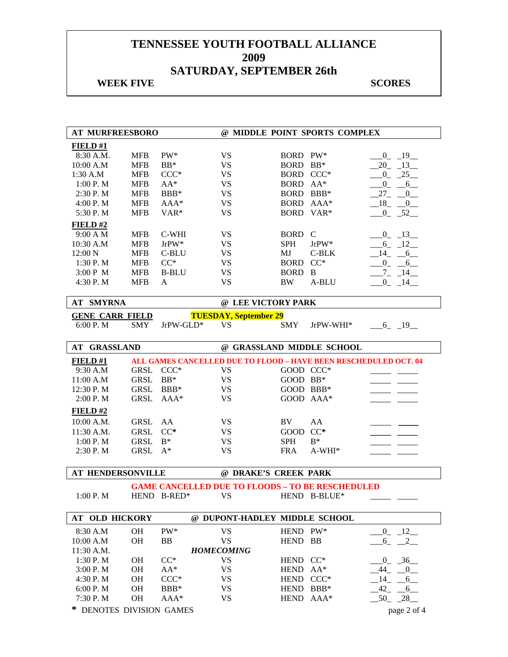## **WEEK FIVE** SCORES

| <b>AT MURFREESBORO</b> |             |                                                                  |                               |             | @ MIDDLE POINT SPORTS COMPLEX |                            |
|------------------------|-------------|------------------------------------------------------------------|-------------------------------|-------------|-------------------------------|----------------------------|
| <b>FIELD #1</b>        |             |                                                                  |                               |             |                               |                            |
| 8:30 A.M.              | <b>MFB</b>  | PW*                                                              | <b>VS</b>                     | BORD PW*    |                               | $-0$ $-19$ $-$             |
| 10:00 A.M              | <b>MFB</b>  | $BB*$                                                            | <b>VS</b>                     | <b>BORD</b> | $BB*$                         | $-20$ $-13$ $-$            |
| 1:30 A.M               | <b>MFB</b>  | $CCC*$                                                           | <b>VS</b>                     | BORD CCC*   |                               | $-25$<br>$0_{-}$           |
| 1:00 P.M               | <b>MFB</b>  | $AA^*$                                                           | <b>VS</b>                     | BORD AA*    |                               | $0_$<br>6                  |
| 2:30 P.M               | <b>MFB</b>  | BBB*                                                             | <b>VS</b>                     | BORD BBB*   |                               | $27_{-}$<br>$\overline{0}$ |
| 4:00 P.M               | <b>MFB</b>  | $AAA*$                                                           | <b>VS</b>                     |             | BORD AAA*                     | $_{18}$<br>$\sqrt{0}$      |
| 5:30 P.M               | <b>MFB</b>  | VAR <sup>*</sup>                                                 | <b>VS</b>                     | BORD VAR*   |                               | $-0$ $-52$                 |
| FIELD#2                |             |                                                                  |                               |             |                               |                            |
| 9:00 A M               | <b>MFB</b>  | C-WHI                                                            | <b>VS</b>                     | <b>BORD</b> | $\mathcal{C}$                 | $0 - 13$                   |
| 10:30 A.M              | <b>MFB</b>  | $JrPW*$                                                          | <b>VS</b>                     | <b>SPH</b>  | JrPW*                         | $-6 - 12$                  |
| 12:00 N                | <b>MFB</b>  | C-BLU                                                            | <b>VS</b>                     | MJ          | $C-BLK$                       | 14<br>6                    |
| 1:30 P.M               | <b>MFB</b>  | $CC^*$                                                           | <b>VS</b>                     | <b>BORD</b> | $CC^*$                        | $0_{-}$<br>6               |
| 3:00 P M               | <b>MFB</b>  | <b>B-BLU</b>                                                     | <b>VS</b>                     | <b>BORD</b> | $\overline{B}$                | $-7 - 14$                  |
| 4:30 P.M               | <b>MFB</b>  | A                                                                | <b>VS</b>                     | <b>BW</b>   | A-BLU                         | $0 - 14$                   |
|                        |             |                                                                  |                               |             |                               |                            |
| <b>AT SMYRNA</b>       |             |                                                                  | @ LEE VICTORY PARK            |             |                               |                            |
| <b>GENE CARR FIELD</b> |             |                                                                  | <b>TUESDAY, September 29</b>  |             |                               |                            |
| 6:00 P.M               | <b>SMY</b>  | JrPW-GLD*                                                        | VS                            | <b>SMY</b>  | JrPW-WHI*                     | $-6 - 19$                  |
|                        |             |                                                                  |                               |             |                               |                            |
| <b>GRASSLAND</b><br>AT |             |                                                                  | @ GRASSLAND MIDDLE SCHOOL     |             |                               |                            |
| <b>FIELD #1</b>        |             | ALL GAMES CANCELLED DUE TO FLOOD - HAVE BEEN RESCHEDULED OCT. 04 |                               |             |                               |                            |
| 9:30 A.M               | <b>GRSL</b> | $CCC*$                                                           | VS                            | GOOD CCC*   |                               |                            |
| 11:00 A.M              | <b>GRSL</b> | $BB*$                                                            | <b>VS</b>                     | GOOD BB*    |                               |                            |
| 12:30 P.M              | <b>GRSL</b> | $BBB*$                                                           | <b>VS</b>                     | GOOD BBB*   |                               |                            |
| 2:00 P.M               | <b>GRSL</b> | AAA*                                                             | <b>VS</b>                     |             | GOOD AAA*                     |                            |
| FIELD #2               |             |                                                                  |                               |             |                               |                            |
| 10:00 A.M.             | <b>GRSL</b> | AA                                                               | <b>VS</b>                     | BV.         | ${\rm AA}$                    |                            |
| 11:30 A.M.             | <b>GRSL</b> | $CC*$                                                            | <b>VS</b>                     | <b>GOOD</b> | $CC*$                         |                            |
| 1:00 P.M               | <b>GRSL</b> | $B^*$                                                            | <b>VS</b>                     | <b>SPH</b>  | $B^*$                         |                            |
| 2:30 P. M              | <b>GRSL</b> | $A^*$                                                            | <b>VS</b>                     | <b>FRA</b>  | $A-WHI*$                      |                            |
|                        |             |                                                                  |                               |             |                               |                            |
| AT HENDERSONVILLE      |             |                                                                  | @ DRAKE'S CREEK PARK          |             |                               |                            |
|                        |             | <b>GAME CANCELLED DUE TO FLOODS - TO BE RESCHEDULED</b>          |                               |             |                               |                            |
| 1:00 P. M              |             | HEND B-RED*                                                      | <b>VS</b>                     |             | HEND B-BLUE*                  |                            |
|                        |             |                                                                  |                               |             |                               |                            |
| <b>AT OLD HICKORY</b>  |             |                                                                  | @ DUPONT-HADLEY MIDDLE SCHOOL |             |                               |                            |
| 8:30 A.M               | <b>OH</b>   | PW*                                                              | <b>VS</b>                     | HEND PW*    |                               | $-0$ $-12$                 |
| 10:00 A.M              | <b>OH</b>   | BB                                                               | <b>VS</b>                     | HEND BB     |                               | $6 - 2$                    |
| 11:30 A.M.             |             |                                                                  | <b>HOMECOMING</b>             |             |                               |                            |
| 1:30 P.M               | <b>OH</b>   | $CC^*$                                                           | <b>VS</b>                     | HEND CC*    |                               | $-0$ $-36$ $-$             |
| 3:00 P.M               | <b>OH</b>   | $AA^*$                                                           | <b>VS</b>                     | <b>HEND</b> | $AA^*$                        | 44 0                       |
| 4:30 P.M               | <b>OH</b>   | $CCC*$                                                           | VS                            | <b>HEND</b> | $CCC*$                        | $-14$ $-6$                 |
| 6:00 P.M               | <b>OH</b>   | BBB*                                                             | <b>VS</b>                     | HEND BBB*   |                               | $-42 - 6$                  |
|                        |             |                                                                  |                               |             |                               |                            |
| 7:30 P.M               | OH          | AAA*                                                             | <b>VS</b>                     | HEND AAA*   |                               | $-50 - 28$                 |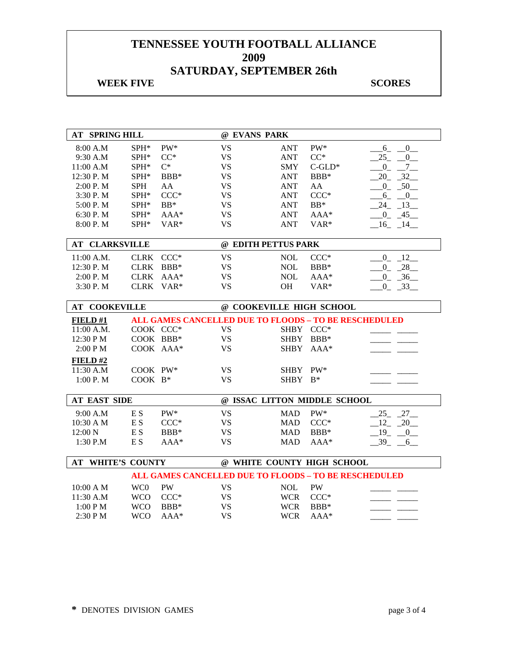## **WEEK FIVE** SCORES

| <b>AT SPRING HILL</b>    |                 |                  | @ EVANS PARK             |             |                                                       |                                   |
|--------------------------|-----------------|------------------|--------------------------|-------------|-------------------------------------------------------|-----------------------------------|
| 8:00 A.M                 | SPH*            | PW*              | <b>VS</b>                | <b>ANT</b>  | $PW^*$                                                | $-6 - 0$                          |
| 9:30 A.M                 | SPH*            | $CC^*$           | <b>VS</b>                | <b>ANT</b>  | $CC^*$                                                | 25<br>0                           |
| 11:00 A.M                | SPH*            | $C^*$            | <b>VS</b>                | <b>SMY</b>  | $C$ -GLD*                                             | $\overline{0}$<br>$7\overline{ }$ |
| 12:30 P.M                | SPH*            | BBB*             | <b>VS</b>                | <b>ANT</b>  | BBB*                                                  | 20<br>$-32$                       |
| 2:00 P.M                 | <b>SPH</b>      | AA               | <b>VS</b>                | <b>ANT</b>  | AA                                                    | $0 - 50$                          |
| 3:30 P.M                 | SPH*            | $CCC*$           | <b>VS</b>                | <b>ANT</b>  | $CCC*$                                                | $6 - 0$                           |
| 5:00 P.M                 | SPH*            | $BB*$            | <b>VS</b>                | <b>ANT</b>  | $BB*$                                                 | $-24$ $-13$                       |
| 6:30 P.M                 | SPH*            | AAA*             | <b>VS</b>                | <b>ANT</b>  | AAA*                                                  | $0 - 45$                          |
| 8:00 P.M                 | SPH*            | VAR <sup>*</sup> | <b>VS</b>                | <b>ANT</b>  | VAR <sup>*</sup>                                      | $-16$ $-14$                       |
|                          |                 |                  |                          |             |                                                       |                                   |
| <b>AT CLARKSVILLE</b>    |                 |                  | @ EDITH PETTUS PARK      |             |                                                       |                                   |
| 11:00 A.M.               | CLRK CCC*       |                  | <b>VS</b>                | <b>NOL</b>  | $CCC*$                                                | $0 - 12$                          |
| 12:30 P.M                |                 | CLRK BBB*        | <b>VS</b>                | <b>NOL</b>  | BBB*                                                  | $-28$<br>$\overline{0}$           |
| 2:00 P.M                 | <b>CLRK</b>     | $AAA*$           | <b>VS</b>                | <b>NOL</b>  | $AAA*$                                                | $-36$<br>$\mathbf{0}$             |
| 3:30 P.M                 |                 | CLRK VAR*        | <b>VS</b>                | OH          | VAR*                                                  | $0 - 33$                          |
|                          |                 |                  |                          |             |                                                       |                                   |
| <b>AT COOKEVILLE</b>     |                 |                  | @ COOKEVILLE HIGH SCHOOL |             |                                                       |                                   |
| FIELD#1                  |                 |                  |                          |             | ALL GAMES CANCELLED DUE TO FLOODS - TO BE RESCHEDULED |                                   |
| 11:00 A.M.               |                 | COOK CCC*        | <b>VS</b>                |             | SHBY CCC*                                             |                                   |
| 12:30 PM                 |                 | COOK BBB*        | <b>VS</b>                | <b>SHBY</b> | BBB*                                                  |                                   |
| 2:00 PM                  |                 | COOK AAA*        | <b>VS</b>                |             | SHBY AAA*                                             |                                   |
| FIELD#2                  |                 |                  |                          |             |                                                       |                                   |
| 11:30 A.M                | COOK PW*        |                  | <b>VS</b>                | <b>SHBY</b> | $PW^*$                                                |                                   |
| 1:00 P.M                 | COOK B*         |                  | <b>VS</b>                | SHBY B*     |                                                       |                                   |
|                          |                 |                  |                          |             |                                                       |                                   |
| <b>AT EAST SIDE</b>      |                 |                  |                          |             | @ ISSAC LITTON MIDDLE SCHOOL                          |                                   |
| 9:00 A.M                 | E S             | PW*              | <b>VS</b>                | <b>MAD</b>  | PW*                                                   | $25 - 27$                         |
| 10:30 A M                | E <sub>S</sub>  | $CCC*$           | <b>VS</b>                | <b>MAD</b>  | $CCC*$                                                | 12 20                             |
| 12:00 N                  | E S             | BBB*             | <b>VS</b>                | <b>MAD</b>  | BBB*                                                  | $19 - 0$                          |
| 1:30 P.M                 | E S             | $AAA*$           | <b>VS</b>                | <b>MAD</b>  | AAA*                                                  | $-39 - -6$                        |
|                          |                 |                  |                          |             |                                                       |                                   |
| <b>AT WHITE'S COUNTY</b> |                 |                  |                          |             | @ WHITE COUNTY HIGH SCHOOL                            |                                   |
|                          |                 |                  |                          |             | ALL GAMES CANCELLED DUE TO FLOODS - TO BE RESCHEDULED |                                   |
| 10:00 A M                | WC <sub>0</sub> | PW               | <b>VS</b>                | <b>NOL</b>  | <b>PW</b>                                             |                                   |
| 11:30 A.M                | <b>WCO</b>      | $\mathrm{CCC}^*$ | <b>VS</b>                | <b>WCR</b>  | $CCC*$                                                |                                   |
| 1:00 PM                  | <b>WCO</b>      | BBB*             | <b>VS</b>                | <b>WCR</b>  | BBB*                                                  |                                   |
| 2:30 PM                  | <b>WCO</b>      | AAA*             | <b>VS</b>                | <b>WCR</b>  | AAA*                                                  |                                   |
|                          |                 |                  |                          |             |                                                       |                                   |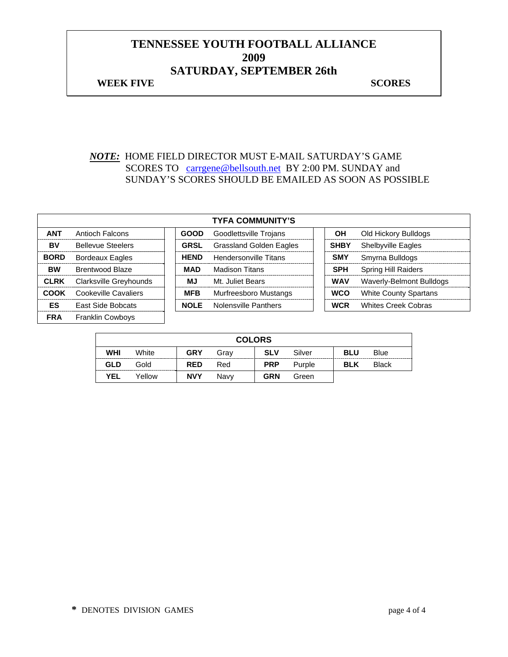## **TENNESSEE YOUTH FOOTBALL ALLIANCE 2009 SATURDAY, SEPTEMBER 26th WEEK FIVE** SCORES

#### *NOTE:* HOME FIELD DIRECTOR MUST E-MAIL SATURDAY'S GAME SCORES TO carrgene@bellsouth.net BY 2:00 PM. SUNDAY and SUNDAY'S SCORES SHOULD BE EMAILED AS SOON AS POSSIBLE

|             |                          |             | <b>TYFA COMMUNITY'S</b>        |             |                              |
|-------------|--------------------------|-------------|--------------------------------|-------------|------------------------------|
| <b>ANT</b>  | Antioch Falcons          | <b>GOOD</b> | Goodlettsville Trojans         | OН          | Old Hickory Bulldogs         |
| BV          | <b>Bellevue Steelers</b> | <b>GRSL</b> | <b>Grassland Golden Eagles</b> | <b>SHBY</b> | <b>Shelbyville Eagles</b>    |
| <b>BORD</b> | <b>Bordeaux Eagles</b>   | <b>HEND</b> | <b>Hendersonville Titans</b>   | <b>SMY</b>  | Smyrna Bulldogs              |
| <b>BW</b>   | <b>Brentwood Blaze</b>   | <b>MAD</b>  | Madison Titans                 | <b>SPH</b>  | <b>Spring Hill Raiders</b>   |
| <b>CLRK</b> | Clarksville Greyhounds   | MJ          | Mt. Juliet Bears               | <b>WAV</b>  | Waverly-Belmont Bulldogs     |
| <b>COOK</b> | Cookeville Cavaliers     | <b>MFB</b>  | Murfreesboro Mustangs          | <b>WCO</b>  | <b>White County Spartans</b> |
| ES          | East Side Bobcats        | <b>NOLE</b> | Nolensville Panthers           | <b>WCR</b>  | <b>Whites Creek Cobras</b>   |
| <b>FRA</b>  | <b>Franklin Cowboys</b>  |             |                                |             |                              |

|            |        |            | <b>COLORS</b> |            |        |            |              |
|------------|--------|------------|---------------|------------|--------|------------|--------------|
| <b>WHI</b> | White  | <b>GRY</b> | Grav          | <b>SLV</b> | Silver | <b>BLU</b> | Blue         |
| GLD        | Gold   | <b>RED</b> | Red           | <b>PRP</b> | Purple | <b>BLK</b> | <b>Black</b> |
| <b>YEL</b> | Yellow | <b>NVY</b> | Navv          | <b>GRN</b> | Green  |            |              |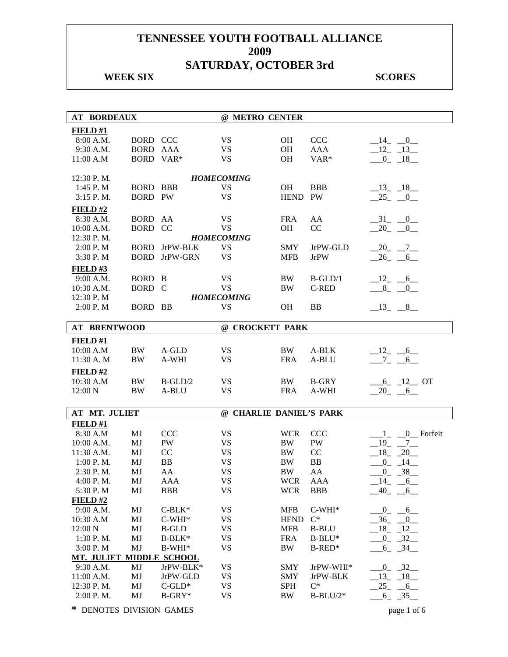## **WEEK SIX** SCORES

| <b>AT BORDEAUX</b>       |                 |              | @ METRO CENTER          |             |              |                           |
|--------------------------|-----------------|--------------|-------------------------|-------------|--------------|---------------------------|
| FIELD #1                 |                 |              |                         |             |              |                           |
| 8:00 A.M.                | <b>BORD CCC</b> |              | <b>VS</b>               | <b>OH</b>   | <b>CCC</b>   | $-14$ $-0$                |
| 9:30 A.M.                | <b>BORD AAA</b> |              | <b>VS</b>               | <b>OH</b>   | <b>AAA</b>   | $12 - 13$                 |
| 11:00 A.M                | <b>BORD</b>     | $VAR*$       | <b>VS</b>               | <b>OH</b>   | VAR*         |                           |
|                          |                 |              |                         |             |              | $-0$ $-18$                |
| 12:30 P.M.               |                 |              | <b>HOMECOMING</b>       |             |              |                           |
| $1:45$ P. M              | <b>BORD</b>     | BBB          | VS                      | <b>OH</b>   | <b>BBB</b>   | $-13 - 18$                |
| $3:15$ P.M.              | <b>BORD PW</b>  |              | <b>VS</b>               | <b>HEND</b> | PW           | 25 0                      |
| FIELD#2                  |                 |              |                         |             |              |                           |
| 8:30 A.M.                | <b>BORD</b>     | AA           | <b>VS</b>               | <b>FRA</b>  | AA           | $-31$ $-0$                |
| 10:00 A.M.               | <b>BORD</b>     | CC           | <b>VS</b>               | <b>OH</b>   | CC           | $-20$ $-0$                |
| 12:30 P.M.               |                 |              | <b>HOMECOMING</b>       |             |              |                           |
| 2:00 P. M                | <b>BORD</b>     | JrPW-BLK     | <b>VS</b>               | <b>SMY</b>  | JrPW-GLD     | $-20$ $-7$ $-$            |
| 3:30 P.M                 | <b>BORD</b>     | JrPW-GRN     | <b>VS</b>               | <b>MFB</b>  | <b>JrPW</b>  | $-26$ $-6$                |
| FIELD#3                  |                 |              |                         |             |              |                           |
| 9:00 A.M.                | BORD B          |              | <b>VS</b>               | <b>BW</b>   | $B-GLD/1$    | $-12 - 6$                 |
| 10:30 A.M.               | BORD C          |              | <b>VS</b>               | <b>BW</b>   | C-RED        | $8 - 0$                   |
| 12:30 P.M                |                 |              | <b>HOMECOMING</b>       |             |              |                           |
| 2:00 P. M                | BORD BB         |              | <b>VS</b>               | <b>OH</b>   | <b>BB</b>    | $-13 - 8$                 |
|                          |                 |              |                         |             |              |                           |
| <b>AT BRENTWOOD</b>      |                 |              | @ CROCKETT PARK         |             |              |                           |
| FIELD#1                  |                 |              |                         |             |              |                           |
| 10:00 A.M                | <b>BW</b>       | A-GLD        | VS                      | BW          | A-BLK        | $-12$ $-6$                |
| 11:30 A. M               | <b>BW</b>       | A-WHI        | <b>VS</b>               | <b>FRA</b>  | A-BLU        | $-7 -$<br>6               |
| FIELD#2                  |                 |              |                         |             |              |                           |
| 10:30 A.M                | <b>BW</b>       | $B-GLD/2$    | VS                      | BW          | <b>B-GRY</b> | $-6$ <sub>-12</sub> OT    |
| 12:00 N                  | <b>BW</b>       | A-BLU        | <b>VS</b>               | <b>FRA</b>  | A-WHI        | $-20$ $-6$                |
|                          |                 |              |                         |             |              |                           |
| AT MT. JULIET            |                 |              | @ CHARLIE DANIEL'S PARK |             |              |                           |
| FIELD#1                  |                 |              |                         |             |              |                           |
| 8:30 A.M                 | MJ              | <b>CCC</b>   | <b>VS</b>               | <b>WCR</b>  | <b>CCC</b>   | $\_{0}$ Forfeit<br>1      |
| 10:00 A.M.               | MJ              | PW           | <b>VS</b>               | <b>BW</b>   | PW           | 19<br>$\overline{7}$      |
| 11:30 A.M.               | MJ              | CC           | <b>VS</b>               | BW          | CC           | $18 - 20$                 |
| 1:00 P.M.                | MJ              | <b>BB</b>    | <b>VS</b>               | <b>BW</b>   | BB           | $0 - 14$                  |
| 2:30 P.M.                | MJ              | AA           | <b>VS</b>               | <b>BW</b>   | AA           | $-0$ $-38$                |
| 4:00 P.M.                | MJ              | AAA          | VS                      | <b>WCR</b>  | <b>AAA</b>   | $-14$<br>$6$ <sub>—</sub> |
| 5:30 P.M                 | MJ              | <b>BBB</b>   | <b>VS</b>               | <b>WCR</b>  | <b>BBB</b>   | $-40$<br>$-6$             |
| FIELD#2                  |                 |              |                         |             |              |                           |
| 9:00 A.M.                | MJ              | $C-BLK*$     | <b>VS</b>               | <b>MFB</b>  | $C-WHI*$     | $_{0}$<br>$-6$            |
| 10:30 A.M                | MJ              | $C-WHI*$     | <b>VS</b>               | <b>HEND</b> | $C^*$        | $-36$<br>0                |
| 12:00 N                  | MJ              | <b>B-GLD</b> | <b>VS</b>               | <b>MFB</b>  | <b>B-BLU</b> | 18<br>$-12$               |
| 1:30 P.M.                | MJ              | $B-BLK*$     | <b>VS</b>               | <b>FRA</b>  | $B-BLU^*$    | $-32$<br>$_{0}$           |
| 3:00 P.M                 | MJ              | $B-WHI*$     | <b>VS</b>               | <b>BW</b>   | B-RED*       | $-34$<br>$6_{-}$          |
| MT. JULIET MIDDLE SCHOOL |                 |              |                         |             |              |                           |
| 9:30 A.M.                | MJ              | JrPW-BLK*    | <b>VS</b>               | <b>SMY</b>  | JrPW-WHI*    | $-0$ $-32$                |
| 11:00 A.M.               | MJ              | JrPW-GLD     | <b>VS</b>               | <b>SMY</b>  | JrPW-BLK     | $-13 - 18$                |
| 12:30 P.M.               | MJ              | $C$ -GLD*    | <b>VS</b>               | <b>SPH</b>  | $C^*$        | $25 - 6$                  |
| 2:00 P.M.                | MJ              | $B-GRY*$     | <b>VS</b>               | BW          | $B-BLU/2*$   | $-6$ $-35$ $-$            |
|                          |                 |              |                         |             |              |                           |

**\*** DENOTES DIVISION GAMES page 1 of 6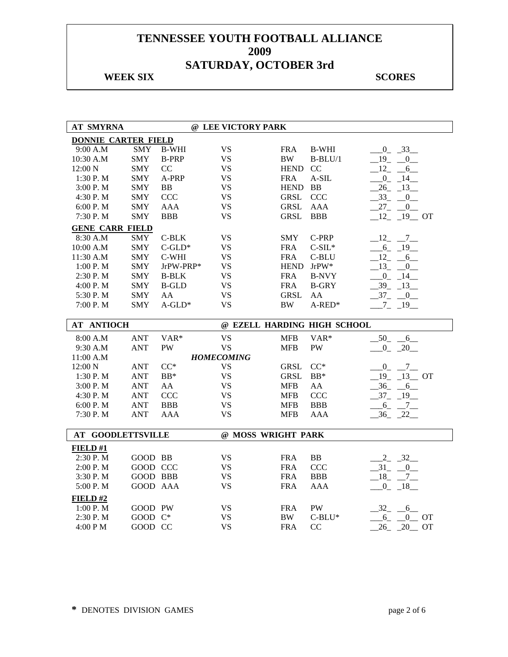### **WEEK SIX** SCORES

| <b>AT SMYRNA</b>           |            |              | @ LEE VICTORY PARK |             |                             |                                        |
|----------------------------|------------|--------------|--------------------|-------------|-----------------------------|----------------------------------------|
| <b>DONNIE CARTER FIELD</b> |            |              |                    |             |                             |                                        |
| 9:00 A.M                   | <b>SMY</b> | <b>B-WHI</b> | <b>VS</b>          | <b>FRA</b>  | <b>B-WHI</b>                | $-0$ $-33$                             |
| 10:30 A.M                  | <b>SMY</b> | <b>B-PRP</b> | <b>VS</b>          | <b>BW</b>   | $B-BLU/1$                   | 19<br>$\mathbf{0}$                     |
| 12:00 N                    | <b>SMY</b> | CC           | <b>VS</b>          | <b>HEND</b> | <sub>CC</sub>               | 12<br>$6\overline{6}$                  |
| 1:30 P. M                  | <b>SMY</b> | A-PRP        | <b>VS</b>          | <b>FRA</b>  | $A-SIL$                     | $-0$ $-14$ $-$                         |
| 3:00 P.M                   | <b>SMY</b> | <b>BB</b>    | <b>VS</b>          | <b>HEND</b> | <b>BB</b>                   | $26 - 13$                              |
| 4:30 P.M                   | <b>SMY</b> | <b>CCC</b>   | <b>VS</b>          | <b>GRSL</b> | <b>CCC</b>                  | 33<br>0                                |
| 6:00 P.M                   | <b>SMY</b> | <b>AAA</b>   | <b>VS</b>          | <b>GRSL</b> | <b>AAA</b>                  | 27<br>$\mathbf{0}$                     |
| 7:30 P.M                   | <b>SMY</b> | <b>BBB</b>   | <b>VS</b>          | <b>GRSL</b> | <b>BBB</b>                  | $12 - 19$ OT                           |
| <b>GENE CARR FIELD</b>     |            |              |                    |             |                             |                                        |
| 8:30 A.M                   | <b>SMY</b> | C-BLK        | <b>VS</b>          | <b>SMY</b>  | C-PRP                       | $-12$ $-7$                             |
| 10:00 A.M                  | <b>SMY</b> | $C$ -GLD*    | <b>VS</b>          | <b>FRA</b>  | $C-SIL*$                    | $-6 - 19$                              |
| 11:30 A.M                  | <b>SMY</b> | C-WHI        | <b>VS</b>          | <b>FRA</b>  | C-BLU                       | 12<br>$6\overline{6}$                  |
| 1:00 P. M                  | <b>SMY</b> | JrPW-PRP*    | <b>VS</b>          | <b>HEND</b> | $JrPW^*$                    | 13<br>$\mathbf{0}$                     |
| 2:30 P.M                   | <b>SMY</b> | <b>B-BLK</b> | <b>VS</b>          | <b>FRA</b>  | <b>B-NVY</b>                | $-0$ $-14$                             |
| 4:00 P.M                   | <b>SMY</b> | <b>B-GLD</b> | <b>VS</b>          | <b>FRA</b>  | <b>B-GRY</b>                | $-39$<br>13                            |
| 5:30 P.M                   | <b>SMY</b> | AA           | <b>VS</b>          | <b>GRSL</b> | AA                          | $-37 - 0$                              |
| 7:00 P.M                   | <b>SMY</b> | $A$ -GLD*    | <b>VS</b>          | $\rm BW$    | $A$ -RED*                   | $-7 - 19$                              |
|                            |            |              |                    |             |                             |                                        |
| <b>AT ANTIOCH</b>          |            |              |                    |             | @ EZELL HARDING HIGH SCHOOL |                                        |
| 8:00 A.M                   | <b>ANT</b> | VAR*         | <b>VS</b>          | <b>MFB</b>  | VAR*                        | $-50$ -<br>6                           |
| 9:30 A.M                   | <b>ANT</b> | <b>PW</b>    | <b>VS</b>          | <b>MFB</b>  | PW                          | $-0$ $-20$ $-$                         |
| 11:00 A.M                  |            |              | <b>HOMECOMING</b>  |             |                             |                                        |
| 12:00 N                    | <b>ANT</b> | $CC^*$       | <b>VS</b>          | <b>GRSL</b> | $CC^*$                      | $-0 - 7$                               |
| 1:30 P. M                  | <b>ANT</b> | $BB*$        | <b>VS</b>          | <b>GRSL</b> | $BB*$                       | $19 - 13$ OT                           |
| 3:00 P.M                   | <b>ANT</b> | AA           | <b>VS</b>          | <b>MFB</b>  | AA                          | $-36 - 6$                              |
| 4:30 P.M                   | <b>ANT</b> | CCC          | <b>VS</b>          | <b>MFB</b>  | <b>CCC</b>                  | $-37 - 19$                             |
| 6:00 P.M                   | <b>ANT</b> | <b>BBB</b>   | <b>VS</b>          | <b>MFB</b>  | <b>BBB</b>                  | $6 - 7$                                |
| 7:30 P.M                   | <b>ANT</b> | <b>AAA</b>   | <b>VS</b>          | <b>MFB</b>  | <b>AAA</b>                  | $-36$ $-22$                            |
|                            |            |              |                    |             |                             |                                        |
| <b>AT GOODLETTSVILLE</b>   |            |              | @ MOSS WRIGHT PARK |             |                             |                                        |
| FIELD#1                    |            |              |                    |             |                             |                                        |
| 2:30 P.M                   | GOOD BB    |              | <b>VS</b>          | <b>FRA</b>  | BB                          | $2 - 32$                               |
| 2:00 P.M                   | GOOD CCC   |              | <b>VS</b>          | <b>FRA</b>  | <b>CCC</b>                  | $-31 - 0$                              |
| 3:30 P.M                   | GOOD BBB   |              | <b>VS</b>          | <b>FRA</b>  | <b>BBB</b>                  | $18 - 7$                               |
| 5:00 P.M                   | GOOD AAA   |              | <b>VS</b>          | <b>FRA</b>  | <b>AAA</b>                  | $0 - 18$                               |
| FIELD#2                    |            |              |                    |             |                             |                                        |
| 1:00 P.M                   | GOOD PW    |              | <b>VS</b>          | <b>FRA</b>  | PW                          | 32<br>6                                |
| 2:30 P.M                   | GOOD C*    |              | <b>VS</b>          | <b>BW</b>   | $C-BLU^*$                   | $\overline{0}$<br>$6_{-}$<br><b>OT</b> |
| 4:00 PM                    | GOOD CC    |              | <b>VS</b>          | <b>FRA</b>  | CC                          | 26<br>20<br><b>OT</b>                  |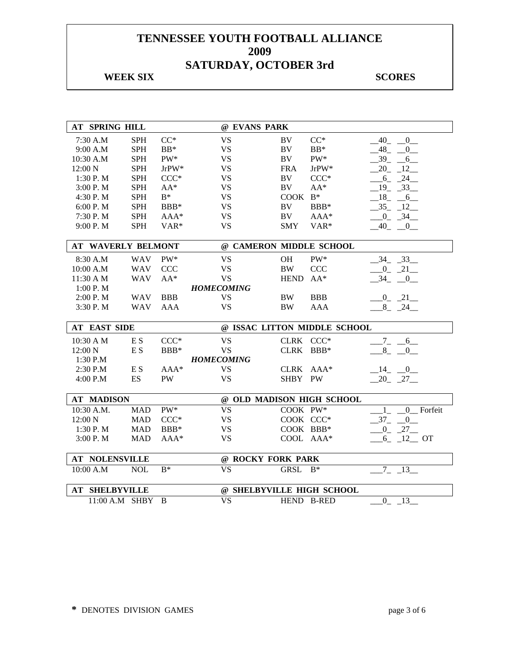#### **WEEK SIX** SCORES

| <b>AT SPRING HILL</b>     |            |                | @ EVANS PARK              |             |                              |                                           |
|---------------------------|------------|----------------|---------------------------|-------------|------------------------------|-------------------------------------------|
| 7:30 A.M                  | <b>SPH</b> | $CC^*$         | <b>VS</b>                 | <b>BV</b>   | $CC^*$                       | 40<br>0                                   |
| 9:00 A.M                  | <b>SPH</b> | $BB*$          | <b>VS</b>                 | $\rm BV$    | $BB*$                        | 48<br>$\overline{0}$                      |
| 10:30 A.M                 | <b>SPH</b> | PW*            | <b>VS</b>                 | BV          | $\mathrm{PW}^*$              | 39<br>6                                   |
| 12:00 N                   | <b>SPH</b> | $JrPW^*$       | <b>VS</b>                 | <b>FRA</b>  | $\mathrm{JrPW^*}$            | 20<br>12                                  |
| 1:30 P.M                  | <b>SPH</b> | $CCC*$         | <b>VS</b>                 | BV          | $CCC*$                       | 24<br>6                                   |
| 3:00 P. M                 | <b>SPH</b> | $AA^*$         | <b>VS</b>                 | BV          | $AA^*$                       | $-19$ $-33$                               |
| 4:30 P.M                  | <b>SPH</b> | $B^*$          | <b>VS</b>                 | $COOK B*$   |                              | $-18$ <sub>-</sub> $-6$                   |
| 6:00 P.M                  | <b>SPH</b> | $BBB*$         | <b>VS</b>                 | BV          | BBB*                         | $-35 - 12$                                |
| 7:30 P.M                  | <b>SPH</b> | AAA*           | <b>VS</b>                 | BV          | AAA*                         | $\overline{0}$<br>34                      |
| 9:00 P.M                  | <b>SPH</b> | VAR*           | <b>VS</b>                 | <b>SMY</b>  | VAR*                         | $-40$<br>$\overline{0}$                   |
| <b>AT WAVERLY BELMONT</b> |            |                | @ CAMERON MIDDLE SCHOOL   |             |                              |                                           |
| 8:30 A.M                  | <b>WAV</b> | PW*            | <b>VS</b>                 | <b>OH</b>   | PW*                          | $-34 - 33$                                |
| 10:00 A.M                 | <b>WAV</b> | <b>CCC</b>     | <b>VS</b>                 | <b>BW</b>   | <b>CCC</b>                   | $-21$<br>0                                |
| 11:30 A M                 | <b>WAV</b> | $AA^*$         | <b>VS</b>                 | <b>HEND</b> | $AA^*$                       | 34<br>$\overline{0}$                      |
| 1:00P. M                  |            |                | <b>HOMECOMING</b>         |             |                              |                                           |
| 2:00 P.M                  | <b>WAV</b> | <b>BBB</b>     | <b>VS</b>                 | <b>BW</b>   | <b>BBB</b>                   | $-0$ $-21$ $-$                            |
| 3:30 P.M                  | WAV        | AAA            | <b>VS</b>                 | <b>BW</b>   | <b>AAA</b>                   | $8 - 24$                                  |
|                           |            |                |                           |             |                              |                                           |
| <b>AT EAST SIDE</b>       |            |                |                           |             | @ ISSAC LITTON MIDDLE SCHOOL |                                           |
| 10:30 A M                 | E S        | $CCC*$         | <b>VS</b>                 | CLRK CCC*   |                              | $-7 - -6$                                 |
| 12:00 N                   | E S        | BBB*           | <b>VS</b>                 | CLRK BBB*   |                              | 8 0                                       |
| 1:30 P.M                  |            |                | <b>HOMECOMING</b>         |             |                              |                                           |
| 2:30 P.M                  | E S        | $AAA*$         | <b>VS</b>                 | CLRK AAA*   |                              | $-14$ $-0$                                |
| 4:00 P.M                  | ES         | PW             | <b>VS</b>                 | SHBY PW     |                              | $-20 - 27$                                |
|                           |            |                |                           |             |                              |                                           |
| <b>AT MADISON</b>         |            |                | @ OLD MADISON HIGH SCHOOL |             |                              |                                           |
| 10:30 A.M.                | <b>MAD</b> | $PW^*$         | <b>VS</b>                 | COOK PW*    |                              | Forfeit<br>$\mathbf{1}$<br>$\overline{0}$ |
| 12:00 N                   | <b>MAD</b> | $CCC*$         | <b>VS</b>                 | COOK CCC*   |                              | 37<br>$\overline{0}$                      |
| 1:30 P.M                  | <b>MAD</b> | BBB*           | <b>VS</b>                 | COOK BBB*   |                              | $0 - 27$                                  |
| 3:00 P. M                 | <b>MAD</b> | AAA*           | <b>VS</b>                 | COOL AAA*   |                              | $6 - 12$ OT                               |
| <b>AT NOLENSVILLE</b>     |            |                | @ ROCKY FORK PARK         |             |                              |                                           |
| 10:00 A.M                 | <b>NOL</b> | $\mathbf{B}^*$ | <b>VS</b>                 | <b>GRSL</b> | $B^*$                        | $7 - 13$                                  |
|                           |            |                |                           |             |                              |                                           |
|                           |            |                |                           |             |                              |                                           |
| <b>AT SHELBYVILLE</b>     |            |                | @ SHELBYVILLE HIGH SCHOOL |             |                              |                                           |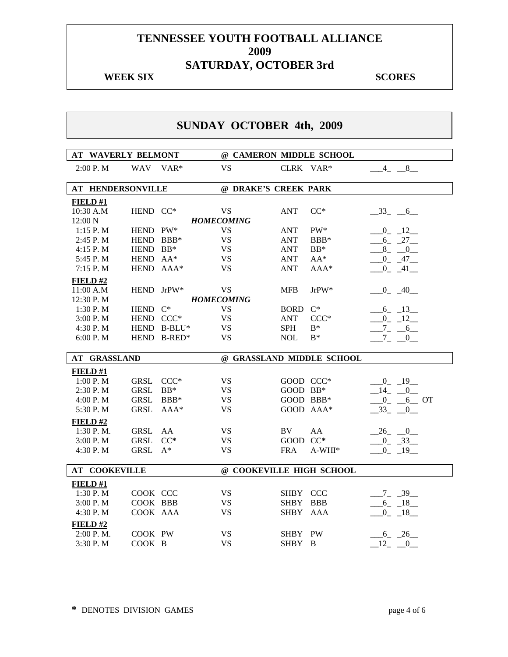#### **WEEK SIX** SCORES

# **SUNDAY OCTOBER 4th, 2009**

| <b>AT WAVERLY BELMONT</b> |             |             | @ CAMERON MIDDLE SCHOOL  |            |                           |                          |
|---------------------------|-------------|-------------|--------------------------|------------|---------------------------|--------------------------|
| 2:00 P.M                  | WAV VAR*    |             | <b>VS</b>                | CLRK VAR*  |                           | $-4 - 8$                 |
| <b>AT HENDERSONVILLE</b>  |             |             | @ DRAKE'S CREEK PARK     |            |                           |                          |
|                           |             |             |                          |            |                           |                          |
| FIELD#1<br>10:30 A.M      | HEND CC*    |             | <b>VS</b>                | <b>ANT</b> | $CC^*$                    | $-33 - 6$                |
| 12:00 N                   |             |             | <b>HOMECOMING</b>        |            |                           |                          |
| 1:15 P.M                  | HEND PW*    |             | <b>VS</b>                | <b>ANT</b> | PW*                       | $-0$ $12$                |
| 2:45 P.M                  | HEND BBB*   |             | <b>VS</b>                | ANT        | $BBB*$                    | $-6 - 27$                |
| 4:15 P.M                  | HEND BB*    |             | <b>VS</b>                | <b>ANT</b> | $BB*$                     | $-8$ $-0$ $-$            |
| 5:45 P.M                  | HEND AA*    |             | <b>VS</b>                | <b>ANT</b> | $AA^*$                    | $-0$ $-47$               |
| 7:15 P.M                  | HEND AAA*   |             | <b>VS</b>                | <b>ANT</b> | $AAA*$                    | $-0$ $-41$ $-$           |
| FIELD#2                   |             |             |                          |            |                           |                          |
| 11:00 A.M                 | HEND JrPW*  |             | <b>VS</b>                | <b>MFB</b> | JrPW*                     | $-0$ $-40$               |
| 12:30 P.M                 |             |             | <b>HOMECOMING</b>        |            |                           |                          |
| 1:30 P.M                  | HEND C*     |             | <b>VS</b>                | BORD C*    |                           | $-6 - 13$                |
| 3:00 P.M                  | HEND CCC*   |             | <b>VS</b>                | <b>ANT</b> | $CCC*$                    | $-0$ $-12$               |
| 4:30 P.M                  |             | HEND B-BLU* | <b>VS</b>                | <b>SPH</b> | $B^*$                     | $-7 - -6$                |
| 6:00 P.M                  |             | HEND B-RED* | <b>VS</b>                | <b>NOL</b> | $B^*$                     | $-7 - 0$                 |
|                           |             |             |                          |            |                           |                          |
| <b>AT GRASSLAND</b>       |             |             |                          |            | @ GRASSLAND MIDDLE SCHOOL |                          |
|                           |             |             |                          |            |                           |                          |
| FIELD#1                   |             |             |                          |            |                           |                          |
| 1:00 P.M                  | GRSL        | $CCC*$      | <b>VS</b>                | GOOD CCC*  |                           | $-0$ $-19$               |
| 2:30 P.M                  | <b>GRSL</b> | $BB*$       | <b>VS</b>                | GOOD BB*   |                           | $-14$ $-0$               |
| 4:00 P.M                  | <b>GRSL</b> | BBB*        | <b>VS</b>                | GOOD BBB*  |                           | $-0$ $-6$ OT             |
| 5:30 P.M                  | <b>GRSL</b> | $AAA*$      | <b>VS</b>                | GOOD AAA*  |                           | $-33 - 0$                |
| FIELD#2                   |             |             |                          |            |                           |                          |
| 1:30 P.M.                 | <b>GRSL</b> | AA          | <b>VS</b>                | BV         | AA                        |                          |
| 3:00 P.M                  | <b>GRSL</b> | $CC^*$      | <b>VS</b>                | GOOD CC*   |                           | $-26$ $-0$<br>$-0$ $-33$ |
| 4:30 P.M                  | <b>GRSL</b> | $A^*$       | <b>VS</b>                | <b>FRA</b> | $A-WHI*$                  | $-0$ $-19$ $-$           |
|                           |             |             |                          |            |                           |                          |
| <b>AT COOKEVILLE</b>      |             |             | @ COOKEVILLE HIGH SCHOOL |            |                           |                          |
| FIELD#1                   |             |             |                          |            |                           |                          |
| 1:30 P.M                  | COOK CCC    |             | <b>VS</b>                | SHBY CCC   |                           | $-7 - 39$                |
| 3:00 P.M                  | COOK BBB    |             | <b>VS</b>                | SHBY BBB   |                           | $-6 - 18$                |
| 4:30 P.M                  | COOK AAA    |             | VS.                      | SHBY AAA   |                           | $0 - 18$                 |
|                           |             |             |                          |            |                           |                          |
| FIELD #2<br>2:00 P.M.     | COOK PW     |             | VS                       | SHBY PW    |                           | $-6 - 26$                |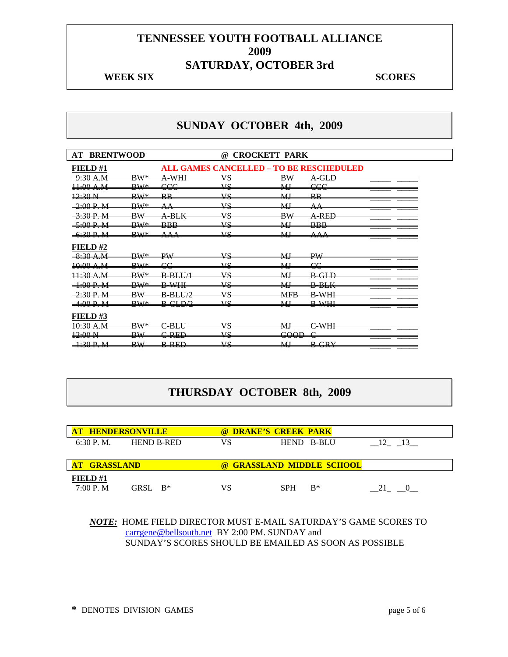#### **WEEK SIX** SCORES

## **SUNDAY OCTOBER 4th, 2009**

| <b>AT BRENTWOOD</b>                   |                               |                                          | <b>CROCKETT PARK</b><br>@)                     |                            |                                                       |
|---------------------------------------|-------------------------------|------------------------------------------|------------------------------------------------|----------------------------|-------------------------------------------------------|
| <b>FIELD#1</b>                        |                               |                                          | <b>ALL GAMES CANCELLED - TO BE RESCHEDULED</b> |                            |                                                       |
| $0.20 \text{ A} \text{M}$<br>2.39 T.M | $\mathbf{D}\mathbf{W}$<br>.   | $\Lambda$ WIII<br>т.<br>.                | <b>IIC</b><br>۰.                               | $\mathbf{D}$ VV<br>. .     | $\overline{\mathrm{A}\mathrm{~GLD}}$                  |
| $\pm 00$ A.M                          | <b>BW*</b>                    | eee                                      | vs                                             | MJ                         | eee                                                   |
| 12:30 N                               | $\mathbf{D}\mathbf{W}$<br>.   | $\mathbf{D} \mathbf{D}$<br>محافظ         | <b>IIC</b><br>÷                                | MI<br>- - - -              | $\mathbf{D} \mathbf{D}$<br>,,,,                       |
| $-2:00 P. M$                          | $\mathbf{D}\mathbf{W}$<br>. . | $\lambda$ $\lambda$<br>$\overline{A}$    | <b>IIC</b><br>Ō                                | MI<br>237 Jul              | <b>A</b> A<br>$\sim$                                  |
| <del>-3:30 P. M</del>                 | $\overline{\text{BW}}$        | <del>A-BLK</del>                         | VS                                             | DW <sub>7</sub><br>Ħ٧      | <del>A-REE</del>                                      |
| 5.00 D M<br><del>Jivu F. m</del>      | $\mathbf{D}\mathbf{W}$<br>سح  | <b>BBB</b>                               | <b>IIC</b><br>۰υ                               | MI<br>237 Jul              | $\mathbf{D} \mathbf{D} \mathbf{D}$<br>                |
| 6.30 D M<br><del>0.30 F. M</del>      | $\mathbf{D}\mathbf{W}$<br>. . | <b>A</b> A A<br>ovever                   | <b>VIC</b><br>Ō                                | <b>MI</b><br><b>AV 200</b> | $\Lambda$ $\Lambda$ $\Lambda$<br>$\sim$ $\sim$ $\sim$ |
| FIELD#2                               |                               |                                          |                                                |                            |                                                       |
| $8:30$ A.M                            | $\mathbf{D}\mathbf{W}$        | DV <sub>I</sub>                          | <b>IIC</b><br>۰.                               | <b>MT</b><br><b>AV 200</b> | DW <sub>1</sub>                                       |
| 10:00 A.M                             | $\mathbf{D}\mathbf{W}$        | $\alpha$                                 | <b>IIC</b>                                     | MI<br><b>AND 100</b>       | $\alpha$                                              |
| $\frac{11.30 \text{ A.M}}{1}$         | $\mathbf{D}\mathbf{W}$        | <del>B-BLU/1</del>                       | VS                                             | МJ                         | <del>B-GLD</del>                                      |
| 1.00 D M<br>1.001.01                  | $\mathbf{D}\mathbf{W}$        | <b>D WII</b><br>.                        | <b>VIC</b>                                     | MI<br>$\overline{a}$       | $R$ $R$ $V$<br>$- - - - - -$                          |
| 2.30 D M                              | $\mathbf{D}\mathbf{W}$<br>.   | $R$ $R$ $I$ $I$ $\gamma$<br><del>.</del> | 17 C<br>٠.                                     | <b>MED</b><br>$\cdots$     | $\mathbf{D}$ WIII<br>.,<br>11-00-                     |
| $-4:00 P. M$                          | $BW^*$                        | $B-GLDA$                                 | $\overline{17}C$                               | M                          | <b>B-WHI</b>                                          |
| FIELD#3                               |                               |                                          |                                                |                            |                                                       |
| <del>10:30 A.M</del>                  | $\mathbf{D}\mathbf{W}$        | $\cap$ DI II<br><del>DD</del> U          | 17 C                                           | MI<br>$\sim$               | $\alpha$ while                                        |
| $42:00 \text{ N}$                     | DW)<br>Ð₩                     | <del>C-RED</del>                         | VS                                             | <del>GOOD</del>            |                                                       |
| 1.20 D M<br>1.501.17                  | $\mathbf{D}\mathbf{W}$<br>יים | <b>D DEN</b><br><del>D Kw</del>          | <b>IIC</b><br>. .                              | <b>MT</b><br>17.JU         | DCDV<br><del>.</del>                                  |

## **THURSDAY OCTOBER 8th, 2009**

| <b>AT HENDERSONVILLE</b> |                   |    | @ DRAKE'S CREEK PARK      |    |
|--------------------------|-------------------|----|---------------------------|----|
| 6:30 P. M.               | <b>HEND B-RED</b> | VS | HEND B-BLU                | 12 |
|                          |                   |    |                           |    |
|                          |                   |    |                           |    |
| <b>AT GRASSLAND</b>      |                   |    | @ GRASSLAND MIDDLE SCHOOL |    |
| FIELD#1                  |                   |    |                           |    |

*NOTE:* HOME FIELD DIRECTOR MUST E-MAIL SATURDAY'S GAME SCORES TO carrgene@bellsouth.net BY 2:00 PM. SUNDAY and SUNDAY'S SCORES SHOULD BE EMAILED AS SOON AS POSSIBLE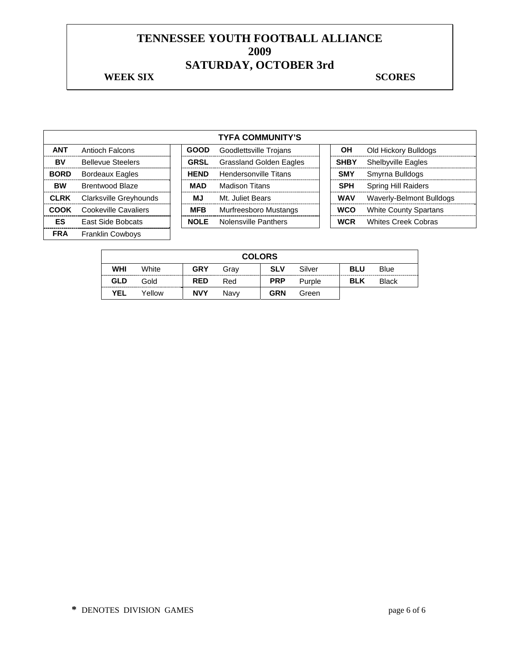#### **WEEK SIX** SCORES

|             |                          |             | <b>TYFA COMMUNITY'S</b>        |             |                              |
|-------------|--------------------------|-------------|--------------------------------|-------------|------------------------------|
| <b>ANT</b>  | Antioch Falcons          | <b>GOOD</b> | Goodlettsville Trojans         | <b>OH</b>   | Old Hickory Bulldogs         |
| BV          | <b>Bellevue Steelers</b> | <b>GRSL</b> | <b>Grassland Golden Eagles</b> | <b>SHBY</b> | <b>Shelbyville Eagles</b>    |
| <b>BORD</b> | <b>Bordeaux Eagles</b>   | <b>HEND</b> | <b>Hendersonville Titans</b>   | <b>SMY</b>  | Smyrna Bulldogs              |
| <b>BW</b>   | Brentwood Blaze          | <b>MAD</b>  | Madison Titans                 | <b>SPH</b>  | <b>Spring Hill Raiders</b>   |
| <b>CLRK</b> | Clarksville Greyhounds   | МJ          | Mt. Juliet Bears               | <b>WAV</b>  | Waverly-Belmont Bulldogs     |
| <b>COOK</b> | Cookeville Cavaliers     | <b>MFB</b>  | Murfreesboro Mustangs          | <b>WCO</b>  | <b>White County Spartans</b> |
| ES          | East Side Bobcats        | <b>NOLE</b> | Nolensville Panthers           | <b>WCR</b>  | <b>Whites Creek Cobras</b>   |
| <b>FRA</b>  | <b>Franklin Cowboys</b>  |             |                                |             |                              |

|            |        |            | <b>COLORS</b> |            |        |            |              |
|------------|--------|------------|---------------|------------|--------|------------|--------------|
| WHI        | White  | <b>GRY</b> | Grav          | <b>SLV</b> | Silver | <b>BLU</b> | Blue         |
| <b>GLD</b> | Gold   | <b>RED</b> | Red           | <b>PRP</b> | Purple | <b>BLK</b> | <b>Black</b> |
| <b>YEL</b> | Yellow | <b>NVY</b> | Navv          | <b>GRN</b> | Green  |            |              |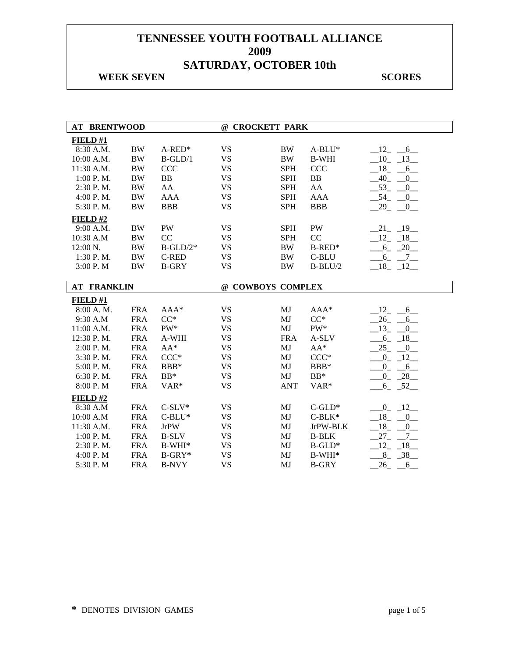#### **WEEK SEVEN** SCORES

| <b>AT BRENTWOOD</b> |            |                | @ CROCKETT PARK   |            |              |                      |
|---------------------|------------|----------------|-------------------|------------|--------------|----------------------|
| FIELD#1             |            |                |                   |            |              |                      |
| 8:30 A.M.           | $\rm BW$   | $A$ -RED*      | <b>VS</b>         | <b>BW</b>  | $A-BLU^*$    | 12<br>6              |
| 10:00 A.M.          | <b>BW</b>  | $B-GLD/1$      | <b>VS</b>         | <b>BW</b>  | <b>B-WHI</b> | $-10$<br>$-13$       |
| 11:30 A.M.          | <b>BW</b>  | <b>CCC</b>     | <b>VS</b>         | <b>SPH</b> | <b>CCC</b>   | 18<br>6              |
| 1:00 P.M.           | <b>BW</b>  | B <sub>B</sub> | <b>VS</b>         | <b>SPH</b> | ${\bf BB}$   | 40<br>0              |
| 2:30 P.M.           | <b>BW</b>  | AA             | <b>VS</b>         | <b>SPH</b> | AA           | 53<br>0              |
| 4:00 P.M.           | <b>BW</b>  | <b>AAA</b>     | <b>VS</b>         | <b>SPH</b> | <b>AAA</b>   | 54<br>$_{0}$         |
| 5:30 P.M.           | <b>BW</b>  | <b>BBB</b>     | <b>VS</b>         | <b>SPH</b> | <b>BBB</b>   | 29<br>$\overline{0}$ |
| $FIED$ #2           |            |                |                   |            |              |                      |
| 9:00 A.M.           | <b>BW</b>  | <b>PW</b>      | <b>VS</b>         | <b>SPH</b> | <b>PW</b>    | $21 - 19$            |
| 10:30 A.M           | <b>BW</b>  | CC             | <b>VS</b>         | <b>SPH</b> | CC           | $-12 - 18$           |
| 12:00 N.            | <b>BW</b>  | $B-GLD/2*$     | <b>VS</b>         | <b>BW</b>  | $B$ -RED*    | $-6 - 20$            |
| 1:30 P.M.           | <b>BW</b>  | <b>C-RED</b>   | <b>VS</b>         | <b>BW</b>  | C-BLU        | $-6 - 7$             |
| 3:00 P.M            | <b>BW</b>  | <b>B-GRY</b>   | <b>VS</b>         | <b>BW</b>  | $B-BLU/2$    | $-18$ $-12$          |
|                     |            |                |                   |            |              |                      |
| <b>AT FRANKLIN</b>  |            |                | @ COWBOYS COMPLEX |            |              |                      |
|                     |            |                |                   |            |              |                      |
| FIELD #1            |            |                |                   |            |              |                      |
| 8:00 A.M.           | <b>FRA</b> | $AAA*$         | <b>VS</b>         | MJ         | $AAA*$       | 12<br>6              |
| 9:30 A.M            | <b>FRA</b> | $CC^*$         | <b>VS</b>         | MJ         | $CC^*$       | 26<br>6              |
| 11:00 A.M.          | <b>FRA</b> | PW*            | <b>VS</b>         | MJ         | PW*          | 13<br>0              |
| 12:30 P.M.          | <b>FRA</b> | A-WHI          | <b>VS</b>         | <b>FRA</b> | A-SLV        | $6_{-}$<br>$-18$     |
| 2:00 P.M.           | <b>FRA</b> | $AA^*$         | <b>VS</b>         | MJ         | $AA^*$       | 25<br>$\overline{0}$ |
| 3:30 P.M.           | <b>FRA</b> | $CCC*$         | <b>VS</b>         | MJ         | $CCC*$       | $\overline{0}$<br>12 |
| 5:00 P.M.           | <b>FRA</b> | BBB*           | <b>VS</b>         | MJ         | BBB*         | 0<br>6               |
| 6:30 P.M.           | <b>FRA</b> | $BB*$          | <b>VS</b>         | MJ         | $\rm BB^*$   | $-28$<br>$_{0}^{0}$  |
| 8:00 P.M            | <b>FRA</b> | VAR*           | <b>VS</b>         | <b>ANT</b> | VAR*         | $6 - 52$             |
| $FIED$ #2           |            |                |                   |            |              |                      |
| 8:30 A.M            | <b>FRA</b> | $C-SLV*$       | <b>VS</b>         | MJ         | $C$ -GLD*    | $0 - 12$             |
| 10:00 A.M           | <b>FRA</b> | $C-BLU^*$      | <b>VS</b>         | MJ         | $C-BLK*$     | $-18$ $-0$           |
| 11:30 A.M.          | <b>FRA</b> | <b>JrPW</b>    | <b>VS</b>         | MJ         | JrPW-BLK     | $-18$ $-0$           |
| 1:00 P. M.          | <b>FRA</b> | <b>B-SLV</b>   | <b>VS</b>         | MJ         | <b>B-BLK</b> | $27_{-}$             |
| 2:30 P.M.           | <b>FRA</b> | B-WHI*         | <b>VS</b>         | MJ         | $B$ -GLD*    | $7_{-}$<br>12<br>18  |
| 4:00 P.M            | <b>FRA</b> | $B-GRY*$       | <b>VS</b>         | MJ         | $B-WHI*$     | $-38$<br>$8_{-}$     |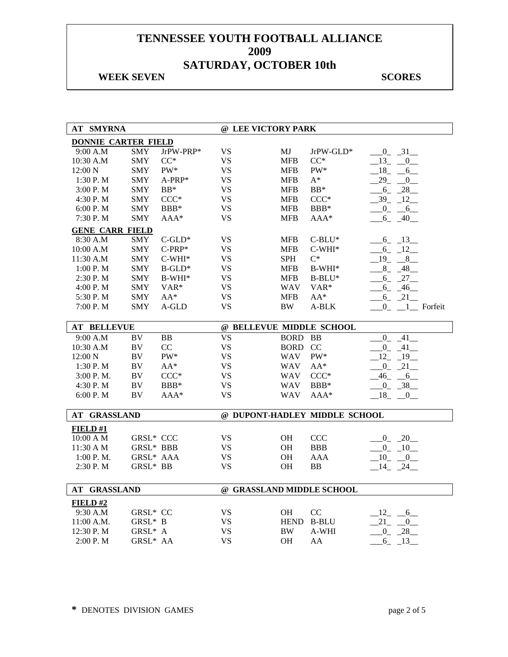#### **WEEK SEVEN** SCORES

| <b>AT SMYRNA</b>           |                  |           | @ LEE VICTORY PARK        |             |                               |                              |
|----------------------------|------------------|-----------|---------------------------|-------------|-------------------------------|------------------------------|
| <b>DONNIE CARTER FIELD</b> |                  |           |                           |             |                               |                              |
| 9:00 A.M                   | <b>SMY</b>       | JrPW-PRP* | <b>VS</b>                 | МJ          | JrPW-GLD*                     | $-0$ $-31$ $-$               |
| 10:30 A.M                  | <b>SMY</b>       | $CC^*$    | <b>VS</b>                 | <b>MFB</b>  | $CC^*$                        | $13 - 0$                     |
| $12:00\text{ N}$           | <b>SMY</b>       | $PW^*$    | <b>VS</b>                 | <b>MFB</b>  | PW*                           | $18 - 6$                     |
| 1:30 P. M                  | <b>SMY</b>       | $A-PRP*$  | <b>VS</b>                 | <b>MFB</b>  | $A^*$                         | $-29 - 0$                    |
| 3:00 P.M                   | <b>SMY</b>       | $BB*$     | <b>VS</b>                 | <b>MFB</b>  | $BB*$                         | $-6 - 28$                    |
| 4:30 P.M                   | <b>SMY</b>       | $CCC*$    | <b>VS</b>                 | <b>MFB</b>  | $CCC*$                        | $-39 - 12$                   |
| 6:00 P. M                  | <b>SMY</b>       | $BBB*$    | VS.                       | <b>MFB</b>  | $BBB*$                        | $-0$ $-6$                    |
| 7:30 P.M                   | <b>SMY</b>       | AAA*      | <b>VS</b>                 | <b>MFB</b>  | AAA*                          | 6 40                         |
| <b>GENE CARR FIELD</b>     |                  |           |                           |             |                               |                              |
| 8:30 A.M                   | SMY              | $C$ -GLD* | <b>VS</b>                 | <b>MFB</b>  | $C-BLU^*$                     | $6 - 13$                     |
| 10:00 A.M                  | <b>SMY</b>       | $C-PRP*$  | <b>VS</b>                 | <b>MFB</b>  | $C-WHI*$                      | $-6 - 12$                    |
| 11:30 A.M                  | <b>SMY</b>       | $C-WHI*$  | <b>VS</b>                 | <b>SPH</b>  | $C^*$                         | 19<br>$-8$                   |
| 1:00 P.M                   | <b>SMY</b>       | $B$ -GLD* | <b>VS</b>                 | <b>MFB</b>  | $B-WHI*$                      | 8 48                         |
| 2:30 P.M                   | <b>SMY</b>       | $B-WHI*$  | <b>VS</b>                 | <b>MFB</b>  | $B-BLU^*$                     | $-6$ $-27$                   |
| 4:00 P.M                   | SMY              | VAR*      | <b>VS</b>                 | <b>WAV</b>  | VAR <sup>*</sup>              | $-6 - 46$                    |
| 5:30 P.M                   | SMY              | $AA^*$    | <b>VS</b>                 | <b>MFB</b>  | $AA^*$                        | $-6 - 21$                    |
| 7:00 P.M                   | <b>SMY</b>       | A-GLD     | <b>VS</b>                 | <b>BW</b>   | A-BLK                         | $0$ <sub>-1</sub> Forfeit    |
| <b>AT BELLEVUE</b>         |                  |           | @ BELLEVUE MIDDLE SCHOOL  |             |                               |                              |
| 9:00 A.M                   | BV               | BB        | <b>VS</b>                 | <b>BORD</b> | <b>BB</b>                     | $0 - 41$                     |
| 10:30 A.M                  | BV               | CC        | <b>VS</b>                 | <b>BORD</b> | <b>CC</b>                     | $-0$ $-41$ $-$               |
| 12:00 N                    | BV               | $PW^*$    | VS                        | <b>WAV</b>  | $\mathrm{PW}^*$               | $-12$ $-19$                  |
| 1:30 P.M                   | BV               | $AA^*$    | <b>VS</b>                 | <b>WAV</b>  | $AA^*$                        | $\overline{0}$<br>21         |
| 3:00 P.M.                  | BV               | $CCC*$    | <b>VS</b>                 | <b>WAV</b>  | $CCC*$                        | $\frac{46}{-}$ $\frac{6}{-}$ |
| 4:30 P.M                   | $\rm BV$         | $BBB*$    | <b>VS</b>                 | <b>WAV</b>  | $BBB*$                        | $0 - 38$                     |
| 6:00 P.M                   | BV               | $AAA*$    | <b>VS</b>                 | <b>WAV</b>  | $AAA*$                        | $18 - 0$                     |
|                            |                  |           |                           |             |                               |                              |
| AT GRASSLAND               |                  |           |                           |             | @ DUPONT-HADLEY MIDDLE SCHOOL |                              |
| FIELD#1                    |                  |           |                           |             |                               |                              |
| $10:00$ A M                | <b>GRSL* CCC</b> |           | <b>VS</b>                 | OH          | <b>CCC</b>                    | $-0$ $-20$                   |
| 11:30 A M                  | GRSL* BBB        |           | VS                        | <b>OH</b>   | <b>BBB</b>                    | $0 - 10$                     |
| 1:00 P.M.                  | GRSL* AAA        |           | <b>VS</b>                 | OH          | AAA                           | $-10$<br>$\overline{0}$      |
| 2:30 P.M                   | GRSL* BB         |           | <b>VS</b>                 | <b>OH</b>   | <b>BB</b>                     | 14<br>24                     |
|                            |                  |           |                           |             |                               |                              |
| <b>AT GRASSLAND</b>        |                  |           | @ GRASSLAND MIDDLE SCHOOL |             |                               |                              |
| FIELD#2                    |                  |           |                           |             |                               |                              |
| 9:30 A.M                   | GRSL* CC         |           | <b>VS</b>                 | OH          | CC                            | $12 - 6$                     |
| 11:00 A.M.                 | GRSL* B          |           | <b>VS</b>                 | <b>HEND</b> | <b>B-BLU</b>                  | $21 -$<br>0                  |
| 12:30 P.M                  | GRSL* A          |           | <b>VS</b>                 | <b>BW</b>   | A-WHI                         | $-28$<br>$\overline{0}$      |
| 2:00 P.M                   | GRSL* AA         |           | <b>VS</b>                 | OH          | AA                            | $-6 - 13$                    |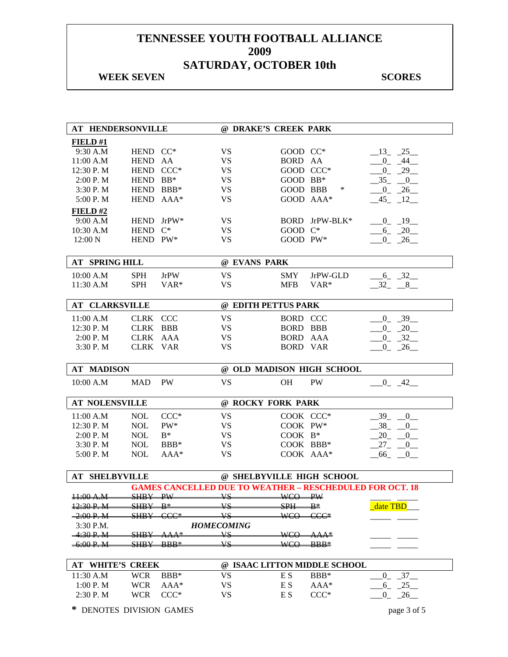#### **WEEK SEVEN** SCORES

| <b>AT HENDERSONVILLE</b> |                          |                       | @ DRAKE'S CREEK PARK   |                         |                                                                 |                                 |
|--------------------------|--------------------------|-----------------------|------------------------|-------------------------|-----------------------------------------------------------------|---------------------------------|
| FIELD#1                  |                          |                       |                        |                         |                                                                 |                                 |
| 9:30 A.M                 | HEND CC*                 |                       | VS                     | GOOD CC*                |                                                                 | $-13$ $-25$                     |
| 11:00 A.M                | HEND AA                  |                       | VS                     | BORD AA                 |                                                                 | $-0$ $-44$                      |
| 12:30 P.M                | HEND CCC*                |                       | <b>VS</b>              | GOOD CCC*               |                                                                 | $-0$ $-29$ $-$                  |
| 2:00 P. M                | HEND BB*                 |                       | <b>VS</b>              | GOOD BB*                |                                                                 | $-35 - 0$                       |
| 3:30 P.M                 | HEND BBB*                |                       | <b>VS</b>              | GOOD BBB                | ∗                                                               | $-0$ $-26$                      |
| 5:00 P.M                 | HEND AAA*                |                       | <b>VS</b>              | GOOD AAA*               |                                                                 | $-45$ $-12$                     |
| FIELD#2                  |                          |                       |                        |                         |                                                                 |                                 |
| 9:00 A.M                 | HEND JrPW*               |                       | VS                     |                         | BORD JrPW-BLK*                                                  | $-0$ $-19$                      |
| 10:30 A.M                | HEND C*                  |                       | <b>VS</b>              | GOOD C*                 |                                                                 | $-6 - 20$                       |
| 12:00 N                  | HEND PW*                 |                       | <b>VS</b>              | GOOD PW*                |                                                                 | $0 - 26$                        |
|                          |                          |                       |                        |                         |                                                                 |                                 |
| <b>AT SPRING HILL</b>    |                          |                       | @ EVANS PARK           |                         |                                                                 |                                 |
| 10:00 A.M                | <b>SPH</b>               | <b>JrPW</b>           | <b>VS</b>              | <b>SMY</b>              | JrPW-GLD                                                        | $-6 - 32$                       |
| 11:30 A.M                | <b>SPH</b>               | VAR*                  | <b>VS</b>              | <b>MFB</b>              | VAR*                                                            | $-32 - 8$                       |
|                          |                          |                       |                        |                         |                                                                 |                                 |
| AT CLARKSVILLE           |                          |                       | @ EDITH PETTUS PARK    |                         |                                                                 |                                 |
| 11:00 A.M                | CLRK CCC                 |                       | <b>VS</b>              | <b>BORD CCC</b>         |                                                                 | $-0$ $-39$                      |
| 12:30 P.M                | CLRK BBB                 |                       | <b>VS</b>              | <b>BORD BBB</b>         |                                                                 | $0 - 20$                        |
| 2:00 P. M                | CLRK AAA                 |                       | <b>VS</b>              | BORD AAA                |                                                                 | $0 - 32$                        |
| 3:30 P.M                 | CLRK VAR                 |                       | <b>VS</b>              | <b>BORD VAR</b>         |                                                                 | $-0$ $-26$                      |
|                          |                          |                       |                        |                         |                                                                 |                                 |
|                          |                          |                       |                        |                         |                                                                 |                                 |
| <b>AT MADISON</b>        |                          |                       |                        |                         | @ OLD MADISON HIGH SCHOOL                                       |                                 |
| 10:00 A.M                | <b>MAD</b>               | PW                    | <b>VS</b>              | <b>OH</b>               | PW                                                              | $0 - 42$                        |
|                          |                          |                       |                        |                         |                                                                 |                                 |
| <b>AT NOLENSVILLE</b>    |                          |                       | @ ROCKY FORK PARK      |                         |                                                                 |                                 |
| 11:00 A.M                | <b>NOL</b>               | $CCC*$                | <b>VS</b>              | COOK CCC*               |                                                                 | $-39$ $-0$                      |
| 12:30 P.M                | <b>NOL</b>               | $PW^*$                | <b>VS</b>              | COOK PW*                |                                                                 | $-38$ $-0$                      |
| 2:00 P. M                | <b>NOL</b>               | $B^*$                 | VS                     | $COOK$ $B*$             |                                                                 | $-20 - 0$                       |
| 3:30 P.M                 | <b>NOL</b>               | BBB*                  | <b>VS</b>              | COOK BBB*               |                                                                 | $27 - 0$                        |
| 5:00 P.M                 | <b>NOL</b>               | $AAA*$                | <b>VS</b>              | COOK AAA*               |                                                                 | $-66$ $-0$                      |
|                          |                          |                       |                        |                         |                                                                 |                                 |
| <b>AT SHELBYVILLE</b>    |                          |                       |                        |                         | @ SHELBYVILLE HIGH SCHOOL                                       |                                 |
|                          |                          |                       |                        |                         | <b>GAMES CANCELLED DUE TO WEATHER - RESCHEDULED FOR OCT. 18</b> |                                 |
| 11:00 A.M                | SHRY—                    | $\overline{\text{p}}$ | VΣ                     | WCO PW                  |                                                                 |                                 |
| 12:30 P. M               | <del>SHRY</del>          | $\mathbf{R}^*$        | Vς                     | $\overline{\text{SPH}}$ | $\mathbf{B}^*$                                                  | date TBD                        |
| $-2:00P, M$              | <del>SHB Y</del>         | <del>CCC*</del>       | VS                     | WCO-                    | <del>CCC*</del>                                                 |                                 |
| 3:30 P.M.                |                          |                       | <b>HOMECOMING</b>      |                         |                                                                 |                                 |
| <del>-4:30 P. M</del>    | <del>SHB Y</del>         | <del>AAA*</del>       | ¥S                     | <del>WCO</del>          | <del>−AAA*</del>                                                |                                 |
| <del>-6:00 P. M</del>    | <del>SHBY—</del>         | -BBB*                 | Vς                     | <del>WCO</del>          | -BBB≛                                                           |                                 |
| <b>AT WHITE'S CREEK</b>  |                          |                       |                        |                         | @ ISAAC LITTON MIDDLE SCHOOL                                    |                                 |
|                          |                          |                       |                        |                         |                                                                 |                                 |
| 11:30 A.M<br>1:00 P. M   | <b>WCR</b><br><b>WCR</b> | BBB*<br>$AAA*$        | <b>VS</b><br><b>VS</b> | E S<br>E S              | BBB*<br>AAA*                                                    | $-37$<br>$\overline{0}$<br>6 25 |

**\*** DENOTES DIVISION GAMES page 3 of 5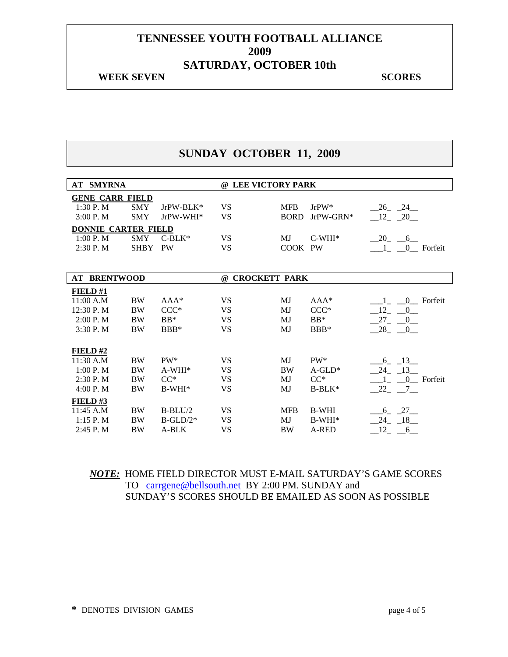#### **WEEK SEVEN** SCORES

## **SUNDAY OCTOBER 11, 2009**

| <b>AT SMYRNA</b>           | @ LEE VICTORY PARK |             |                                  |             |              |                             |  |
|----------------------------|--------------------|-------------|----------------------------------|-------------|--------------|-----------------------------|--|
| <b>GENE CARR FIELD</b>     |                    |             |                                  |             |              |                             |  |
| $1:30P$ . M                | <b>SMY</b>         | $JrPW-BLK*$ | VS                               | <b>MFB</b>  | $Jr$ PW*     | 26 24                       |  |
| $3:00P$ . M                | <b>SMY</b>         | JrPW-WHI*   | <b>VS</b>                        | <b>BORD</b> | $JrPW-GRN^*$ | 12 20                       |  |
| <b>DONNIE CARTER FIELD</b> |                    |             |                                  |             |              |                             |  |
| 1:00 P. M                  | <b>SMY</b>         | $C-BLK*$    | VS                               | <b>MJ</b>   | $C-WHI*$     | $-20$ $-6$                  |  |
| 2:30 P.M                   | <b>SHBY</b>        | <b>PW</b>   | <b>VS</b>                        | COOK PW     |              | $\blacksquare$<br>0 Forfeit |  |
|                            |                    |             |                                  |             |              |                             |  |
|                            |                    |             |                                  |             |              |                             |  |
| <b>AT BRENTWOOD</b>        |                    |             | <b>CROCKETT PARK</b><br>$\omega$ |             |              |                             |  |
| FIELD#1                    |                    |             |                                  |             |              |                             |  |
| 11:00 A.M                  | <b>BW</b>          | $AAA*$      | <b>VS</b>                        | MJ          | $AAA*$       | 0 Forfeit<br>$\mathbf{1}$   |  |
| 12:30 P.M                  | <b>BW</b>          | $CCC*$      | <b>VS</b>                        | MJ          | $CCC*$       | 12<br>$\overline{0}$        |  |
| 2:00 P. M                  | <b>BW</b>          | $BB*$       | <b>VS</b>                        | MJ          | $BB*$        | 27 0                        |  |
| 3:30P. M                   | <b>BW</b>          | $BBB*$      | <b>VS</b>                        | MJ          | $BBB*$       | $-28$ $-0$                  |  |
|                            |                    |             |                                  |             |              |                             |  |
| FIELD#2                    |                    |             |                                  |             |              |                             |  |
| 11:30 A.M                  | <b>BW</b>          | PW*         | VS                               | MJ          | $PW^*$       | $.6 - 13$                   |  |
| 1:00 P. M                  | <b>BW</b>          | $A-WHI*$    | VS                               | <b>BW</b>   | $A-GLD^*$    | 24 13                       |  |
| 2:30P. M                   | <b>BW</b>          | $CC^*$      | VS                               | MJ          | $CC^*$       | 0 Forfeit<br>$\mathbf{1}$   |  |
| 4:00 P. M                  | <b>BW</b>          | $B-WHI*$    | <b>VS</b>                        | MJ          | $B-BLK*$     | $-22$ $-7$                  |  |
| $FIED$ #3                  |                    |             |                                  |             |              |                             |  |
| 11:45 A.M                  | <b>BW</b>          | $B-BLU/2$   | VS                               | <b>MFB</b>  | <b>B-WHI</b> | $6 - 27$                    |  |
| $1:15P$ . M                | <b>BW</b>          | $B-GLD/2*$  | <b>VS</b>                        | MJ          | $B-WHI*$     | $24 - 18$                   |  |
| $2:45$ P. M                | <b>BW</b>          | A-BLK       | <b>VS</b>                        | <b>BW</b>   | A-RED        | 12<br>6                     |  |

## *NOTE:* HOME FIELD DIRECTOR MUST E-MAIL SATURDAY'S GAME SCORES TO carrgene@bellsouth.net BY 2:00 PM. SUNDAY and SUNDAY'S SCORES SHOULD BE EMAILED AS SOON AS POSSIBLE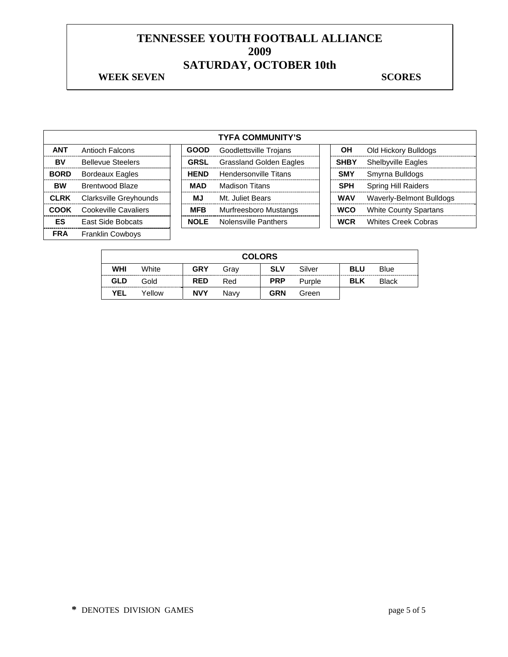#### **WEEK SEVEN** SCORES

|             | <b>TYFA COMMUNITY'S</b>  |  |             |                                |  |             |                              |  |  |
|-------------|--------------------------|--|-------------|--------------------------------|--|-------------|------------------------------|--|--|
| <b>ANT</b>  | Antioch Falcons          |  | <b>GOOD</b> | Goodlettsville Trojans         |  | OН          | Old Hickory Bulldogs         |  |  |
| BV          | <b>Bellevue Steelers</b> |  | <b>GRSL</b> | <b>Grassland Golden Eagles</b> |  | <b>SHBY</b> | <b>Shelbyville Eagles</b>    |  |  |
| <b>BORD</b> | <b>Bordeaux Eagles</b>   |  | <b>HEND</b> | Hendersonville Titans          |  | <b>SMY</b>  | Smyrna Bulldogs              |  |  |
| <b>BW</b>   | Brentwood Blaze          |  | <b>MAD</b>  | <b>Madison Titans</b>          |  | <b>SPH</b>  | Spring Hill Raiders          |  |  |
| <b>CLRK</b> | Clarksville Greyhounds   |  | МJ          | Mt. Juliet Bears               |  | <b>WAV</b>  | Waverly-Belmont Bulldogs     |  |  |
| <b>COOK</b> | Cookeville Cavaliers     |  | <b>MFB</b>  | <b>Murfreesboro Mustangs</b>   |  | <b>WCO</b>  | <b>White County Spartans</b> |  |  |
| ES          | <b>East Side Bobcats</b> |  | <b>NOLE</b> | Nolensville Panthers           |  | <b>WCR</b>  | <b>Whites Creek Cobras</b>   |  |  |
| <b>FRA</b>  | <b>Franklin Cowboys</b>  |  |             |                                |  |             |                              |  |  |

|            | <b>COLORS</b> |            |      |            |        |            |              |  |  |  |
|------------|---------------|------------|------|------------|--------|------------|--------------|--|--|--|
| WHI        | White         | <b>GRY</b> | Grav | <b>SLV</b> | Silver | <b>BLU</b> | Blue         |  |  |  |
| GLD        | Gold          | <b>RED</b> | Red  | <b>PRP</b> | Purple | <b>BLK</b> | <b>Black</b> |  |  |  |
| <b>YEL</b> | Yellow        | <b>NVY</b> | Navv | <b>GRN</b> | Green  |            |              |  |  |  |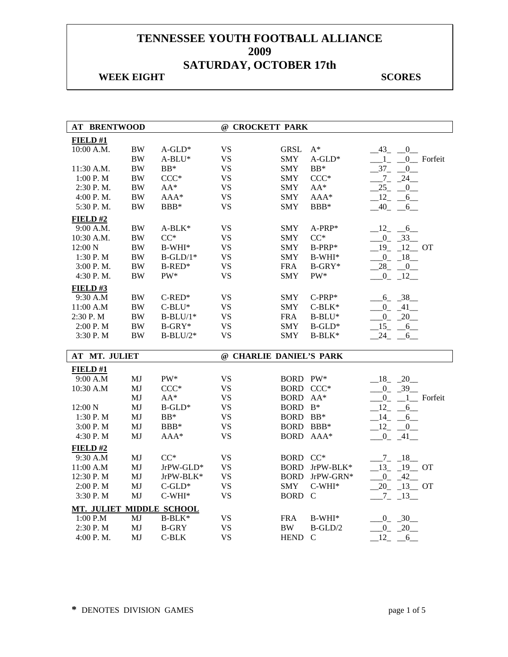| <b>AT BRENTWOOD</b>      |           |              | @ CROCKETT PARK         |             |                 |                       |
|--------------------------|-----------|--------------|-------------------------|-------------|-----------------|-----------------------|
| FIELD#1                  |           |              |                         |             |                 |                       |
| 10:00 A.M.               | <b>BW</b> | $A$ -GLD*    | <b>VS</b>               | <b>GRSL</b> | $A^*$           | $-43$<br>0            |
|                          | <b>BW</b> | $A-BLU^*$    | <b>VS</b>               | <b>SMY</b>  | $A$ -GLD*       | $\sim$ 1<br>0 Forfeit |
| 11:30 A.M.               | <b>BW</b> | $BB*$        | <b>VS</b>               | <b>SMY</b>  | $BB*$           | $-37-$<br>0           |
| 1:00 P.M                 | <b>BW</b> | $CCC*$       | <b>VS</b>               | <b>SMY</b>  | $CCC*$          | $-7 - 24$             |
| 2:30 P.M.                | $\rm BW$  | $AA^*$       | <b>VS</b>               | <b>SMY</b>  | $AA^*$          | 25<br>0               |
| 4:00 P.M.                | $\rm BW$  | $AAA*$       | <b>VS</b>               | <b>SMY</b>  | $AAA*$          | $-12$<br>6            |
| 5:30 P.M.                | <b>BW</b> | BBB*         | <b>VS</b>               | <b>SMY</b>  | BBB*            | $-40$ -<br>6          |
| FIELD#2                  |           |              |                         |             |                 |                       |
| 9:00 A.M.                | BW        | $A-BLK*$     | <b>VS</b>               | <b>SMY</b>  | $A-PRP*$        | $-12 - 6$             |
| 10:30 A.M.               | <b>BW</b> | $CC^*$       | <b>VS</b>               | <b>SMY</b>  | $CC^*$          | $0 \quad 33$          |
| 12:00 N                  | $\rm BW$  | $B-WHI*$     | <b>VS</b>               | <b>SMY</b>  | B-PRP*          | $19 - 12$ OT          |
| 1:30 P.M                 | <b>BW</b> | $B-GLD/1*$   | <b>VS</b>               | <b>SMY</b>  | $B-WHI*$        | $0 - 18$              |
| 3:00 P.M.                | <b>BW</b> | $B$ -RED*    | <b>VS</b>               | <b>FRA</b>  | $B-GRY*$        | 28<br>$\overline{0}$  |
| 4:30 P.M.                | $\rm BW$  | $PW^*$       | <b>VS</b>               | <b>SMY</b>  | $\mathrm{PW}^*$ | $-0$ $-12$            |
| FIELD#3                  |           |              |                         |             |                 |                       |
| 9:30 A.M                 | <b>BW</b> | $C$ -RED*    | <b>VS</b>               | <b>SMY</b>  | $C-PRP*$        | $-6 - 38$             |
| 11:00 A.M                | $\rm BW$  | $C-BLU^*$    | <b>VS</b>               | <b>SMY</b>  | $C-BLK*$        | $-0$ $-41$ $-$        |
| 2:30 P.M                 | <b>BW</b> | $B-BLU/1*$   | <b>VS</b>               | <b>FRA</b>  | $B-BLU^*$       | $\mathbf{0}$<br>20    |
| 2:00 P.M                 | <b>BW</b> | $B-GRY*$     | <b>VS</b>               | <b>SMY</b>  | $B$ -GLD*       | $-15$<br>$-6$         |
| 3:30 P.M                 | BW        | $B-BLU/2*$   | <b>VS</b>               | SMY         | $B-BLK*$        | 24<br>$-6$            |
| AT MT. JULIET            |           |              | @ CHARLIE DANIEL'S PARK |             |                 |                       |
| FIED#1                   |           |              |                         |             |                 |                       |
| 9:00 A.M                 | MJ        | $PW^*$       | <b>VS</b>               | BORD PW*    |                 | $18 - 20$             |
| 10:30 A.M                | MJ        | $CCC*$       | <b>VS</b>               | BORD CCC*   |                 | $0 - 39$              |
|                          | MJ        | $AA^*$       | <b>VS</b>               | BORD AA*    |                 | $0 - 1$ Forfeit       |
| 12:00 N                  | MJ        | $B$ -GLD*    | <b>VS</b>               | BORD B*     |                 | 12<br>6               |
| 1:30 P.M                 | MJ        | $BB*$        | <b>VS</b>               | BORD BB*    |                 | $-14$<br>6            |
| 3:00 P.M                 | MJ        | $BBB*$       | <b>VS</b>               |             | BORD BBB*       | $-12$ $-0$            |
| 4:30 P.M                 | MJ        | AAA*         | <b>VS</b>               | <b>BORD</b> | $AAA*$          | $-0$ $-41$ $-$        |
| FIELD#2                  |           |              |                         |             |                 |                       |
| 9:30 A.M                 | MJ        | $CC^*$       | <b>VS</b>               | BORD CC*    |                 | $-7 - 18$             |
| 11:00 A.M                | MJ        | JrPW-GLD*    | <b>VS</b>               |             | BORD JrPW-BLK*  | $13 - 19$ OT          |
| 12:30 P.M                | MJ        | JrPW-BLK*    | <b>VS</b>               | <b>BORD</b> | JrPW-GRN*       | $-0$ $-42$            |
| 2:00 P.M                 | MJ        | $C$ -GLD*    | <b>VS</b>               | <b>SMY</b>  | $C-WHI*$        | $20 - 13 - 0T$        |
| 3:30 P.M                 | MJ        | $C-WHI*$     | <b>VS</b>               | <b>BORD</b> | $\mathcal{C}$   | $-7 - 13$             |
| MT. JULIET MIDDLE SCHOOL |           |              |                         |             |                 |                       |
| 1:00 P.M                 | MJ        | B-BLK*       | <b>VS</b>               | <b>FRA</b>  | $B-WHI*$        | $0 - 30$              |
| 2:30 P.M                 | MJ        | <b>B-GRY</b> | <b>VS</b>               | BW.         | $B-GLD/2$       | $-0$ $-20$            |
| 4:00 P.M.                | MJ        | $C-BLK$      | <b>VS</b>               | <b>HEND</b> | $\mathbf C$     | 12<br>6               |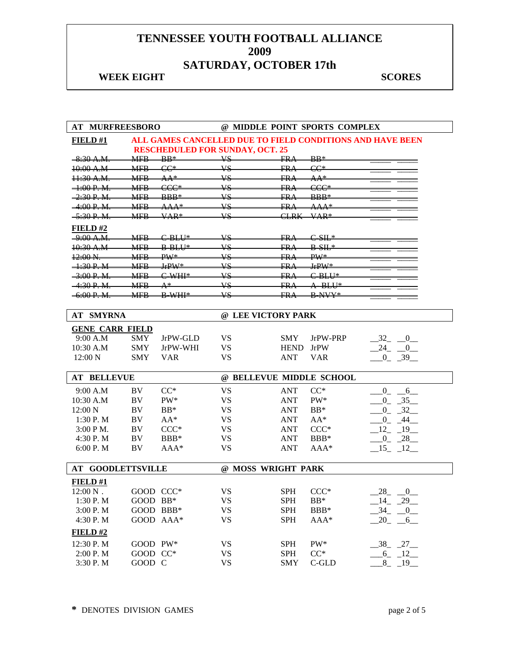| <b>AT MURFREESBORO</b>   |            |                           | @ MIDDLE POINT SPORTS COMPLEX                             |                           |                 |                               |  |
|--------------------------|------------|---------------------------|-----------------------------------------------------------|---------------------------|-----------------|-------------------------------|--|
| FIELD#1                  |            |                           | ALL GAMES CANCELLED DUE TO FIELD CONDITIONS AND HAVE BEEN |                           |                 |                               |  |
|                          |            |                           | <b>RESCHEDULED FOR SUNDAY, OCT. 25</b>                    |                           |                 |                               |  |
| $-8:30$ A.M.             | <b>MFR</b> | $\mathbb{R} \mathbb{R}^*$ | vs                                                        | FR A                      | $BB*$           |                               |  |
| 10:00 A.M                | <b>MER</b> | $CC^*$                    | <b>VS</b>                                                 | EBA                       | $CC^*$          |                               |  |
| 11:30 A.M.               | <b>MFB</b> | $AA*$                     | <b>VS</b>                                                 | FRA                       | $AA^*$          |                               |  |
| $\pm 00 P_{\pm} M$       | <b>MER</b> | $CCC*$                    | $\overline{\mathbf{v}}$                                   | ER A                      | $CCC*$          |                               |  |
| 2.30 P M                 | <b>MFR</b> | <b>RRR*</b>               | <b>VS</b>                                                 | ED Λ                      | <b>BBB*</b>     |                               |  |
| $-4:00 P. M$             | <b>MFB</b> | <del>AAA*</del>           | <b>VS</b>                                                 | ER A                      | <del>AAA*</del> |                               |  |
| 5.30 P.M                 | MFR        | $VAP*$                    | $\overline{\mathbf{v}}$                                   | $\subset$ i d $K$         | $VAP*$          |                               |  |
| <b>FIELD#2</b>           |            |                           |                                                           |                           |                 |                               |  |
| <del>9:00 A.M.</del>     | <b>MFB</b> | $CHH*$                    | VS                                                        | FRA                       | $C-SH*$         |                               |  |
| 10:30 A.M                | <b>MER</b> | <b>RRIII*</b>             | $\overline{\mathbf{v}}$                                   | $E_{\text{R}}$ $\Delta$   | $R_{\text{N}}$  |                               |  |
| $12.00\,\mathrm{M}$      | <b>MFR</b> | $\text{DW}^*$             | <b>VS</b>                                                 | LD <sub>A</sub>           | $\text{DM}^*$   |                               |  |
| $+30P$ M                 | <b>MFB</b> | $IrPW*$                   | ¥S                                                        | FR∌                       | $IrPW*$         |                               |  |
| 3.00 P M                 | <b>MFR</b> | $C$ WHI*                  | $\overline{\mathbf{v}}$                                   | $\mathop{\rm FP} \Lambda$ | $C$ -BLU*       |                               |  |
| 4.20 P M                 | <b>MER</b> | $\mathbf{A}^*$            | <b>VS</b>                                                 | LD <sub>A</sub>           | $A$ BLU*        |                               |  |
| $-6:00 P. M$             | <b>MFB</b> | <b>B-WHI*</b>             | VS                                                        | FR⊿                       | <b>B-NVY*</b>   |                               |  |
|                          |            |                           |                                                           |                           |                 |                               |  |
| <b>AT SMYRNA</b>         |            |                           | @ LEE VICTORY PARK                                        |                           |                 |                               |  |
| <b>GENE CARR FIELD</b>   |            |                           |                                                           |                           |                 |                               |  |
| 9:00 A.M                 | <b>SMY</b> | JrPW-GLD                  | <b>VS</b>                                                 | <b>SMY</b>                | JrPW-PRP        | 32<br>$\overline{\mathbf{0}}$ |  |
| 10:30 A.M                | <b>SMY</b> | JrPW-WHI                  | <b>VS</b>                                                 | <b>HEND</b>               | <b>JrPW</b>     | 24<br>$\overline{0}$          |  |
| 12:00 N                  | <b>SMY</b> | <b>VAR</b>                | <b>VS</b>                                                 | <b>ANT</b>                | <b>VAR</b>      | $0 - 39$                      |  |
|                          |            |                           |                                                           |                           |                 |                               |  |
| <b>AT BELLEVUE</b>       |            |                           | @ BELLEVUE MIDDLE SCHOOL                                  |                           |                 |                               |  |
| 9:00 A.M                 | BV         | $CC^*$                    | <b>VS</b>                                                 | <b>ANT</b>                | $CC^*$          | $0_{-}$<br>$-6$               |  |
| $10:30$ A.M              | BV         | PW*                       | <b>VS</b>                                                 | <b>ANT</b>                | PW*             | $0 - 35$                      |  |
| 12:00 N                  | BV         | $BB*$                     | <b>VS</b>                                                 | <b>ANT</b>                | $BB*$           | $0 - 32$                      |  |
| 1:30 P.M                 | BV         | $AA^*$                    | <b>VS</b>                                                 | <b>ANT</b>                | $AA^*$          | $0\quad 44$                   |  |
| $3:00 P M$ .             | BV         | $CCC*$                    | <b>VS</b>                                                 | <b>ANT</b>                | $CCC*$          | $12 - 19$                     |  |
| 4:30 P.M                 | BV         | BBB*                      | <b>VS</b>                                                 | <b>ANT</b>                | BBB*            | $0 - 28$                      |  |
| 6:00 P. M                | BV         | $AAA*$                    | VS                                                        | <b>ANT</b>                | $AAA*$          | $15 - 12$                     |  |
|                          |            |                           |                                                           |                           |                 |                               |  |
| <b>AT GOODLETTSVILLE</b> |            |                           | @ MOSS WRIGHT PARK                                        |                           |                 |                               |  |
| <b>FIELD#1</b>           |            |                           |                                                           |                           |                 |                               |  |
| $12:00\,\mathrm{N}$ .    | GOOD CCC*  |                           | <b>VS</b>                                                 | <b>SPH</b>                | $CCC*$          | $-28$ $-0$                    |  |
| 1:30 P.M                 | GOOD BB*   |                           | <b>VS</b>                                                 | <b>SPH</b>                | $BB*$           | $-14$ $-29$ $-$               |  |
| 3:00 P. M                | GOOD BBB*  |                           | <b>VS</b>                                                 | <b>SPH</b>                | BBB*            | $-34$<br>$-0$                 |  |
| 4:30 P.M                 | GOOD AAA*  |                           | <b>VS</b>                                                 | <b>SPH</b>                | $AAA*$          | 20<br>$-6$                    |  |
| FIELD#2                  |            |                           |                                                           |                           |                 |                               |  |
| 12:30 P.M                | GOOD PW*   |                           | <b>VS</b>                                                 | <b>SPH</b>                | PW*             | $-38$ $-27$                   |  |
| 2:00 P.M                 | GOOD CC*   |                           | <b>VS</b>                                                 | <b>SPH</b>                | $CC^*$          | $-6 - 12$                     |  |
| 3:30 P.M                 | GOOD C     |                           | <b>VS</b>                                                 | <b>SMY</b>                | C-GLD           | 8<br>$-19$                    |  |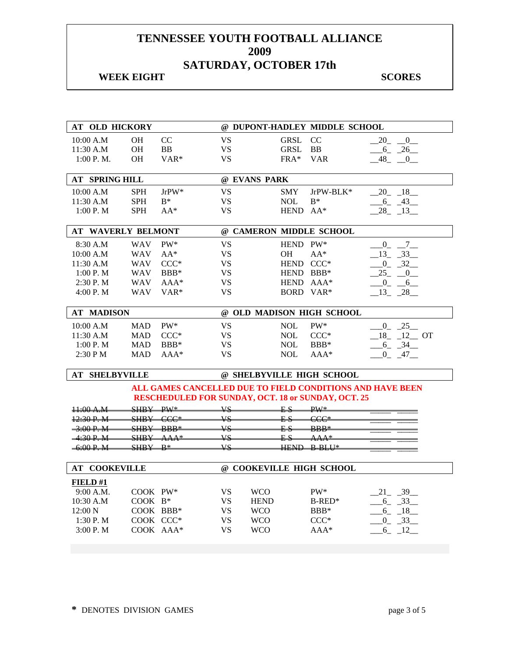| AT OLD HICKORY            |            |                                |           | @ DUPONT-HADLEY MIDDLE SCHOOL                             |                          |                           |
|---------------------------|------------|--------------------------------|-----------|-----------------------------------------------------------|--------------------------|---------------------------|
| 10:00 A.M                 | <b>OH</b>  | CC                             | <b>VS</b> | <b>GRSL</b>                                               | CC                       | $\mathbf{0}$<br>20        |
| 11:30 A.M                 | <b>OH</b>  | BB                             | <b>VS</b> | <b>GRSL</b>                                               | BB                       | $6 - 26$                  |
| 1:00 P. M.                | <b>OH</b>  | VAR*                           | <b>VS</b> | $FRA*$                                                    | <b>VAR</b>               | $-48$ $-0$                |
|                           |            |                                |           |                                                           |                          |                           |
| <b>AT SPRING HILL</b>     |            |                                |           | @ EVANS PARK                                              |                          |                           |
| 10:00 A.M                 | <b>SPH</b> | $JrPW^*$                       | <b>VS</b> | <b>SMY</b>                                                | JrPW-BLK*                | $-20$ $-18$ $-$           |
| 11:30 A.M                 | SPH        | $B^*$                          | <b>VS</b> | <b>NOL</b>                                                | $B^*$                    | $-6 - 43$                 |
| 1:00 P.M                  | <b>SPH</b> | $AA^*$                         | <b>VS</b> | <b>HEND</b>                                               | $AA^*$                   | $28 - 13$                 |
|                           |            |                                |           |                                                           |                          |                           |
| <b>AT WAVERLY BELMONT</b> |            |                                |           | @ CAMERON MIDDLE SCHOOL                                   |                          |                           |
| 8:30 A.M                  | <b>WAV</b> | PW*                            | <b>VS</b> | HEND PW*                                                  |                          | $\overline{7}$<br>$_{-0}$ |
| 10:00 A.M                 | <b>WAV</b> | $AA^*$                         | <b>VS</b> | OН                                                        | $AA^*$                   | $-33$<br>13               |
| 11:30 A.M                 | <b>WAV</b> | $CCC*$                         | <b>VS</b> | HEND CCC*                                                 |                          | $0 - 32$                  |
| 1:00 P.M                  | <b>WAV</b> | $BBB*$                         | <b>VS</b> | HEND BBB*                                                 |                          | 25<br>$\mathbf{0}$        |
| 2:30 P.M                  | <b>WAV</b> | $AAA*$                         | <b>VS</b> | HEND AAA*                                                 |                          | $0_{-}$<br>6              |
| 4:00 P.M                  | <b>WAV</b> | VAR <sup>*</sup>               | <b>VS</b> | BORD VAR*                                                 |                          | $13 - 28$                 |
|                           |            |                                |           |                                                           |                          |                           |
| <b>AT MADISON</b>         |            |                                |           | @ OLD MADISON HIGH SCHOOL                                 |                          |                           |
| 10:00 A.M                 | <b>MAD</b> | PW*                            | <b>VS</b> | <b>NOL</b>                                                | PW*                      | $0 - 25$                  |
| 11:30 A.M                 | <b>MAD</b> | $CCC*$                         | <b>VS</b> | <b>NOL</b>                                                | $CCC*$                   | $18 - 12$ OT              |
| 1:00 P.M                  | <b>MAD</b> | BBB*                           | <b>VS</b> | <b>NOL</b>                                                | BBB*                     | $-6 - 34$                 |
| 2:30 PM                   | <b>MAD</b> | $AAA*$                         | <b>VS</b> | <b>NOL</b>                                                | AAA*                     | $0 - 47$                  |
|                           |            |                                |           |                                                           |                          |                           |
| <b>AT SHELBYVILLE</b>     |            |                                |           | @ SHELBYVILLE HIGH SCHOOL                                 |                          |                           |
|                           |            |                                |           | ALL GAMES CANCELLED DUE TO FIELD CONDITIONS AND HAVE BEEN |                          |                           |
|                           |            |                                |           | <b>RESCHEDULED FOR SUNDAY, OCT. 18 or SUNDAY, OCT. 25</b> |                          |                           |
| $\pm 0.04$ $\pm 0.04$     | SHBY PW*   |                                | <b>VS</b> | ES                                                        | $\overline{\text{DW}}$ * |                           |
| 12.30 P.M                 |            | $SHBY$ CCC*                    | <b>VS</b> | E.S                                                       | $CCC*$                   |                           |
| 3:00 P. M                 | SHRY       | RRR*                           | Vς.       | EΩ                                                        | $RRR*$                   |                           |
| <u>4.20 P. M</u>          | SHBY       | $\Delta$ $\Delta$ $\Delta$ $*$ | VΣ        |                                                           |                          |                           |
| $6.00 P$ M                | SHPY       | $\mathbf{D}$                   | <b>VS</b> | <b>HEND</b>                                               | <b>D DI II*</b>          |                           |
| <b>AT COOKEVILLE</b>      |            |                                |           | @ COOKEVILLE HIGH SCHOOL                                  |                          |                           |
|                           |            |                                |           |                                                           |                          |                           |
| FIELD#1                   |            |                                |           |                                                           |                          |                           |
| 9:00 A.M.                 | COOK PW*   |                                | VS        | <b>WCO</b>                                                | $PW^*$                   | 21 39                     |
| 10:30 A.M                 | COOK B*    |                                | <b>VS</b> | <b>HEND</b>                                               | $B$ -RED <sup>*</sup>    | $-6 - 33$                 |
| 12:00 N                   |            | COOK BBB*                      | <b>VS</b> | <b>WCO</b>                                                | $BBB*$                   | $-6 - 18$                 |
| 1:30 P.M                  |            | COOK CCC*                      | <b>VS</b> | <b>WCO</b>                                                | $CCC*$                   | $0 - 33$                  |
| 3:00 P.M                  |            | COOK AAA*                      | <b>VS</b> | <b>WCO</b>                                                | AAA*                     | $6 - 12$                  |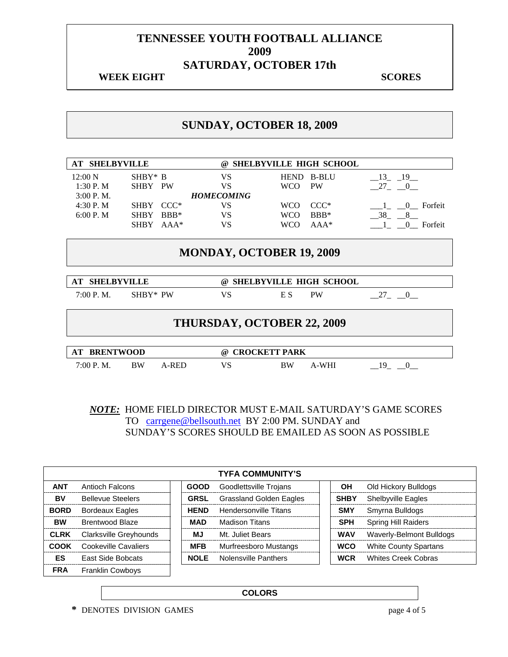## **WEEK EIGHT SCORES**

## **SUNDAY, OCTOBER 18, 2009**

| <b>SHELBYVILLE</b><br>AT                                               |             |        | $\omega$                        | <b>SHELBYVILLE HIGH SCHOOL</b> |              |                     |
|------------------------------------------------------------------------|-------------|--------|---------------------------------|--------------------------------|--------------|---------------------|
| 12:00 N                                                                | $SHBY* B$   |        | VS                              | <b>HEND</b>                    | <b>B-BLU</b> | 13 19               |
| 1:30P. M                                                               | SHBY PW     |        | VS                              | <b>WCO</b>                     | PW           | 27 0                |
| $3:00$ P.M.                                                            |             |        | <b>HOMECOMING</b>               |                                |              |                     |
| 4:30P. M                                                               | <b>SHBY</b> | $CCC*$ | VS                              | <b>WCO</b>                     | $CCC*$       | Forfeit<br>$\Omega$ |
| 6:00 P. M                                                              | <b>SHBY</b> | $BBB*$ | VS                              | <b>WCO</b>                     | $BBB*$       | 38<br>8             |
|                                                                        | <b>SHBY</b> | $AAA*$ | VS                              | <b>WCO</b>                     | $AA^*$       | Forfeit<br>$\Omega$ |
|                                                                        |             |        | <b>MONDAY, OCTOBER 19, 2009</b> |                                |              |                     |
| <b>SHELBYVILLE</b><br><b>SHELBYVILLE HIGH SCHOOL</b><br>AT<br>$\omega$ |             |        |                                 |                                |              |                     |
| 7:00 P. M.                                                             | SHRY* PW    |        | VS                              | E S                            | <b>PW</b>    | 27                  |

| 7:00 P. M. | $SHBY*$ |
|------------|---------|
|            |         |

# **THURSDAY, OCTOBER 22, 2009**

| <b>BRENTWOOD</b><br>AT |    |      | $\omega$ | <b>CROCKETT PARK</b> |      |  |
|------------------------|----|------|----------|----------------------|------|--|
| 7:00 P. M.             | BW | RED. | VS       | BW                   | -WHI |  |

*NOTE:* HOME FIELD DIRECTOR MUST E-MAIL SATURDAY'S GAME SCORES TO carrgene@bellsouth.net BY 2:00 PM. SUNDAY and SUNDAY'S SCORES SHOULD BE EMAILED AS SOON AS POSSIBLE

|             | <b>TYFA COMMUNITY'S</b>  |  |             |                                |  |             |                              |  |  |
|-------------|--------------------------|--|-------------|--------------------------------|--|-------------|------------------------------|--|--|
| <b>ANT</b>  | <b>Antioch Falcons</b>   |  | <b>GOOD</b> | Goodlettsville Trojans         |  | <b>OH</b>   | Old Hickory Bulldogs         |  |  |
| BV          | <b>Bellevue Steelers</b> |  | <b>GRSL</b> | <b>Grassland Golden Eagles</b> |  | <b>SHBY</b> | <b>Shelbyville Eagles</b>    |  |  |
| <b>BORD</b> | <b>Bordeaux Eagles</b>   |  | <b>HEND</b> | <b>Hendersonville Titans</b>   |  | <b>SMY</b>  | Smyrna Bulldogs              |  |  |
| <b>BW</b>   | <b>Brentwood Blaze</b>   |  | MAD         | Madison Titans                 |  | <b>SPH</b>  | <b>Spring Hill Raiders</b>   |  |  |
| <b>CLRK</b> | Clarksville Greyhounds   |  | ΜJ          | Mt. Juliet Bears               |  | <b>WAV</b>  | Waverly-Belmont Bulldogs     |  |  |
| COOK        | Cookeville Cavaliers     |  | <b>MFB</b>  | Murfreesboro Mustangs          |  | <b>WCO</b>  | <b>White County Spartans</b> |  |  |
| ES          | East Side Bobcats        |  | <b>NOLE</b> | <b>Nolensville Panthers</b>    |  | <b>WCR</b>  | <b>Whites Creek Cobras</b>   |  |  |
| <b>FRA</b>  | <b>Franklin Cowbovs</b>  |  |             |                                |  |             |                              |  |  |

**COLORS**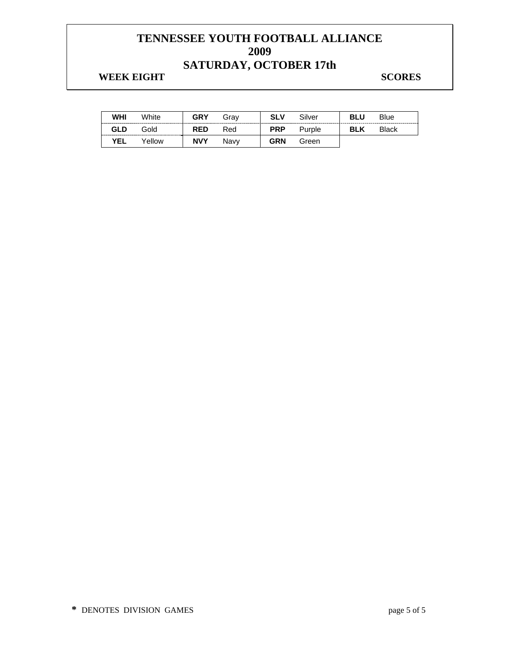| WHI        | White  | <b>GRY</b> | Grav | <b>SLV</b> | Silver | <b>BLU</b> | Blue         |
|------------|--------|------------|------|------------|--------|------------|--------------|
| GLD        | Gold   | <b>RED</b> | Red  | <b>PRP</b> | Purple | <b>BLK</b> | <b>Black</b> |
| <b>YEL</b> | Yellow | <b>NVY</b> | Navv | <b>GRN</b> | Green  |            |              |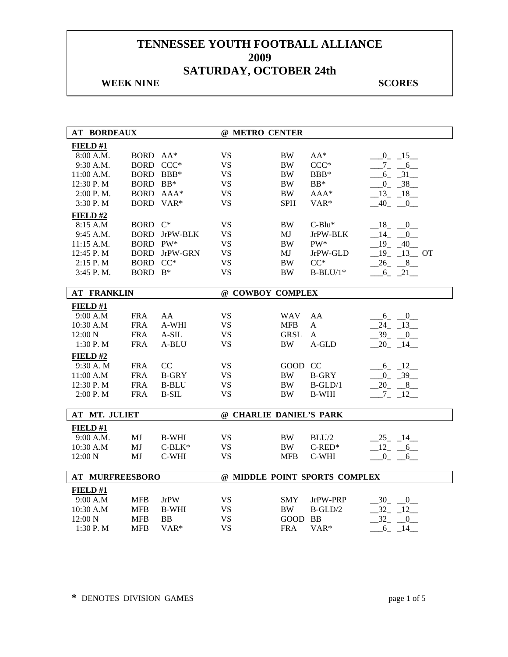## **WEEK NINE** SCORES

| <b>AT BORDEAUX</b>     |             |              | @ METRO CENTER          |             |                               |                      |
|------------------------|-------------|--------------|-------------------------|-------------|-------------------------------|----------------------|
| FIELD#1                |             |              |                         |             |                               |                      |
| 8:00 A.M.              | BORD AA*    |              | <b>VS</b>               | <b>BW</b>   | $AA^*$                        | $-0$ $-15$ $-$       |
| 9:30 A.M.              | BORD CCC*   |              | <b>VS</b>               | <b>BW</b>   | $CCC*$                        | $7_{-}$<br>6         |
| $11:00$ A.M.           | <b>BORD</b> | $BBB*$       | <b>VS</b>               | <b>BW</b>   | $BBB*$                        | $6 - 31$             |
| 12:30 P.M              | <b>BORD</b> | $BB*$        | <b>VS</b>               | <b>BW</b>   | $BB*$                         | $0 - 38$             |
| 2:00 P. M.             | <b>BORD</b> | $AAA*$       | <b>VS</b>               | <b>BW</b>   | $AAA*$                        | $-13 - 18$           |
| 3:30 P.M               | <b>BORD</b> | $VAR*$       | <b>VS</b>               | <b>SPH</b>  | VAR*                          | $-40$ $-0$           |
| FIELD#2                |             |              |                         |             |                               |                      |
| 8:15 A.M               | BORD C*     |              | <b>VS</b>               | <b>BW</b>   | $C-Blu^*$                     | 18 0                 |
| 9:45 A.M.              | <b>BORD</b> | JrPW-BLK     | <b>VS</b>               | MJ          | JrPW-BLK                      | $14 \quad 0$         |
| 11:15 A.M.             | <b>BORD</b> | $PW^*$       | <b>VS</b>               | <b>BW</b>   | PW*                           | $19 - 40$            |
| 12:45 P.M              | <b>BORD</b> | JrPW-GRN     | <b>VS</b>               | MJ          | JrPW-GLD                      | $19 - 13$ OT         |
| 2:15 P.M               | <b>BORD</b> | $CC^*$       | <b>VS</b>               | <b>BW</b>   | $CC^*$                        | $26 - 8$             |
| 3:45 P.M.              | BORD B*     |              | <b>VS</b>               | <b>BW</b>   | $B-BLU/1*$                    | $6 - 21$             |
|                        |             |              |                         |             |                               |                      |
| <b>AT FRANKLIN</b>     |             |              | @ COWBOY COMPLEX        |             |                               |                      |
| FIELD#1                |             |              |                         |             |                               |                      |
| 9:00 A.M               | <b>FRA</b>  | AA           | <b>VS</b>               | <b>WAV</b>  | AA                            | $6 - 0$              |
| 10:30 A.M              | <b>FRA</b>  | A-WHI        | <b>VS</b>               | <b>MFB</b>  | A                             | $24 - 13$            |
| 12:00 N                | <b>FRA</b>  | $A-SIL$      | <b>VS</b>               | <b>GRSL</b> | A                             | $-39 - 0$            |
| 1:30P. M               | <b>FRA</b>  | A-BLU        | <b>VS</b>               | <b>BW</b>   | A-GLD                         | $20 - 14$            |
| FIELD#2                |             |              |                         |             |                               |                      |
| 9:30 A.M               | <b>FRA</b>  | CC           | VS.                     | GOOD CC     |                               | $6 - 12$             |
| 11:00 A.M              | <b>FRA</b>  | <b>B-GRY</b> | <b>VS</b>               | BW          | <b>B-GRY</b>                  | $0 - 39$             |
| 12:30 P.M              | <b>FRA</b>  | <b>B-BLU</b> | <b>VS</b>               | <b>BW</b>   | $B-GLD/1$                     | $-20$ $-8$ $-$       |
| 2:00 P. M              | <b>FRA</b>  | <b>B-SIL</b> | <b>VS</b>               | <b>BW</b>   | <b>B-WHI</b>                  | $7_{-}$<br>$-12$     |
|                        |             |              |                         |             |                               |                      |
| AT MT. JULIET          |             |              | @ CHARLIE DANIEL'S PARK |             |                               |                      |
| FIELD#1                |             |              |                         |             |                               |                      |
| 9:00 A.M.              | MJ          | <b>B-WHI</b> | <b>VS</b>               | <b>BW</b>   | BLU/2                         | $-25 - 14$           |
| 10:30 A.M              | MJ          | $C-BLK^*$    | <b>VS</b>               | <b>BW</b>   | $C$ -RED*                     | $12 - 6$             |
| 12:00 N                | MJ          | C-WHI        | <b>VS</b>               | <b>MFB</b>  | C-WHI                         | $0 - 6$              |
|                        |             |              |                         |             |                               |                      |
| <b>AT MURFREESBORO</b> |             |              |                         |             | @ MIDDLE POINT SPORTS COMPLEX |                      |
| FIELD#1                |             |              |                         |             |                               |                      |
| 9:00 A.M               | <b>MFB</b>  | <b>JrPW</b>  | <b>VS</b>               | <b>SMY</b>  | JrPW-PRP                      | $30 - 0$             |
| 10:30 A.M              | <b>MFB</b>  | <b>B-WHI</b> | <b>VS</b>               | <b>BW</b>   | $B-GLD/2$                     | $32 - 12$            |
| 12:00 N                | <b>MFB</b>  | <b>BB</b>    | <b>VS</b>               | <b>GOOD</b> | BB                            | 32<br>$\overline{0}$ |
| 1:30 P.M               | <b>MFB</b>  | VAR*         | <b>VS</b>               | <b>FRA</b>  | VAR*                          | $-6 - 14$            |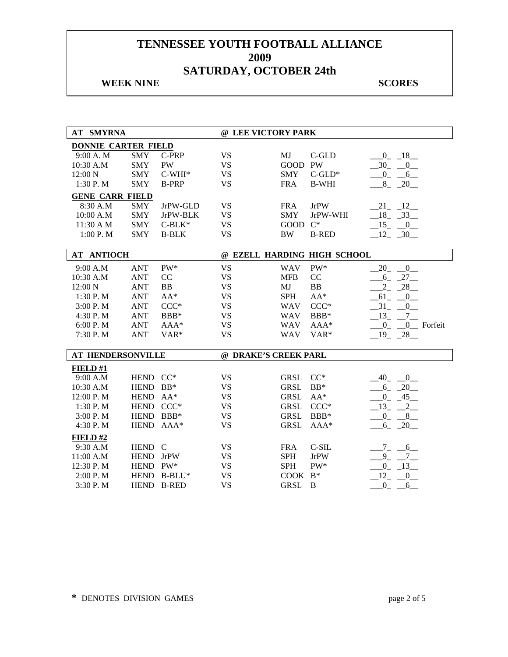## **WEEK NINE** SCORES

| <b>AT SMYRNA</b>           |             |              | @ LEE VICTORY PARK   |             |                             |                               |
|----------------------------|-------------|--------------|----------------------|-------------|-----------------------------|-------------------------------|
| <b>DONNIE CARTER FIELD</b> |             |              |                      |             |                             |                               |
| 9:00 A.M                   | <b>SMY</b>  | C-PRP        | <b>VS</b>            | MJ          | C-GLD                       | $-0$ $-18$ $-$                |
| 10:30 A.M                  | <b>SMY</b>  | <b>PW</b>    | <b>VS</b>            | GOOD PW     |                             | $-30$ $-0$                    |
| 12:00 N                    | <b>SMY</b>  | $C-WHI*$     | <b>VS</b>            | <b>SMY</b>  | $C$ -GLD*                   | $-0$ $-6$                     |
| 1:30 P.M                   | <b>SMY</b>  | <b>B-PRP</b> | <b>VS</b>            | <b>FRA</b>  | <b>B-WHI</b>                | $-8 - 20$                     |
| <b>GENE CARR FIELD</b>     |             |              |                      |             |                             |                               |
| 8:30 A.M                   | <b>SMY</b>  | JrPW-GLD     | <b>VS</b>            | <b>FRA</b>  | <b>JrPW</b>                 | $21 - 12$                     |
| 10:00 A.M                  | <b>SMY</b>  | JrPW-BLK     | <b>VS</b>            | <b>SMY</b>  | JrPW-WHI                    | $-18$ $-33$                   |
| 11:30 A M                  | <b>SMY</b>  | $C-BLK*$     | <b>VS</b>            | <b>GOOD</b> | $C^*$                       | $15 - 0$                      |
| 1:00P. M                   | <b>SMY</b>  | <b>B-BLK</b> | <b>VS</b>            | <b>BW</b>   | <b>B-RED</b>                | $12 - 30$                     |
|                            |             |              |                      |             |                             |                               |
| <b>AT ANTIOCH</b>          |             |              |                      |             | @ EZELL HARDING HIGH SCHOOL |                               |
| 9:00 A.M                   | <b>ANT</b>  | PW*          | <b>VS</b>            | <b>WAV</b>  | $PW^*$                      | 20<br>$\overline{0}$          |
| 10:30 A.M                  | <b>ANT</b>  | CC           | <b>VS</b>            | <b>MFB</b>  | CC                          | $6 - 27$                      |
| 12:00 N                    | <b>ANT</b>  | <b>BB</b>    | <b>VS</b>            | MJ          | BB                          | $-28$<br>$2_{-}$              |
| 1:30 P.M                   | <b>ANT</b>  | $AA^*$       | <b>VS</b>            | <b>SPH</b>  | $AA^*$                      | 61<br>$-0$                    |
| 3:00 P.M                   | <b>ANT</b>  | $CCC*$       | <b>VS</b>            | <b>WAV</b>  | $CCC*$                      | $-31$<br>$\overline{0}$       |
| 4:30 P.M                   | <b>ANT</b>  | BBB*         | <b>VS</b>            | <b>WAV</b>  | BBB*                        | 13<br>$-7$                    |
| 6:00 P.M                   | <b>ANT</b>  | $AAA*$       | <b>VS</b>            | <b>WAV</b>  | $AAA*$                      | $0_{-}$<br>0 Forfeit          |
| 7:30 P.M                   | <b>ANT</b>  | VAR*         | <b>VS</b>            | <b>WAV</b>  | VAR*                        | $-19 - 28$                    |
|                            |             |              |                      |             |                             |                               |
| AT HENDERSONVILLE          |             |              | @ DRAKE'S CREEK PARL |             |                             |                               |
| FIELD#1                    |             |              |                      |             |                             |                               |
| 9:00 A.M                   | HEND CC*    |              | <b>VS</b>            | <b>GRSL</b> | $CC^*$                      | 40<br>$\overline{\mathbf{0}}$ |
| 10:30 A.M                  | <b>HEND</b> | $BB*$        | <b>VS</b>            | <b>GRSL</b> | $BB*$                       | $-6 - 20$                     |
| 12:00 P.M                  | <b>HEND</b> | $AA^*$       | <b>VS</b>            | <b>GRSL</b> | $AA^*$                      | $0 - 45$                      |
| 1:30 P.M                   | <b>HEND</b> | $CCC*$       | <b>VS</b>            | GRSL        | $CCC*$                      | $-13$ , $-2$                  |
| 3:00 P.M                   | <b>HEND</b> | $BBB*$       | <b>VS</b>            | <b>GRSL</b> | BBB*                        | $-0 - 8$                      |
| 4:30 P.M                   | <b>HEND</b> | $AAA*$       | <b>VS</b>            | <b>GRSL</b> | $AAA*$                      | $-6 - 20$                     |
| FIELD#2                    |             |              |                      |             |                             |                               |
| 9:30 A.M                   | HEND C      |              | <b>VS</b>            | <b>FRA</b>  | $C-SIL$                     | $7_{-}$<br>$-6$               |
| 11:00 A.M                  | HEND JrPW   |              | <b>VS</b>            | <b>SPH</b>  | <b>JrPW</b>                 | $9_{-}$<br>$7\overline{ }$    |
| 12:30 P.M                  | HEND PW*    |              | <b>VS</b>            | <b>SPH</b>  | PW*                         | $-13$<br>$0_{-}$              |
| 2:00 P.M                   | <b>HEND</b> | B-BLU*       | <b>VS</b>            | COOK B*     |                             | 12<br>$\sqrt{0}$              |
| 3:30 P.M                   |             | HEND B-RED   | <b>VS</b>            | <b>GRSL</b> | B                           | $-0 - 6$                      |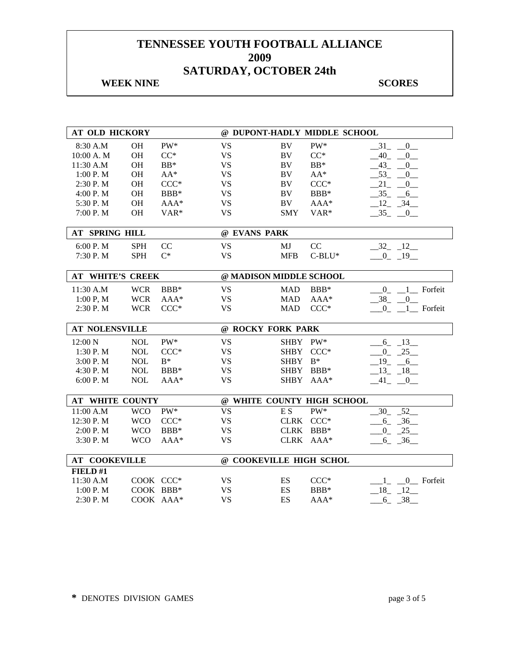## **WEEK NINE** SCORES

| <b>AT OLD HICKORY</b><br>@ DUPONT-HADLY MIDDLE SCHOOL |            |        |                         |                |                            |                                              |           |
|-------------------------------------------------------|------------|--------|-------------------------|----------------|----------------------------|----------------------------------------------|-----------|
| 8:30 A.M                                              | <b>OH</b>  | PW*    | <b>VS</b>               | BV             | PW*                        | 31<br>0                                      |           |
| 10:00 A. M                                            | <b>OH</b>  | $CC^*$ | <b>VS</b>               | <b>BV</b>      | $CC^*$                     | 40<br>$\mathbf{0}$                           |           |
| 11:30 A.M                                             | <b>OH</b>  | $BB*$  | <b>VS</b>               | BV             | $BB*$                      | 43<br>$\overline{0}$                         |           |
| 1:00 P.M                                              | <b>OH</b>  | $AA^*$ | <b>VS</b>               | <b>BV</b>      | $AA^*$                     | 53<br>0                                      |           |
| 2:30 P.M                                              | <b>OH</b>  | $CCC*$ | <b>VS</b>               | BV             | $CCC*$                     | 21<br>$\overline{0}$                         |           |
| 4:00 P.M                                              | OH         | $BBB*$ | <b>VS</b>               | <b>BV</b>      | BBB*                       | $35 - 6$                                     |           |
| 5:30 P.M                                              | <b>OH</b>  | $AAA*$ | <b>VS</b>               | <b>BV</b>      | AAA*                       | $12 - 34$                                    |           |
| 7:00 P.M                                              | <b>OH</b>  | VAR*   | <b>VS</b>               | <b>SMY</b>     | VAR*                       | $-35$ $-0$ $-$                               |           |
| <b>AT SPRING HILL</b>                                 |            |        | @ EVANS PARK            |                |                            |                                              |           |
| 6:00 P.M                                              | <b>SPH</b> | CC     | <b>VS</b>               | MJ             | CC                         | $-32 - 12$                                   |           |
| 7:30 P.M                                              | <b>SPH</b> | $C^*$  | <b>VS</b>               | <b>MFB</b>     | $C-BLU^*$                  | $-0$ $-19$                                   |           |
|                                                       |            |        |                         |                |                            |                                              |           |
| AT WHITE'S CREEK                                      |            |        | @ MADISON MIDDLE SCHOOL |                |                            |                                              |           |
| 11:30 A.M                                             | <b>WCR</b> | $BBB*$ | <b>VS</b>               | <b>MAD</b>     | BBB*                       | $\overline{0}$                               | Forfeit   |
| 1:00 P, M                                             | <b>WCR</b> | AAA*   | <b>VS</b>               | <b>MAD</b>     | AAA*                       | 38<br>$\overline{0}$                         |           |
| 2:30 P.M                                              | <b>WCR</b> | $CCC*$ | <b>VS</b>               | <b>MAD</b>     | $CCC*$                     | $\overline{0}$                               | 1 Forfeit |
|                                                       |            |        |                         |                |                            |                                              |           |
|                                                       |            |        |                         |                |                            |                                              |           |
| <b>AT NOLENSVILLE</b>                                 |            |        | @ ROCKY FORK PARK       |                |                            |                                              |           |
| 12:00 N                                               | <b>NOL</b> | PW*    | <b>VS</b>               | <b>SHBY</b>    | $PW^*$                     | $6 - 13$                                     |           |
| 1:30 P.M                                              | <b>NOL</b> | $CCC*$ | <b>VS</b>               | <b>SHBY</b>    | $CCC*$                     | $0 - 25$                                     |           |
| 3:00 P.M                                              | <b>NOL</b> | $B^*$  | <b>VS</b>               | <b>SHBY</b>    | $B^*$                      | $-19$ $-6$                                   |           |
| 4:30 P.M                                              | <b>NOL</b> | BBB*   | <b>VS</b>               | <b>SHBY</b>    | BBB*                       | $-13 - 18$                                   |           |
| 6:00 P.M                                              | <b>NOL</b> | AAA*   | <b>VS</b>               | <b>SHBY</b>    | $AAA*$                     | 41<br>$\begin{array}{ccc} & & 0 \end{array}$ |           |
| <b>AT WHITE COUNTY</b>                                |            |        |                         |                | @ WHITE COUNTY HIGH SCHOOL |                                              |           |
| 11:00 A.M                                             | <b>WCO</b> | PW*    | <b>VS</b>               | E <sub>S</sub> | PW*                        | $-52$<br>30                                  |           |
| 12:30 P.M                                             | <b>WCO</b> | $CCC*$ | <b>VS</b>               |                | CLRK CCC*                  | $6 - 36$                                     |           |
| 2:00 P.M                                              | <b>WCO</b> | $BBB*$ | <b>VS</b>               |                | CLRK BBB*                  | $0 - 25$                                     |           |
| 3:30 P.M                                              | <b>WCO</b> | AAA*   | <b>VS</b>               | <b>CLRK</b>    | $AAA*$                     | $6 - 36$                                     |           |
|                                                       |            |        |                         |                |                            |                                              |           |
| <b>AT COOKEVILLE</b>                                  |            |        | @ COOKEVILLE HIGH SCHOL |                |                            |                                              |           |
| FIELD #1                                              | COOK CCC*  |        |                         |                |                            |                                              |           |
| 11:30 A.M<br>1:00 P.M                                 | COOK BBB*  |        | <b>VS</b><br><b>VS</b>  | ES<br>ES       | $CCC*$<br>BBB*             | $1_{-}$<br>$18 - 12$                         | 0 Forfeit |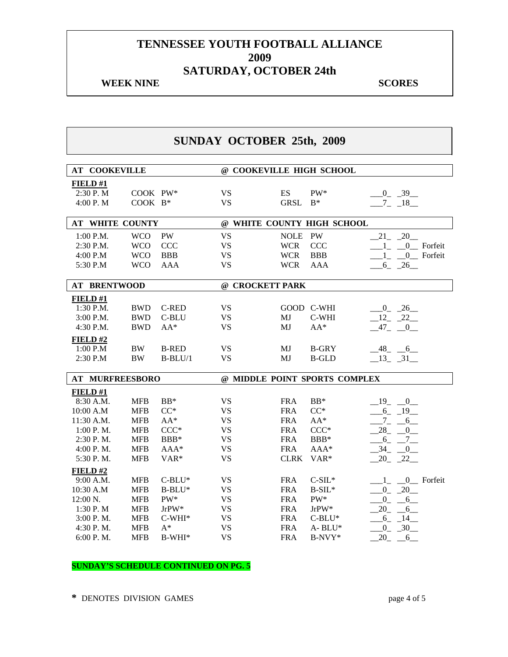#### **WEEK NINE SCORES**

## **SUNDAY OCTOBER 25th, 2009**

| <b>AT COOKEVILLE</b>   |            |              | @ COOKEVILLE HIGH SCHOOL      |             |              |                                      |  |
|------------------------|------------|--------------|-------------------------------|-------------|--------------|--------------------------------------|--|
| FIELD #1               |            |              |                               |             |              |                                      |  |
| 2:30 P.M               | COOK PW*   |              | <b>VS</b>                     | ES          | PW*          | $0 - 39$                             |  |
| 4:00 P.M               | COOK B*    |              | <b>VS</b>                     | <b>GRSL</b> | $B^*$        | $7 - 18$                             |  |
|                        |            |              |                               |             |              |                                      |  |
| <b>AT WHITE COUNTY</b> |            |              | @ WHITE COUNTY HIGH SCHOOL    |             |              |                                      |  |
| 1:00 P.M.              | <b>WCO</b> | <b>PW</b>    | <b>VS</b>                     | <b>NOLE</b> | PW           | $-20$<br>21                          |  |
| 2:30 P.M.              | <b>WCO</b> | <b>CCC</b>   | <b>VS</b>                     | <b>WCR</b>  | CCC          | Forfeit<br>$\overline{0}$<br>$1_{-}$ |  |
| 4:00 P.M               | <b>WCO</b> | <b>BBB</b>   | <b>VS</b>                     | <b>WCR</b>  | <b>BBB</b>   | 0 Forfeit                            |  |
| 5:30 P.M               | <b>WCO</b> | <b>AAA</b>   | <b>VS</b>                     | <b>WCR</b>  | <b>AAA</b>   | $6 - 26$                             |  |
|                        |            |              |                               |             |              |                                      |  |
| <b>AT BRENTWOOD</b>    |            |              | @ CROCKETT PARK               |             |              |                                      |  |
| FIELD #1               |            |              |                               |             |              |                                      |  |
| 1:30 P.M.              | <b>BWD</b> | <b>C-RED</b> | <b>VS</b>                     |             | GOOD C-WHI   | $-0$ $-26$                           |  |
| 3:00 P.M.              | <b>BWD</b> | C-BLU        | <b>VS</b>                     | MJ          | C-WHI        | $12 - 22$                            |  |
| 4:30 P.M.              | <b>BWD</b> | $AA*$        | <b>VS</b>                     | MJ          | $AA^*$       | $47_{-}$<br>$\mathbf{0}$             |  |
| FIELD#2                |            |              |                               |             |              |                                      |  |
| 1:00 P.M               | <b>BW</b>  | <b>B-RED</b> | <b>VS</b>                     | MJ          | <b>B-GRY</b> | $-48$ <sub>-</sub> $-6$              |  |
| 2:30 P.M               | <b>BW</b>  | $B-BLU/1$    | <b>VS</b>                     | MJ          | <b>B-GLD</b> | $-13 - 31$                           |  |
|                        |            |              |                               |             |              |                                      |  |
| <b>AT MURFREESBORO</b> |            |              | @ MIDDLE POINT SPORTS COMPLEX |             |              |                                      |  |
| FIELD#1                |            |              |                               |             |              |                                      |  |
| 8:30 A.M.              | <b>MFB</b> | $BB*$        | <b>VS</b>                     | <b>FRA</b>  | $BB*$        | $-19$ $-0$                           |  |
| 10:00 A.M              | <b>MFB</b> | $CC^*$       | <b>VS</b>                     | <b>FRA</b>  | $CC^*$       | $-6 - 19$                            |  |
| 11:30 A.M.             | <b>MFB</b> | $AA^*$       | <b>VS</b>                     | <b>FRA</b>  | $AA^*$       | $-7 - -6$                            |  |
| 1:00 P.M.              | <b>MFB</b> | $CCC*$       | <b>VS</b>                     | <b>FRA</b>  | $CCC*$       | 28<br>0                              |  |
| 2:30 P.M.              | <b>MFB</b> | $BBB*$       | <b>VS</b>                     | <b>FRA</b>  | BBB*         | $6-$<br>7                            |  |
| 4:00 P.M.              | <b>MFB</b> | $AAA*$       | <b>VS</b>                     | <b>FRA</b>  | $AAA*$       | 34<br>0                              |  |
| 5:30 P.M.              | <b>MFB</b> | VAR*         | <b>VS</b>                     | <b>CLRK</b> | VAR*         | $-22$<br>20                          |  |
| FIELD#2                |            |              |                               |             |              |                                      |  |
| 9:00 A.M.              | <b>MFB</b> | $C-BLU^*$    | <b>VS</b>                     | <b>FRA</b>  | $C-SIL*$     | 0 Forfeit<br>$\mathbf{1}$            |  |
| 10:30 A.M              | <b>MFB</b> | $B-BLU^*$    | <b>VS</b>                     | <b>FRA</b>  | $B-SIL*$     | $0 - 20$                             |  |
| 12:00 N.               | <b>MFB</b> | PW*          | <b>VS</b>                     | <b>FRA</b>  | PW*          | $0 - 6$                              |  |
| 1:30 P.M               | <b>MFB</b> | $JrPW^*$     | <b>VS</b>                     | <b>FRA</b>  | JrPW*        | $20 - 6$                             |  |
| 3:00 P.M.              | <b>MFB</b> | $C-WHI*$     | <b>VS</b>                     | <b>FRA</b>  | $C-BLU^*$    | $-6 - 14$                            |  |
| 4:30 P.M.              | <b>MFB</b> | $A^*$        | <b>VS</b>                     | <b>FRA</b>  | A-BLU*       | $-30$<br>$\overline{0}$              |  |
| 6:00 P.M.              | <b>MFB</b> | B-WHI*       | <b>VS</b>                     | <b>FRA</b>  | B-NVY*       | 20<br>6                              |  |

#### **SUNDAY'S SCHEDULE CONTINUED ON PG. 5**

**\*** DENOTES DIVISION GAMES page 4 of 5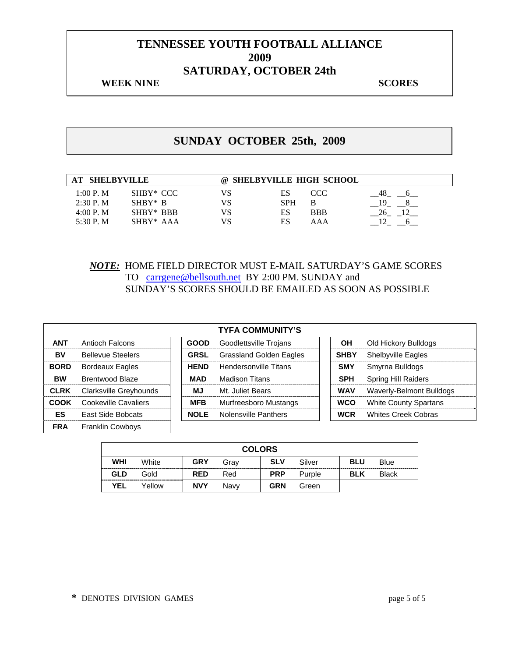#### **WEEK NINE SCORES**

# **SUNDAY OCTOBER 25th, 2009**

| <b>SHELBYVILLE</b> |             |    | @ SHELBYVILLE HIGH SCHOOL |            |  |
|--------------------|-------------|----|---------------------------|------------|--|
| 1:00 P. M          | SHBY* CCC   | VS | ES                        | CCC        |  |
| 2:30 P. M          | $SHBY* R$   |    | <b>SPH</b>                |            |  |
| 4:00 P. M          | SHBY* BBB   | VS | ES                        | <b>BBB</b> |  |
| 5:30 P. M.         | $SHBY* AAA$ | VS | ES                        | AAA        |  |

#### *NOTE:* HOME FIELD DIRECTOR MUST E-MAIL SATURDAY'S GAME SCORES TO carrgene@bellsouth.net BY 2:00 PM. SUNDAY and SUNDAY'S SCORES SHOULD BE EMAILED AS SOON AS POSSIBLE

|             |                          |             | <b>TYFA COMMUNITY'S</b>        |             |            |                              |
|-------------|--------------------------|-------------|--------------------------------|-------------|------------|------------------------------|
| <b>ANT</b>  | Antioch Falcons          | <b>GOOD</b> | Goodlettsville Trojans         |             | OН         | Old Hickory Bulldogs         |
| BV          | <b>Bellevue Steelers</b> | <b>GRSL</b> | <b>Grassland Golden Eagles</b> | <b>SHBY</b> |            | Shelbyville Eagles           |
| <b>BORD</b> | <b>Bordeaux Eagles</b>   | <b>HEND</b> | Hendersonville Titans          | <b>SMY</b>  |            | Smyrna Bulldogs              |
| <b>BW</b>   | <b>Brentwood Blaze</b>   | MAD         | <b>Madison Titans</b>          |             | <b>SPH</b> | <b>Spring Hill Raiders</b>   |
| <b>CLRK</b> | Clarksville Greyhounds   | MJ.         | Mt. Juliet Bears               |             | <b>WAV</b> | Waverly-Belmont Bulldogs     |
| COOK        | Cookeville Cavaliers     | <b>MFB</b>  | Murfreesboro Mustangs          |             | <b>WCO</b> | <b>White County Spartans</b> |
| <b>ES</b>   | East Side Bobcats        | <b>NOLE</b> | <b>Nolensville Panthers</b>    |             | <b>WCR</b> | <b>Whites Creek Cobras</b>   |
| <b>FRA</b>  | <b>Franklin Cowbovs</b>  |             |                                |             |            |                              |

| <b>COLORS</b> |        |            |      |            |        |            |              |  |
|---------------|--------|------------|------|------------|--------|------------|--------------|--|
| WHI           | White  | <b>GRY</b> | Grav | <b>SLV</b> | Silver | <b>BLU</b> | Blue         |  |
| GLD           | Gold   | <b>RED</b> | Red  | <b>PRP</b> | Purple | <b>BLK</b> | <b>Black</b> |  |
| <b>YEL</b>    | Yellow | <b>NVY</b> | Navv | <b>GRN</b> | Green  |            |              |  |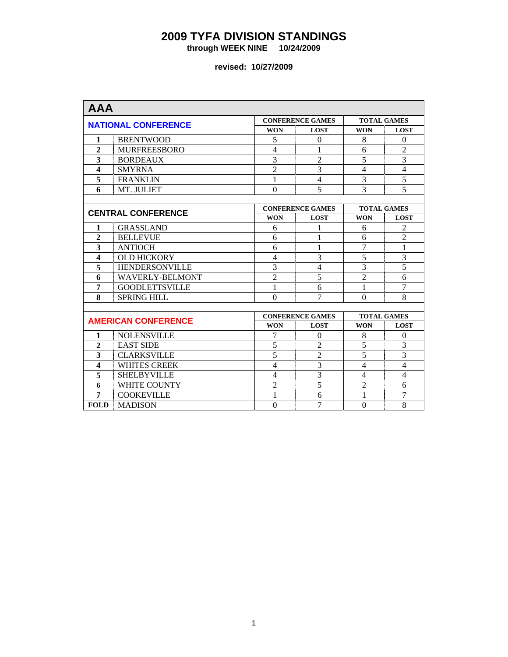**through WEEK NINE 10/24/2009** 

| <b>AAA</b>              |                            |                  |                         |                    |                    |  |
|-------------------------|----------------------------|------------------|-------------------------|--------------------|--------------------|--|
|                         | <b>NATIONAL CONFERENCE</b> |                  | <b>CONFERENCE GAMES</b> |                    | <b>TOTAL GAMES</b> |  |
|                         |                            | <b>WON</b>       | <b>LOST</b>             | <b>WON</b>         | <b>LOST</b>        |  |
| 1                       | <b>BRENTWOOD</b>           | 5                | $\Omega$                | 8                  | $\theta$           |  |
| $\mathbf{2}$            | <b>MURFREESBORO</b>        | $\overline{4}$   | 1                       | 6                  | $\overline{2}$     |  |
| 3                       | <b>BORDEAUX</b>            | 3                | $\overline{2}$          | 5                  | 3                  |  |
| $\overline{\mathbf{4}}$ | <b>SMYRNA</b>              | $\overline{2}$   | 3                       | $\overline{4}$     | $\overline{4}$     |  |
| 5                       | <b>FRANKLIN</b>            | 1                | $\overline{4}$          | 3                  | $\overline{5}$     |  |
| 6                       | MT. JULIET                 | $\Omega$         | 5                       | 3                  | 5                  |  |
|                         |                            |                  |                         |                    |                    |  |
|                         | <b>CENTRAL CONFERENCE</b>  |                  | <b>CONFERENCE GAMES</b> | <b>TOTAL GAMES</b> |                    |  |
|                         |                            | <b>WON</b>       | <b>LOST</b>             | <b>WON</b>         | <b>LOST</b>        |  |
| 1                       | <b>GRASSLAND</b>           | 6                | 1                       | 6                  | $\overline{2}$     |  |
| $\mathbf{2}$            | <b>BELLEVUE</b>            | 6                | 1                       | 6                  | $\overline{2}$     |  |
| 3                       | <b>ANTIOCH</b>             | 6                | 1                       | 7                  | $\mathbf{1}$       |  |
| $\overline{\mathbf{4}}$ | <b>OLD HICKORY</b>         | $\overline{4}$   | 3                       | $\overline{5}$     | $\overline{3}$     |  |
| 5                       | <b>HENDERSONVILLE</b>      | $\overline{3}$   | $\overline{4}$          | $\overline{3}$     | $\overline{5}$     |  |
| 6                       | <b>WAVERLY-BELMONT</b>     | $\overline{2}$   | $\overline{5}$          | $\overline{c}$     | 6                  |  |
| 7                       | <b>GOODLETTSVILLE</b>      | $\mathbf{1}$     | 6                       | 1                  | $\overline{7}$     |  |
| 8                       | <b>SPRING HILL</b>         | $\Omega$         | 7                       | $\Omega$           | 8                  |  |
|                         |                            |                  |                         |                    |                    |  |
|                         | <b>AMERICAN CONFERENCE</b> |                  | <b>CONFERENCE GAMES</b> | <b>TOTAL GAMES</b> |                    |  |
|                         |                            | <b>WON</b>       | <b>LOST</b>             | <b>WON</b>         | <b>LOST</b>        |  |
| $\mathbf{1}$            | <b>NOLENSVILLE</b>         | 7                | $\Omega$                | 8                  | $\theta$           |  |
| $\mathbf{2}$            | <b>EAST SIDE</b>           | 5                | $\overline{2}$          | 5                  | 3                  |  |
| 3                       | <b>CLARKSVILLE</b>         | 5                | $\overline{2}$          | 5                  | $\overline{3}$     |  |
| $\overline{\mathbf{4}}$ | <b>WHITES CREEK</b>        | $\overline{4}$   | $\overline{3}$          | $\overline{4}$     | $\overline{4}$     |  |
| 5                       | <b>SHELBYVILLE</b>         | $\overline{4}$   | 3                       | $\overline{4}$     | $\overline{4}$     |  |
| 6                       | WHITE COUNTY               | $\overline{2}$   | $\overline{5}$          | $\overline{2}$     | 6                  |  |
| 7                       | <b>COOKEVILLE</b>          | 1                | 6                       | 1                  | $\overline{7}$     |  |
| <b>FOLD</b>             | <b>MADISON</b>             | $\boldsymbol{0}$ | $\overline{7}$          | $\theta$           | 8                  |  |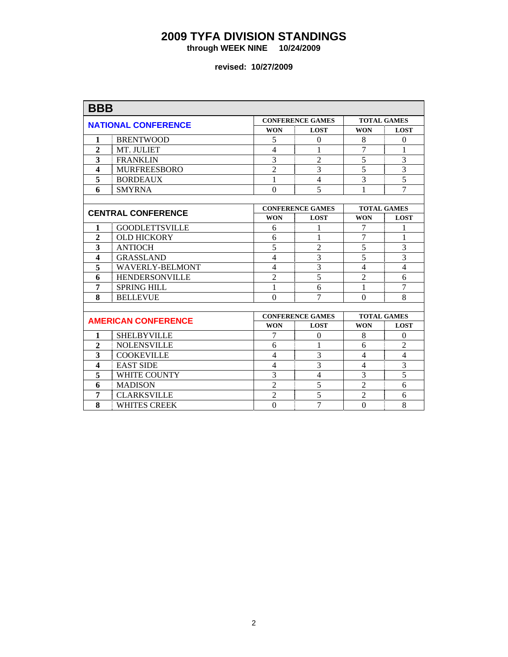**through WEEK NINE 10/24/2009** 

| <b>BBB</b>              |                            |                          |                         |                    |                    |  |  |
|-------------------------|----------------------------|--------------------------|-------------------------|--------------------|--------------------|--|--|
|                         | <b>NATIONAL CONFERENCE</b> |                          | <b>CONFERENCE GAMES</b> | <b>TOTAL GAMES</b> |                    |  |  |
|                         |                            | <b>WON</b>               | <b>LOST</b>             | <b>WON</b>         | <b>LOST</b>        |  |  |
| 1                       | <b>BRENTWOOD</b>           | 5                        | $\Omega$                | 8                  | $\Omega$           |  |  |
| $\overline{2}$          | MT. JULIET                 | $\overline{\mathcal{L}}$ | 1                       | $\overline{7}$     | 1                  |  |  |
| 3                       | <b>FRANKLIN</b>            | $\overline{3}$           | $\overline{2}$          | 5                  | 3                  |  |  |
| $\overline{\mathbf{4}}$ | <b>MURFREESBORO</b>        | $\overline{2}$           | 3                       | 5                  | $\overline{3}$     |  |  |
| 5                       | <b>BORDEAUX</b>            | 1                        | $\overline{4}$          | 3                  | $\overline{5}$     |  |  |
| 6                       | <b>SMYRNA</b>              | $\Omega$                 | 5                       | 1                  | $\overline{7}$     |  |  |
|                         |                            |                          |                         |                    |                    |  |  |
|                         | <b>CENTRAL CONFERENCE</b>  |                          | <b>CONFERENCE GAMES</b> |                    | <b>TOTAL GAMES</b> |  |  |
|                         |                            | <b>WON</b>               | <b>LOST</b>             | <b>WON</b>         | <b>LOST</b>        |  |  |
| 1                       | <b>GOODLETTSVILLE</b>      | 6                        | 1                       | 7                  | 1                  |  |  |
| $\overline{2}$          | <b>OLD HICKORY</b>         | 6                        | 1                       | 7                  | 1                  |  |  |
| 3                       | <b>ANTIOCH</b>             | $\overline{5}$           | $\overline{2}$          | 5                  | 3                  |  |  |
| $\overline{\mathbf{4}}$ | <b>GRASSLAND</b>           | $\overline{4}$           | 3                       | $\overline{5}$     | $\overline{3}$     |  |  |
| 5                       | <b>WAVERLY-BELMONT</b>     | $\overline{4}$           | 3                       | $\overline{4}$     | $\overline{4}$     |  |  |
| 6                       | <b>HENDERSONVILLE</b>      | $\overline{c}$           | 5                       | $\overline{2}$     | 6                  |  |  |
| 7                       | <b>SPRING HILL</b>         | 1                        | 6                       | 1                  | $\overline{7}$     |  |  |
| 8                       | <b>BELLEVUE</b>            | $\Omega$                 | 7                       | $\theta$           | 8                  |  |  |
|                         |                            |                          |                         |                    |                    |  |  |
|                         | <b>AMERICAN CONFERENCE</b> |                          | <b>CONFERENCE GAMES</b> | <b>TOTAL GAMES</b> |                    |  |  |
|                         |                            | <b>WON</b>               | <b>LOST</b>             | <b>WON</b>         | <b>LOST</b>        |  |  |
| 1                       | <b>SHELBYVILLE</b>         | 7                        | $\theta$                | 8                  | $\mathbf{0}$       |  |  |
| $\overline{2}$          | <b>NOLENSVILLE</b>         | 6                        | 1                       | 6                  | $\overline{2}$     |  |  |
| 3                       | <b>COOKEVILLE</b>          | 4                        | 3                       | $\overline{4}$     | $\overline{4}$     |  |  |
| $\overline{\mathbf{4}}$ | <b>EAST SIDE</b>           | $\overline{4}$           | 3                       | $\overline{4}$     | $\overline{3}$     |  |  |
| 5                       | <b>WHITE COUNTY</b>        | 3                        | $\overline{4}$          | 3                  | $\overline{5}$     |  |  |
| 6                       | <b>MADISON</b>             | $\overline{2}$           | 5                       | $\overline{2}$     | 6                  |  |  |
| 7                       | <b>CLARKSVILLE</b>         | $\overline{2}$           | 5                       | $\overline{2}$     | 6                  |  |  |
| 8                       | <b>WHITES CREEK</b>        | $\boldsymbol{0}$         | $\overline{7}$          | $\overline{0}$     | 8                  |  |  |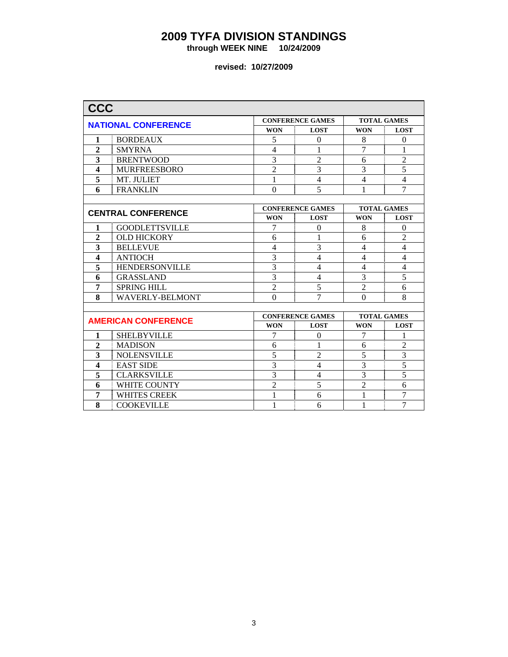**through WEEK NINE 10/24/2009** 

| <b>CCC</b>              |                            |                          |                         |                    |                |  |
|-------------------------|----------------------------|--------------------------|-------------------------|--------------------|----------------|--|
|                         | <b>NATIONAL CONFERENCE</b> |                          | <b>CONFERENCE GAMES</b> | <b>TOTAL GAMES</b> |                |  |
|                         |                            | <b>WON</b>               | <b>LOST</b>             | <b>WON</b>         | <b>LOST</b>    |  |
| 1                       | <b>BORDEAUX</b>            | 5                        | $\Omega$                | 8                  | $\Omega$       |  |
| $\overline{2}$          | <b>SMYRNA</b>              | $\overline{\mathcal{L}}$ | 1                       | $\overline{7}$     | 1              |  |
| 3                       | <b>BRENTWOOD</b>           | $\overline{3}$           | $\overline{2}$          | 6                  | $\overline{2}$ |  |
| $\overline{\mathbf{4}}$ | <b>MURFREESBORO</b>        | $\overline{2}$           | 3                       | 3                  | $\overline{5}$ |  |
| 5                       | MT. JULIET                 | 1                        | $\overline{4}$          | $\overline{4}$     | $\overline{4}$ |  |
| 6                       | <b>FRANKLIN</b>            | $\Omega$                 | 5                       | 1                  | $\overline{7}$ |  |
|                         |                            |                          |                         |                    |                |  |
|                         | <b>CENTRAL CONFERENCE</b>  |                          | <b>CONFERENCE GAMES</b> | <b>TOTAL GAMES</b> |                |  |
|                         |                            | <b>WON</b>               | <b>LOST</b>             | <b>WON</b>         | <b>LOST</b>    |  |
| 1                       | <b>GOODLETTSVILLE</b>      | 7                        | $\theta$                | 8                  | $\Omega$       |  |
| $\overline{2}$          | <b>OLD HICKORY</b>         | 6                        | 1                       | 6                  | $\overline{2}$ |  |
| 3                       | <b>BELLEVUE</b>            | $\overline{4}$           | 3                       | $\overline{4}$     | $\overline{4}$ |  |
| $\overline{\mathbf{4}}$ | <b>ANTIOCH</b>             | $\overline{3}$           | $\overline{4}$          | $\overline{4}$     | $\overline{4}$ |  |
| 5                       | <b>HENDERSONVILLE</b>      | 3                        | $\overline{4}$          | $\overline{4}$     | $\overline{4}$ |  |
| 6                       | <b>GRASSLAND</b>           | 3                        | $\overline{4}$          | 3                  | $\overline{5}$ |  |
| 7                       | <b>SPRING HILL</b>         | $\overline{2}$           | 5                       | $\overline{2}$     | 6              |  |
| 8                       | <b>WAVERLY-BELMONT</b>     | $\Omega$                 | 7                       | $\theta$           | 8              |  |
|                         |                            |                          |                         |                    |                |  |
|                         | <b>AMERICAN CONFERENCE</b> |                          | <b>CONFERENCE GAMES</b> | <b>TOTAL GAMES</b> |                |  |
|                         |                            | <b>WON</b>               | <b>LOST</b>             | <b>WON</b>         | <b>LOST</b>    |  |
| 1                       | <b>SHELBYVILLE</b>         | 7                        | $\theta$                | 7                  | 1              |  |
| $\overline{2}$          | <b>MADISON</b>             | 6                        | 1                       | 6                  | $\overline{2}$ |  |
| 3                       | <b>NOLENSVILLE</b>         | 5                        | $\overline{2}$          | 5                  | $\overline{3}$ |  |
| $\overline{\mathbf{4}}$ | <b>EAST SIDE</b>           | $\overline{3}$           | $\overline{4}$          | $\overline{3}$     | $\overline{5}$ |  |
| 5                       | <b>CLARKSVILLE</b>         | $\overline{3}$           | $\overline{4}$          | 3                  | $\overline{5}$ |  |
| 6                       | <b>WHITE COUNTY</b>        | $\overline{2}$           | 5                       | $\overline{2}$     | 6              |  |
| 7                       | <b>WHITES CREEK</b>        | 1                        | 6                       | 1                  | $\overline{7}$ |  |
| 8                       | <b>COOKEVILLE</b>          | 1                        | 6                       | 1                  | $\overline{7}$ |  |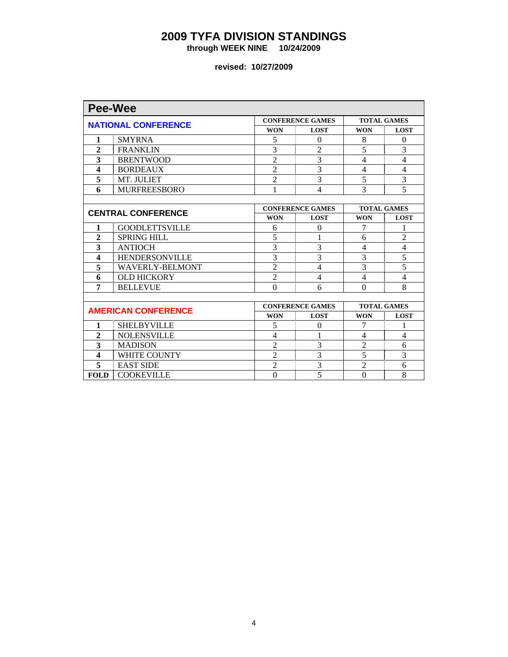**through WEEK NINE 10/24/2009** 

| <b>Pee-Wee</b>          |                            |                  |                         |                          |                    |  |  |  |
|-------------------------|----------------------------|------------------|-------------------------|--------------------------|--------------------|--|--|--|
|                         | <b>NATIONAL CONFERENCE</b> |                  | <b>CONFERENCE GAMES</b> | <b>TOTAL GAMES</b>       |                    |  |  |  |
|                         |                            | <b>WON</b>       | <b>LOST</b>             | <b>WON</b>               | <b>LOST</b>        |  |  |  |
| 1                       | <b>SMYRNA</b>              | 5                | $\theta$                | 8                        | $\Omega$           |  |  |  |
| $\overline{2}$          | <b>FRANKLIN</b>            | 3                | 2                       | 5                        | 3                  |  |  |  |
| 3                       | <b>BRENTWOOD</b>           | $\overline{2}$   | 3                       | $\overline{4}$           | $\overline{4}$     |  |  |  |
| $\overline{\mathbf{4}}$ | <b>BORDEAUX</b>            | $\overline{2}$   | $\overline{3}$          | 4                        | $\overline{4}$     |  |  |  |
| 5                       | MT. JULIET                 | $\overline{2}$   | 3                       | 5                        | 3                  |  |  |  |
| 6                       | <b>MURFREESBORO</b>        | 1                | $\overline{4}$          | 3                        | 5                  |  |  |  |
|                         |                            |                  |                         |                          |                    |  |  |  |
|                         | <b>CENTRAL CONFERENCE</b>  |                  | <b>CONFERENCE GAMES</b> | <b>TOTAL GAMES</b>       |                    |  |  |  |
|                         |                            | <b>WON</b>       | <b>LOST</b>             | <b>WON</b>               | <b>LOST</b>        |  |  |  |
| 1                       | <b>GOODLETTSVILLE</b>      | 6                | $\Omega$                | 7                        | 1                  |  |  |  |
| $\overline{2}$          | <b>SPRING HILL</b>         | 5                |                         | 6                        | $\overline{c}$     |  |  |  |
| 3                       | <b>ANTIOCH</b>             | $\overline{3}$   | 3                       | $\overline{\mathcal{A}}$ | $\overline{4}$     |  |  |  |
| $\overline{\mathbf{4}}$ | <b>HENDERSONVILLE</b>      | $\overline{3}$   | 3                       | 3                        | $\overline{5}$     |  |  |  |
| 5                       | <b>WAVERLY-BELMONT</b>     | $\overline{2}$   | $\overline{4}$          | 3                        | 5                  |  |  |  |
| 6                       | <b>OLD HICKORY</b>         | $\overline{2}$   | $\overline{4}$          | $\overline{4}$           | $\overline{4}$     |  |  |  |
| 7                       | <b>BELLEVUE</b>            | $\overline{0}$   | 6                       | $\theta$                 | 8                  |  |  |  |
|                         |                            |                  |                         |                          |                    |  |  |  |
|                         | <b>AMERICAN CONFERENCE</b> |                  | <b>CONFERENCE GAMES</b> |                          | <b>TOTAL GAMES</b> |  |  |  |
|                         |                            | <b>WON</b>       | <b>LOST</b>             | <b>WON</b>               | <b>LOST</b>        |  |  |  |
| 1                       | <b>SHELBYVILLE</b>         | 5                | $\Omega$                | 7                        | 1                  |  |  |  |
| $\overline{2}$          | <b>NOLENSVILLE</b>         | $\overline{4}$   | 1                       | $\overline{\mathcal{A}}$ | $\overline{4}$     |  |  |  |
| 3                       | <b>MADISON</b>             | $\overline{2}$   | 3                       | $\overline{2}$           | 6                  |  |  |  |
| 4                       | <b>WHITE COUNTY</b>        | $\overline{2}$   | 3                       | 5                        | 3                  |  |  |  |
| 5                       | <b>EAST SIDE</b>           | $\overline{2}$   | 3                       | $\overline{2}$           | 6                  |  |  |  |
| <b>FOLD</b>             | <b>COOKEVILLE</b>          | $\boldsymbol{0}$ | 5                       | $\Omega$                 | 8                  |  |  |  |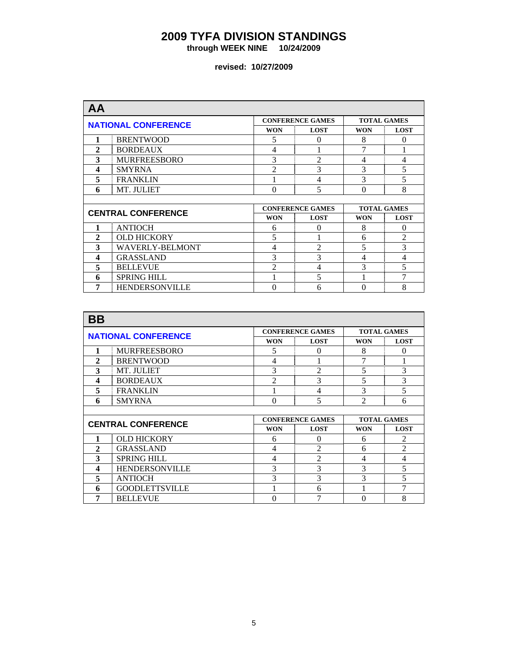**through WEEK NINE 10/24/2009** 

| <b>AA</b>                  |                           |                |                         |            |                    |
|----------------------------|---------------------------|----------------|-------------------------|------------|--------------------|
| <b>NATIONAL CONFERENCE</b> |                           |                | <b>CONFERENCE GAMES</b> |            | <b>TOTAL GAMES</b> |
|                            |                           | <b>WON</b>     | <b>LOST</b>             | <b>WON</b> | <b>LOST</b>        |
| 1                          | <b>BRENTWOOD</b>          | 5              | $\Omega$                | 8          | $\Omega$           |
| $\mathbf{2}$               | <b>BORDEAUX</b>           | 4              |                         | 7          |                    |
| 3                          | <b>MURFREESBORO</b>       | 3              | $\overline{2}$          | 4          | 4                  |
| 4                          | <b>SMYRNA</b>             | 2              | 3                       | 3          | 5                  |
| 5                          | <b>FRANKLIN</b>           |                | 4                       | 3          | 5                  |
| 6                          | MT. JULIET                | $\theta$       | 5                       | 0          | 8                  |
|                            |                           |                |                         |            |                    |
|                            | <b>CENTRAL CONFERENCE</b> |                | <b>CONFERENCE GAMES</b> |            | <b>TOTAL GAMES</b> |
|                            |                           | <b>WON</b>     | <b>LOST</b>             | <b>WON</b> | <b>LOST</b>        |
| 1                          | <b>ANTIOCH</b>            | 6              | $\Omega$                | 8          | $\Omega$           |
| $\mathbf{2}$               | <b>OLD HICKORY</b>        | 5              |                         | 6          | $\overline{2}$     |
| 3                          | <b>WAVERLY-BELMONT</b>    | $\overline{4}$ | $\mathfrak{D}$          | 5          | 3                  |
| 4                          | <b>GRASSLAND</b>          | 3              | 3                       | 4          | $\overline{4}$     |
| 5                          | <b>BELLEVUE</b>           | $\mathfrak{D}$ | 4                       | 3          | 5                  |
|                            |                           |                |                         |            |                    |
| 6                          | <b>SPRING HILL</b>        |                | 5                       |            | 7                  |

| <b>BB</b>                  |                           |                |                         |                |                    |
|----------------------------|---------------------------|----------------|-------------------------|----------------|--------------------|
| <b>NATIONAL CONFERENCE</b> |                           |                | <b>CONFERENCE GAMES</b> |                | <b>TOTAL GAMES</b> |
|                            |                           | <b>WON</b>     | <b>LOST</b>             | <b>WON</b>     | <b>LOST</b>        |
| 1                          | <b>MURFREESBORO</b>       | 5              | 0                       | 8              | $\Omega$           |
| 2                          | <b>BRENTWOOD</b>          | 4              |                         | 7              | 1                  |
| 3                          | MT. JULIET                | 3              | $\overline{2}$          | 5              | 3                  |
| 4                          | <b>BORDEAUX</b>           | $\overline{c}$ | 3                       | 5              | 3                  |
| 5                          | <b>FRANKLIN</b>           |                | 4                       | 3              | 5                  |
| 6                          | <b>SMYRNA</b>             | $\theta$       | 5                       | $\mathfrak{D}$ | 6                  |
|                            |                           |                |                         |                |                    |
|                            |                           |                | <b>CONFERENCE GAMES</b> |                | <b>TOTAL GAMES</b> |
|                            |                           |                |                         |                |                    |
|                            | <b>CENTRAL CONFERENCE</b> | <b>WON</b>     | <b>LOST</b>             | <b>WON</b>     | <b>LOST</b>        |
|                            | <b>OLD HICKORY</b>        | 6              | $\Omega$                | 6              | 2                  |
| $\mathbf{2}$               | <b>GRASSLAND</b>          | 4              | $\mathfrak{D}$          | 6              | $\overline{2}$     |
| 3                          | <b>SPRING HILL</b>        | $\overline{4}$ | $\mathfrak{D}$          | 4              | $\overline{4}$     |
| 4                          | <b>HENDERSONVILLE</b>     | 3              | 3                       | 3              | 5                  |
| 5                          | <b>ANTIOCH</b>            | 3              | 3                       | 3              | 5                  |
| 6                          | <b>GOODLETTSVILLE</b>     |                | 6                       |                | 7                  |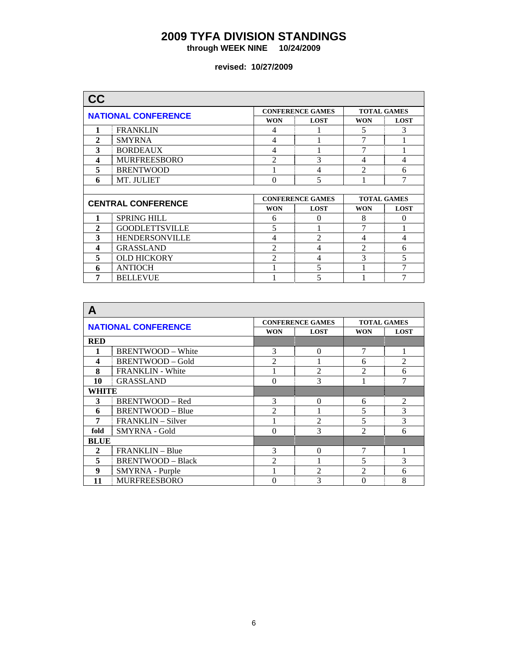**through WEEK NINE 10/24/2009** 

| <b>NATIONAL CONFERENCE</b> |                           |                | <b>CONFERENCE GAMES</b> |                | <b>TOTAL GAMES</b> |
|----------------------------|---------------------------|----------------|-------------------------|----------------|--------------------|
|                            |                           | <b>WON</b>     | <b>LOST</b>             | <b>WON</b>     | <b>LOST</b>        |
| 1                          | <b>FRANKLIN</b>           | 4              |                         | 5              | 3                  |
| $\mathbf{2}$               | <b>SMYRNA</b>             | $\overline{4}$ |                         | 7              | 1                  |
| 3                          | <b>BORDEAUX</b>           | 4              |                         | 7              |                    |
| 4                          | <b>MURFREESBORO</b>       | $\mathfrak{D}$ | 3                       | 4              | 4                  |
| 5                          | <b>BRENTWOOD</b>          |                | 4                       | $\mathfrak{D}$ | 6                  |
| 6                          | MT. JULIET                | $\Omega$       | 5                       |                | 7                  |
|                            |                           |                |                         |                |                    |
|                            |                           |                |                         |                |                    |
|                            |                           |                | <b>CONFERENCE GAMES</b> |                | <b>TOTAL GAMES</b> |
|                            | <b>CENTRAL CONFERENCE</b> | <b>WON</b>     | <b>LOST</b>             | <b>WON</b>     | <b>LOST</b>        |
| 1                          | <b>SPRING HILL</b>        | 6              | $\Omega$                | 8              | 0                  |
| $\mathbf{2}$               | <b>GOODLETTSVILLE</b>     | 5              |                         | 7              | 1                  |
| 3                          | <b>HENDERSONVILLE</b>     | 4              | $\mathfrak{D}$          | 4              | 4                  |
| 4                          | <b>GRASSLAND</b>          | $\mathfrak{D}$ | 4                       | $\mathfrak{D}$ | 6                  |
| 5                          | <b>OLD HICKORY</b>        | $\overline{2}$ | 4                       | 3              | 5                  |
| 6                          | <b>ANTIOCH</b>            |                | 5                       |                | 7                  |

| А                          |                          |                |                         |                    |                |
|----------------------------|--------------------------|----------------|-------------------------|--------------------|----------------|
| <b>NATIONAL CONFERENCE</b> |                          |                | <b>CONFERENCE GAMES</b> | <b>TOTAL GAMES</b> |                |
|                            |                          | <b>WON</b>     | <b>LOST</b>             | <b>WON</b>         | <b>LOST</b>    |
| <b>RED</b>                 |                          |                |                         |                    |                |
|                            | <b>BRENTWOOD - White</b> | 3              | $\Omega$                | 7                  | 1              |
| 4                          | <b>BRENTWOOD - Gold</b>  | $\mathfrak{D}$ |                         | 6                  | $\overline{2}$ |
| 8                          | <b>FRANKLIN</b> - White  |                | $\mathfrak{D}$          | $\mathfrak{D}$     | 6              |
| 10                         | <b>GRASSLAND</b>         | 3<br>$\Omega$  |                         |                    | $\overline{7}$ |
| WHITE                      |                          |                |                         |                    |                |
| 3                          | BRENTWOOD - Red          | 3              | $\Omega$                | 6                  | $\overline{2}$ |
| 6                          | <b>BRENTWOOD - Blue</b>  | 2              |                         | 5                  | 3              |
| 7                          | <b>FRANKLIN</b> – Silver |                | $\mathfrak{D}$          | 5                  | 3              |
| fold                       | SMYRNA - Gold            | $\Omega$       | 3                       | $\mathfrak{D}$     | 6              |
| <b>BLUE</b>                |                          |                |                         |                    |                |
| $\mathbf{2}$               | <b>FRANKLIN</b> – Blue   | 3              | $\Omega$                | 7                  |                |
| 5                          | <b>BRENTWOOD - Black</b> | $\mathfrak{D}$ |                         | 5                  | 3              |
| 9                          | SMYRNA - Purple          |                | $\mathfrak{D}$          | $\mathfrak{D}$     | 6              |
| 11                         | <b>MURFREESBORO</b>      | 0              | 3                       | 0                  | 8              |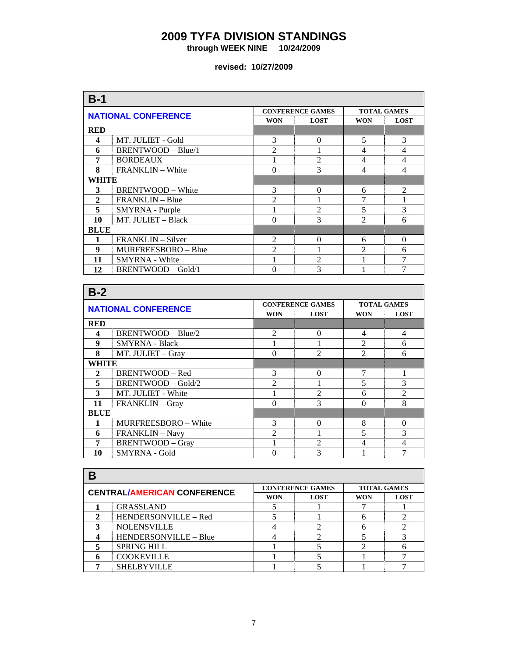**through WEEK NINE 10/24/2009** 

| $B-1$                      |                          |                |                         |                    |                |  |
|----------------------------|--------------------------|----------------|-------------------------|--------------------|----------------|--|
| <b>NATIONAL CONFERENCE</b> |                          |                | <b>CONFERENCE GAMES</b> | <b>TOTAL GAMES</b> |                |  |
|                            |                          | <b>WON</b>     | <b>LOST</b>             | <b>WON</b>         | <b>LOST</b>    |  |
| <b>RED</b>                 |                          |                |                         |                    |                |  |
| 4                          | MT. JULIET - Gold        | 3              | $\Omega$                | 5                  | 3              |  |
| 6                          | BRENTWOOD - Blue/1       | $\mathfrak{D}$ |                         | 4                  | $\overline{4}$ |  |
| 7                          | <b>BORDEAUX</b>          |                | $\overline{2}$          | 4                  | $\overline{4}$ |  |
| 8                          | <b>FRANKLIN – White</b>  | 3<br>$\theta$  |                         | 4                  | $\overline{4}$ |  |
| WHITE                      |                          |                |                         |                    |                |  |
| 3                          | <b>BRENTWOOD – White</b> | 3              | $\Omega$                | 6                  | $\overline{2}$ |  |
| $\mathbf{2}$               | FRANKLIN - Blue          | $\overline{2}$ |                         | 7                  |                |  |
| 5                          | SMYRNA - Purple          |                | $\overline{2}$          | 5                  | 3              |  |
| 10                         | MT. JULIET - Black       | $\Omega$       | 3                       | $\mathfrak{D}$     | 6              |  |
| <b>BLUE</b>                |                          |                |                         |                    |                |  |
| 1                          | FRANKLIN - Silver        | $\overline{2}$ | $\Omega$                | 6                  | $\Omega$       |  |
| 9                          | MURFREESBORO - Blue      | $\mathfrak{D}$ |                         | $\mathfrak{D}$     | 6              |  |
| 11                         | <b>SMYRNA</b> - White    |                | $\overline{2}$          |                    | $\overline{7}$ |  |
| 12                         | BRENTWOOD - Gold/1       | $\Omega$       | 3                       |                    | $\overline{7}$ |  |

| $B-2$                      |                             |                |                         |                    |                |
|----------------------------|-----------------------------|----------------|-------------------------|--------------------|----------------|
| <b>NATIONAL CONFERENCE</b> |                             |                | <b>CONFERENCE GAMES</b> | <b>TOTAL GAMES</b> |                |
|                            |                             | <b>WON</b>     | <b>LOST</b>             | <b>WON</b>         | <b>LOST</b>    |
| <b>RED</b>                 |                             |                |                         |                    |                |
| 4                          | BRENTWOOD - Blue/2          | $\mathfrak{D}$ | $\Omega$                | $\overline{4}$     | 4              |
| 9                          | <b>SMYRNA - Black</b>       |                |                         | $\mathfrak{D}$     | 6              |
| 8                          | MT. JULIET - Gray           | $\theta$       | $\mathfrak{D}$          | $\mathfrak{D}$     | 6              |
| WHITE                      |                             |                |                         |                    |                |
| $\mathbf{2}$               | BRENTWOOD - Red             | 3              | $\Omega$                | 7                  |                |
| 5                          | BRENTWOOD - Gold/2          | $\mathfrak{D}$ |                         | 5                  | 3              |
| 3                          | MT. JULIET - White          |                | $\mathfrak{D}$          | 6                  | $\overline{2}$ |
| 11                         | FRANKLIN - Gray             | $\Omega$       | 3                       | $\Omega$           | 8              |
| <b>BLUE</b>                |                             |                |                         |                    |                |
|                            | <b>MURFREESBORO</b> – White | 3              | $\Omega$                | 8                  | $\Omega$       |
| 6                          | FRANKLIN - Navy             | $\mathfrak{D}$ |                         | 5                  | 3              |
| 7                          | <b>BRENTWOOD - Gray</b>     |                | $\mathfrak{D}$          | 4                  | 4              |
| 10                         | <b>SMYRNA - Gold</b>        | ∩              | 3                       |                    | 7              |

| <b>CENTRAL/AMERICAN CONFERENCE</b> |                       |                           | <b>CONFERENCE GAMES</b> |            | <b>TOTAL GAMES</b> |  |
|------------------------------------|-----------------------|---------------------------|-------------------------|------------|--------------------|--|
|                                    |                       | <b>WON</b><br><b>LOST</b> |                         | <b>WON</b> | <b>LOST</b>        |  |
|                                    | <b>GRASSLAND</b>      |                           |                         |            |                    |  |
| າ                                  | HENDERSONVILLE - Red  |                           |                         |            |                    |  |
| 3                                  | <b>NOLENSVILLE</b>    |                           |                         |            |                    |  |
|                                    | HENDERSONVILLE - Blue |                           |                         |            |                    |  |
|                                    | <b>SPRING HILL</b>    |                           |                         |            |                    |  |
|                                    | <b>COOKEVILLE</b>     |                           |                         |            |                    |  |
|                                    | <b>SHELBYVILLE</b>    |                           |                         |            |                    |  |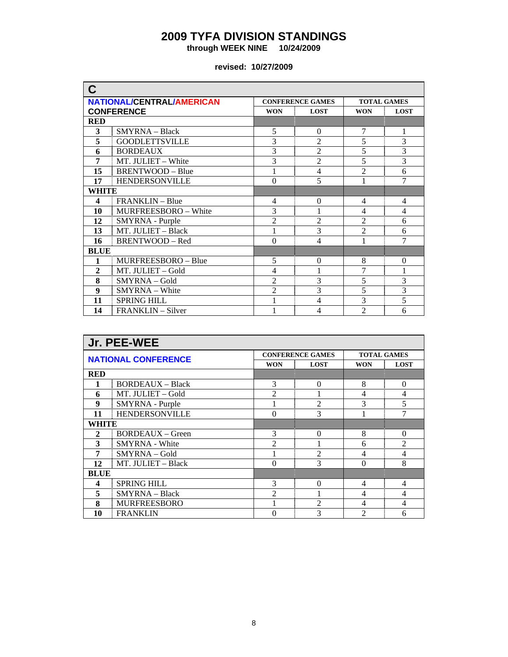**through WEEK NINE 10/24/2009** 

| C                |                                  |                |                         |                    |                |  |
|------------------|----------------------------------|----------------|-------------------------|--------------------|----------------|--|
|                  | <b>NATIONAL/CENTRAL/AMERICAN</b> |                | <b>CONFERENCE GAMES</b> | <b>TOTAL GAMES</b> |                |  |
|                  | <b>CONFERENCE</b>                | <b>WON</b>     | <b>LOST</b>             | <b>WON</b>         | <b>LOST</b>    |  |
| <b>RED</b>       |                                  |                |                         |                    |                |  |
| 3                | SMYRNA - Black                   | 5              | $\mathbf{0}$            | 7                  | 1              |  |
| 5                | <b>GOODLETTSVILLE</b>            | 3              | $\overline{2}$          | 5                  | $\overline{3}$ |  |
| 6                | <b>BORDEAUX</b>                  | 3              | $\overline{2}$          | 5                  | $\overline{3}$ |  |
| 7                | MT. JULIET - White               | 3              | $\overline{2}$          | 5                  | $\overline{3}$ |  |
| 15               | <b>BRENTWOOD - Blue</b>          | 1              | $\overline{4}$          | $\overline{2}$     | 6              |  |
| 17               | <b>HENDERSONVILLE</b>            | $\theta$       | 5                       |                    | 7              |  |
| WHITE            |                                  |                |                         |                    |                |  |
| 4                | FRANKLIN - Blue                  | $\overline{4}$ | $\Omega$                | 4                  | 4              |  |
| 10               | MURFREESBORO - White             | 3              |                         | $\overline{4}$     | $\overline{4}$ |  |
| 12               | SMYRNA - Purple                  | $\overline{2}$ | $\overline{2}$          | $\overline{2}$     | 6              |  |
| 13               | MT. JULIET - Black               |                | 3                       | $\overline{2}$     | 6              |  |
| 16               | <b>BRENTWOOD - Red</b>           | $\theta$       | $\overline{4}$          | 1                  | 7              |  |
| <b>BLUE</b>      |                                  |                |                         |                    |                |  |
| 1                | MURFREESBORO - Blue              | 5              | $\Omega$                | 8                  | $\overline{0}$ |  |
| $\overline{2}$   | MT. JULIET - Gold                | $\overline{4}$ |                         | 7                  | 1              |  |
| 8                | SMYRNA - Gold                    | $\overline{2}$ | 3                       | 5                  | 3              |  |
| $\boldsymbol{9}$ | SMYRNA - White                   | $\overline{2}$ | 3                       | 5                  | $\overline{3}$ |  |
| 11               | <b>SPRING HILL</b>               |                | 4                       | 3                  | $\overline{5}$ |  |
| 14               | FRANKLIN – Silver                |                | 4                       | $\overline{2}$     | 6              |  |

| Jr. PEE-WEE                |                         |                |                         |                    |                |  |
|----------------------------|-------------------------|----------------|-------------------------|--------------------|----------------|--|
| <b>NATIONAL CONFERENCE</b> |                         |                | <b>CONFERENCE GAMES</b> | <b>TOTAL GAMES</b> |                |  |
|                            |                         | <b>WON</b>     | <b>LOST</b>             | <b>WON</b>         | <b>LOST</b>    |  |
| <b>RED</b>                 |                         |                |                         |                    |                |  |
| 1                          | <b>BORDEAUX</b> – Black | 3              | $\Omega$                | 8                  | $\Omega$       |  |
| 6                          | MT. JULIET - Gold       | $\mathfrak{D}$ |                         | 4                  | 4              |  |
| 9                          | SMYRNA - Purple         |                | $\mathfrak{D}$          | 3                  | 5              |  |
| 11                         | <b>HENDERSONVILLE</b>   | 3<br>$\Omega$  |                         |                    | 7              |  |
| WHITE                      |                         |                |                         |                    |                |  |
| $\mathbf{2}$               | <b>BORDEAUX</b> – Green | 3              | $\Omega$                | 8                  | $\Omega$       |  |
| 3                          | <b>SMYRNA</b> - White   | $\mathfrak{D}$ |                         | 6                  | $\overline{2}$ |  |
| 7                          | SMYRNA - Gold           |                | $\mathfrak{D}$          | 4                  | 4              |  |
| 12                         | MT. JULIET - Black      | $\Omega$       | 3                       | $\Omega$           | 8              |  |
| <b>BLUE</b>                |                         |                |                         |                    |                |  |
| 4                          | <b>SPRING HILL</b>      | 3              | $\Omega$                | 4                  | $\overline{4}$ |  |
| 5                          | <b>SMYRNA</b> – Black   | $\mathfrak{D}$ |                         | 4                  | 4              |  |
| 8                          | <b>MURFREESBORO</b>     |                | $\mathfrak{D}$          | 4                  | 4              |  |
| 10                         | <b>FRANKLIN</b>         | 0              | 3                       | $\mathcal{D}$      | 6              |  |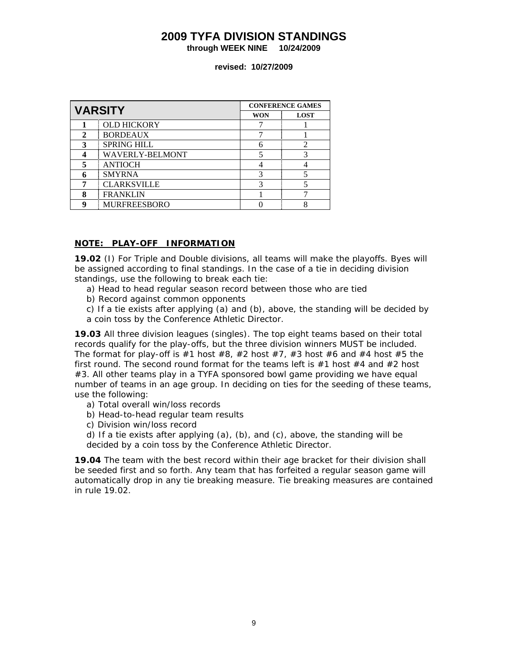**through WEEK NINE 10/24/2009** 

**revised: 10/27/2009** 

| <b>VARSITY</b> |                        | <b>CONFERENCE GAMES</b> |             |  |  |
|----------------|------------------------|-------------------------|-------------|--|--|
|                |                        | <b>WON</b>              | <b>LOST</b> |  |  |
|                | <b>OLD HICKORY</b>     |                         |             |  |  |
| $\mathbf{2}$   | <b>BORDEAUX</b>        |                         |             |  |  |
| 3              | <b>SPRING HILL</b>     |                         |             |  |  |
|                | <b>WAVERLY-BELMONT</b> |                         |             |  |  |
| 5              | <b>ANTIOCH</b>         |                         |             |  |  |
| 6              | <b>SMYRNA</b>          |                         |             |  |  |
|                | <b>CLARKSVILLE</b>     |                         |             |  |  |
| 8              | <b>FRANKLIN</b>        |                         |             |  |  |
| q              | <b>MURFREESBORO</b>    |                         | 8           |  |  |

#### **NOTE: PLAY-OFF INFORMATION**

**19.02** (I) For Triple and Double divisions, all teams will make the playoffs. Byes will be assigned according to final standings. In the case of a tie in deciding division standings, use the following to break each tie:

- a) Head to head regular season record between those who are tied
- b) Record against common opponents

c) If a tie exists after applying (a) and (b), above, the standing will be decided by a coin toss by the Conference Athletic Director.

**19.03** All three division leagues (singles). The top eight teams based on their total records qualify for the play-offs, but the three division winners MUST be included. The format for play-off is  $#1$  host  $#8$ ,  $#2$  host  $#7$ ,  $#3$  host  $#6$  and  $#4$  host  $#5$  the first round. The second round format for the teams left is  $#1$  host  $#4$  and  $#2$  host #3. All other teams play in a TYFA sponsored bowl game providing we have equal number of teams in an age group. In deciding on ties for the seeding of these teams, use the following:

- a) Total overall win/loss records
- b) Head-to-head regular team results
- c) Division win/loss record

d) If a tie exists after applying  $(a)$ ,  $(b)$ , and  $(c)$ , above, the standing will be decided by a coin toss by the Conference Athletic Director.

**19.04** The team with the best record within their age bracket for their division shall be seeded first and so forth. Any team that has forfeited a regular season game will automatically drop in any tie breaking measure. Tie breaking measures are contained in rule 19.02.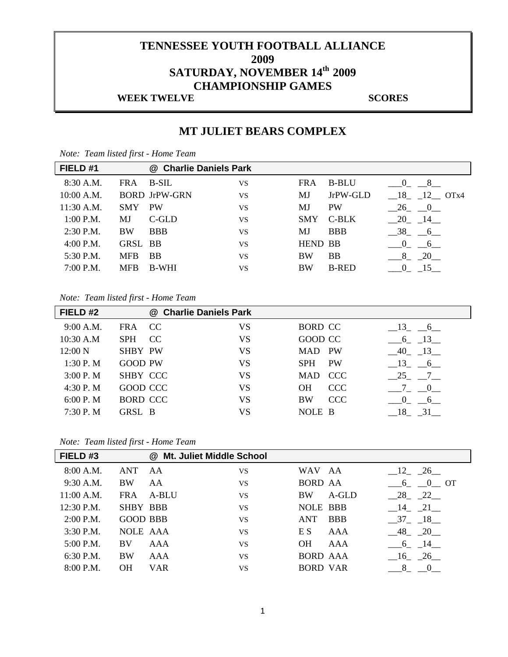# **TENNESSEE YOUTH FOOTBALL ALLIANCE 2009 SATURDAY, NOVEMBER 14th 2009 CHAMPIONSHIP GAMES**

### **WEEK TWELVE SCORES**

## **MT JULIET BEARS COMPLEX**

| <i>Note.</i> Team usied first - Home Team |            |                        |           |                |              |                                         |
|-------------------------------------------|------------|------------------------|-----------|----------------|--------------|-----------------------------------------|
| FIELD #1                                  |            | @ Charlie Daniels Park |           |                |              |                                         |
| 8:30 A.M.                                 | <b>FRA</b> | <b>B-SIL</b>           | VS        | <b>FRA</b>     | <b>B-BLU</b> | $\begin{array}{cccc} 0 & 8 \end{array}$ |
| $10:00$ A.M.                              |            | <b>BORD JrPW-GRN</b>   | VS        | MJ             | JrPW-GLD     | $-18$ $-12$ OTx4                        |
| $11:30$ A.M.                              | <b>SMY</b> | <b>PW</b>              | <b>VS</b> | MJ             | <b>PW</b>    | $-26$ $-0$                              |
| $1:00$ P.M.                               | MJ         | C-GLD                  | VS        | <b>SMY</b>     | C-BLK        | $-20$ $-14$                             |
| 2:30 P.M.                                 | <b>BW</b>  | <b>BBB</b>             | <b>VS</b> | MJ             | <b>BBB</b>   | $-38$ $-6$                              |
| $4:00$ P.M.                               | GRSL BB    |                        | <b>VS</b> | <b>HEND BB</b> |              | $-0$ $-6$                               |
| 5:30 P.M.                                 | <b>MFB</b> | <b>BB</b>              | <b>VS</b> | <b>BW</b>      | <b>BB</b>    | $\frac{8}{-20}$                         |
| 7:00 P.M.                                 | <b>MFB</b> | <b>B-WHI</b>           | <b>VS</b> | <b>BW</b>      | <b>B-RED</b> | 15<br>$\overline{\mathbf{0}}$           |
|                                           |            |                        |           |                |              |                                         |

*Note: Team listed first - Home Team* 

#### *Note: Team listed first - Home Team*

| FIELD <sub>#2</sub> |                   | @ Charlie Daniels Park |                          |                                           |
|---------------------|-------------------|------------------------|--------------------------|-------------------------------------------|
| 9:00 A.M.           | <b>FRA</b><br>CC. | VS                     | <b>BORD CC</b>           | $-13$ $-6$                                |
| 10:30 A.M           | CC<br><b>SPH</b>  | VS                     | GOOD CC                  | $-6$ $-13$                                |
| 12:00 N             | <b>SHBY PW</b>    | VS                     | PW<br>MAD                | $-40$ $-13$                               |
| 1:30 P.M            | <b>GOOD PW</b>    | <b>VS</b>              | <b>PW</b><br><b>SPH</b>  | $-13$ $-6$                                |
| 3:00 P.M            | SHBY CCC          | VS                     | <b>CCC</b><br><b>MAD</b> | 25 7                                      |
| 4:30 P.M            | GOOD CCC          | <b>VS</b>              | <b>CCC</b><br><b>OH</b>  | 7 0                                       |
| 6:00 P.M            | <b>BORD CCC</b>   | VS                     | <b>CCC</b><br><b>BW</b>  | $\begin{array}{cc} 0 \end{array}$<br>$-6$ |
| 7:30 P.M            | GRSL B            | VS                     | NOLE B                   | 31<br>$-18$                               |

*Note: Team listed first - Home Team* 

| FIELD <sub>#3</sub> |                 | @ Mt. Juliet Middle School |           |                 |            |                        |
|---------------------|-----------------|----------------------------|-----------|-----------------|------------|------------------------|
| 8:00 A.M.           | <b>ANT</b>      | AA                         | <b>VS</b> | WAV AA          |            | $-12$ $-26$            |
| $9:30$ A.M.         | <b>BW</b>       | AA                         | <b>VS</b> | <b>BORD AA</b>  |            | 6 0 OT                 |
| 11:00 A.M.          | <b>FRA</b>      | A-BLU                      | <b>VS</b> | <b>BW</b>       | A-GLD      | $-28$ $-22$            |
| $12:30$ P.M.        | <b>SHBY BBB</b> |                            | <b>VS</b> | <b>NOLE BBB</b> |            | $-14$ $-21$            |
| $2:00$ P.M.         | <b>GOOD BBB</b> |                            | <b>VS</b> | <b>ANT</b>      | <b>BBB</b> | $-37 - 18$             |
| $3:30$ P.M.         | <b>NOLE AAA</b> |                            | <b>VS</b> | E S             | AAA        | $-48$ $-20$            |
| $5:00$ P.M.         | BV              | AAA                        | <b>VS</b> | <b>OH</b>       | AAA        | $-6$ $-14$             |
| 6:30 P.M.           | <b>BW</b>       | AAA                        | <b>VS</b> | <b>BORD AAA</b> |            | $-16$ $-26$            |
| 8:00 P.M.           | <b>OH</b>       | <b>VAR</b>                 | <b>VS</b> | <b>BORD VAR</b> |            | 8<br>$\hspace{1.6cm}0$ |